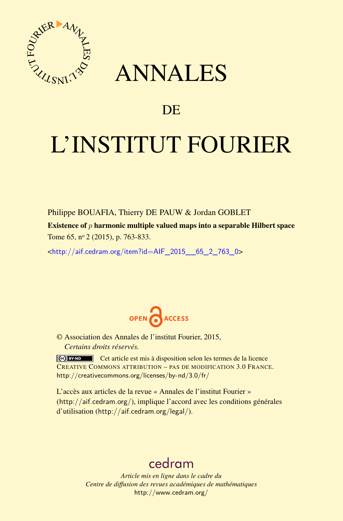

# ANNALES

## **DE**

# L'INSTITUT FOURIER

Philippe BOUAFIA, Thierry DE PAUW & Jordan GOBLET

Existence of *p* harmonic multiple valued maps into a separable Hilbert space Tome 65, nº 2 (2015), p. 763-833.

<[http://aif.cedram.org/item?id=AIF\\_2015\\_\\_65\\_2\\_763\\_0](http://aif.cedram.org/item?id=AIF_2015__65_2_763_0)>



© Association des Annales de l'institut Fourier, 2015, *Certains droits réservés.*

Cet article est mis à disposition selon les termes de la licence CREATIVE COMMONS ATTRIBUTION – PAS DE MODIFICATION 3.0 FRANCE. <http://creativecommons.org/licenses/by-nd/3.0/fr/>

L'accès aux articles de la revue « Annales de l'institut Fourier » (<http://aif.cedram.org/>), implique l'accord avec les conditions générales d'utilisation (<http://aif.cedram.org/legal/>).

# [cedram](http://www.cedram.org/)

*Article mis en ligne dans le cadre du Centre de diffusion des revues académiques de mathématiques* <http://www.cedram.org/>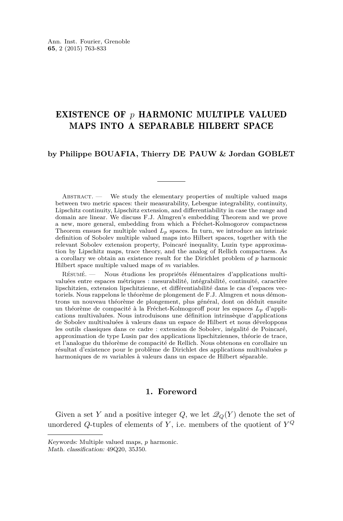### EXISTENCE OF *p* HARMONIC MULTIPLE VALUED MAPS INTO A SEPARABLE HILBERT SPACE

#### **by Philippe BOUAFIA, Thierry DE PAUW & Jordan GOBLET**

ABSTRACT. - We study the elementary properties of multiple valued maps between two metric spaces: their measurability, Lebesgue integrability, continuity, Lipschitz continuity, Lipschitz extension, and differentiability in case the range and domain are linear. We discuss F.J. Almgren's embedding Theorem and we prove a new, more general, embedding from which a Fréchet-Kolmogorov compactness Theorem ensues for multiple valued  $L_p$  spaces. In turn, we introduce an intrinsic definition of Sobolev multiple valued maps into Hilbert spaces, together with the relevant Sobolev extension property, Poincaré inequality, Luzin type approximation by Lipschitz maps, trace theory, and the analog of Rellich compactness. As a corollary we obtain an existence result for the Dirichlet problem of *p* harmonic Hilbert space multiple valued maps of *m* variables.

Résumé. — Nous étudions les propriétés élémentaires d'applications multivaluées entre espaces métriques : mesurabilité, intégrabilité, continuité, caractère lipschitzien, extension lipschitzienne, et différentiabilité dans le cas d'espaces vectoriels. Nous rappelons le théorème de plongement de F.J. Almgren et nous démontrons un nouveau théorème de plongement, plus général, dont on déduit ensuite un théorème de compacité à la Fréchet-Kolmogoroff pour les espaces *Lp* d'applications multivaluées. Nous introduisons une définition intrinsèque d'applications de Sobolev multivaluées à valeurs dans un espace de Hilbert et nous développons les outils classiques dans ce cadre : extension de Sobolev, inégalité de Poincaré, approximation de type Lusin par des applications lipschitziennes, théorie de trace, et l'analogue du théorème de compacité de Rellich. Nous obtenons en corollaire un résultat d'existence pour le problème de Dirichlet des applications multivaluées *p* harmoniques de *m* variables à valeurs dans un espace de Hilbert séparable.

#### **1. Foreword**

Given a set *Y* and a positive integer *Q*, we let  $\mathcal{Q}_Q(Y)$  denote the set of unordered *Q*-tuples of elements of *Y* , i.e. members of the quotient of *Y Q*

Keywords: Multiple valued maps, *p* harmonic.

Math. classification: 49Q20, 35J50.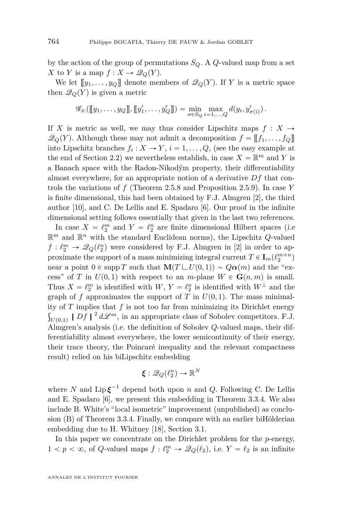by the action of the group of permutations  $S_Q$ . A  $Q$ -valued map from a set *X* to *Y* is a map  $f: X \to \mathcal{Q}_Q(Y)$ .

We let  $[[y_1, \ldots, y_Q]]$  denote members of  $\mathcal{Q}_Q(Y)$ . If *Y* is a metric space then  $\mathcal{Q}_Q(Y)$  is given a metric

$$
\mathscr{G}_{\infty}([\![y_1,\ldots,y_Q]\!],[\![y'_1,\ldots,y'_Q]\!])=\min_{\sigma\in S_Q}\max_{i=1,\ldots,Q}d(y_i,y'_{\sigma(i)})\,.
$$

If *X* is metric as well, we may thus consider Lipschitz maps  $f : X \rightarrow$  $\mathscr{Q}_Q(Y)$ . Although these may not admit a decomposition  $f = [[f_1, \ldots, f_Q]]$ into Lipschitz branches  $f_i: X \to Y$ ,  $i = 1, ..., Q$ , (see the easy example at the end of Section [2.2\)](#page-6-0) we nevertheless establish, in case  $X = \mathbb{R}^m$  and Y is a Banach space with the Radon-Nikodým property, their differentiability almost everywhere, for an appropriate notion of a derivative *Df* that controls the variations of *f* (Theorem [2.5.8](#page-24-0) and Proposition [2.5.9\)](#page-27-0). In case *Y* is finite dimensional, this had been obtained by F.J. Almgren [\[2\]](#page-70-0), the third author [\[10\]](#page-70-0), and C. De Lellis and E. Spadaro [\[6\]](#page-70-0). Our proof in the infinite dimensional setting follows essentially that given in the last two references.

In case  $X = \ell_2^m$  and  $Y = \ell_2^n$  are finite dimensional Hilbert spaces (i.e.  $\mathbb{R}^m$  and  $\mathbb{R}^n$  with the standard Euclidean norms), the Lipschitz *Q*-valued  $f: \ell_2^m \to \mathcal{Q}_Q(\ell_2^n)$  were considered by F.J. Almgren in [\[2\]](#page-70-0) in order to approximate the support of a mass minimizing integral current  $T \in I_m(\ell_2^{m+n})$ near a point  $0 \in \text{supp } T$  such that  $\mathbf{M}(T \sqcup U(0,1)) \sim Q\alpha(m)$  and the "excess" of *T* in  $U(0,1)$  with respect to an *m*-plane  $W \in \mathbf{G}(n,m)$  is small. Thus  $X = \ell_2^m$  is identified with  $W, Y = \ell_2^n$  is identified with  $W^{\perp}$  and the graph of f approximates the support of T in  $U(0,1)$ . The mass minimality of  $T$  implies that  $f$  is not too far from minimizing its Dirichlet energy  $U(0,1)$  | *Df* | <sup>2</sup>  $d\mathcal{L}^m$ , in an appropriate class of Sobolev competitors. F.J. Almgren's analysis (i.e. the definition of Sobolev *Q*-valued maps, their differentiability almost everywhere, the lower semicontinuity of their energy, their trace theory, the Poincaré inequality and the relevant compactness result) relied on his biLipschitz embedding

$$
\boldsymbol{\xi}: \mathscr{Q}_Q(\ell_2^n) \to \mathbb{R}^N
$$

where *N* and  $\text{Lip}\xi^{-1}$  depend both upon *n* and *Q*. Following C. De Lellis and E. Spadaro [\[6\]](#page-70-0), we present this embedding in Theorem [3.3.4.](#page-34-0) We also include B. White's "local isometric" improvement (unpublished) as conclusion (B) of Theorem [3.3.4.](#page-34-0) Finally, we compare with an earlier biHölderian embedding due to H. Whitney [\[18\]](#page-71-0), Section [3.1.](#page-29-0)

In this paper we concentrate on the Dirichlet problem for the *p*-energy,  $1 < p < \infty$ , of *Q*-valued maps  $f : \ell_2^m \to \mathcal{Q}_Q(\ell_2)$ , i.e.  $Y = \ell_2$  is an infinite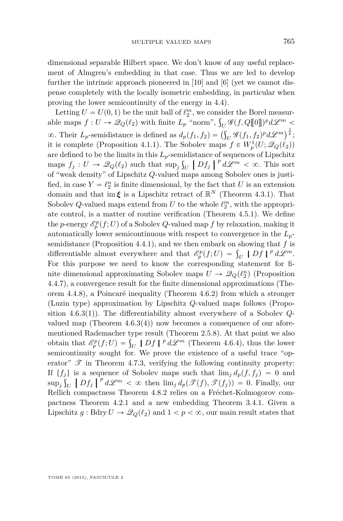dimensional separable Hilbert space. We don't know of any useful replacement of Almgren's embedding in that case. Thus we are led to develop further the intrinsic approach pioneered in [\[10\]](#page-70-0) and [\[6\]](#page-70-0) (yet we cannot dispense completely with the locally isometric embedding, in particular when proving the lower semicontinuity of the energy in [4.4\)](#page-48-0).

Letting  $U = U(0, 1)$  be the unit ball of  $\ell_2^m$ , we consider the Borel measur-Letting  $U = U(0, 1)$  be the unit ball of  $\ell_2$ <sup>o</sup>; we consider the Borel measurable maps  $f: U \to \mathcal{Q}_Q(\ell_2)$  with finite  $L_p$  "norm",  $\int_U \mathcal{G}(f, Q[\![0]\!])^p d\mathcal{L}^m$  $\infty$ . Their *L*<sub>p</sub>-semidistance is defined as  $d_p(f_1, f_2) = (\int_U \mathcal{G}(f_1, f_2)^p d\mathcal{L}^m)^{\frac{1}{p}}$ ; it is complete (Proposition [4.1.1\)](#page-40-0). The Sobolev maps  $f \in W_p^1(U; \mathcal{Q}_Q(\ell_2))$ are defined to be the limits in this  $L_p$ -semidistance of sequences of Lipschitz maps  $f_j: U \to \mathcal{Q}_Q(\ell_2)$  such that  $\sup_j \int_U |Df_j|^{p} d\mathcal{L}^m < \infty$ . This sort of "work donesty" of Linschitz Q valued maps among Sobolov ones is justiof "weak density" of Lipschitz *Q*-valued maps among Sobolev ones is justified, in case  $Y = \ell_2^n$  is finite dimensional, by the fact that *U* is an extension domain and that  $\text{im}\,\boldsymbol{\xi}$  is a Lipschitz retract of  $\mathbb{R}^N$  (Theorem [4.3.1\)](#page-44-0). That Sobolev *Q*-valued maps extend from *U* to the whole  $\ell_2^m$ , with the appropriate control, is a matter of routine verification (Theorem [4.5.1\)](#page-55-0). We define the *p*-energy  $\mathscr{E}_p^p(f; U)$  of a Sobolev *Q*-valued map *f* by relaxation, making it automatically lower semicontinuous with respect to convergence in the *Lp*semidistance (Proposition [4.4.1\)](#page-48-0), and we then embark on showing that *f* is semidistance (Proposition 4.4.1), and we then embark on showing that f is<br>differentiable almost everywhere and that  $\mathscr{E}_p^p(f;U) = \int_U |Df|^p d\mathscr{L}^m$ .<br>For this gauge see and to linear the expression statement for f For this purpose we need to know the corresponding statement for finite dimensional approximating Sobolev maps  $U \to \mathcal{Q}_Q(\ell_2^n)$  (Proposition [4.4.7\)](#page-51-0), a convergence result for the finite dimensional approximations (Theorem [4.4.8\)](#page-53-0), a Poincaré inequality (Theorem [4.6.2\)](#page-59-0) from which a stronger (Luzin type) approximation by Lipschitz *Q*-valued maps follows (Proposition [4.6.3\(](#page-61-0)1)). The differentiability almost everywhere of a Sobolev *Q*valued map (Theorem  $4.6.3(4)$  $4.6.3(4)$ ) now becomes a consequence of our aforementioned Rademacher type result (Theorem [2.5.8\)](#page-24-0). At that point we also mentioned Rademacher type result (Theorem 2.5.8). At that point we also<br>obtain that  $\mathscr{E}_p^p(f;U) = \int_U |Df|^{p} d\mathscr{L}^m$  (Theorem [4.6.4\)](#page-63-0), thus the lower semicontinuity sought for. We prove the existence of a useful trace "operator"  $\mathscr T$  in Theorem [4.7.3,](#page-67-0) verifying the following continuity property: If  $\{f_j\}$  is a sequence of Sobolev maps such that  $\lim_j d_p(f, f_j) = 0$  and  $\sup_j \int_U |Df_j|^{p} d\mathcal{L}^m < \infty$  then  $\lim_j d_p(\mathcal{F}(f), \mathcal{F}(f_j)) = 0$ . Finally, our Rellich compactness Theorem [4.8.2](#page-68-0) relies on a Fréchet-Kolmogorov compactness Theorem [4.2.1](#page-40-0) and a new embedding Theorem [3.4.1.](#page-38-0) Given a Lipschitz  $g : \text{Bdry}\, U \to \mathcal{Q}_Q(\ell_2)$  and  $1 < p < \infty$ , our main result states that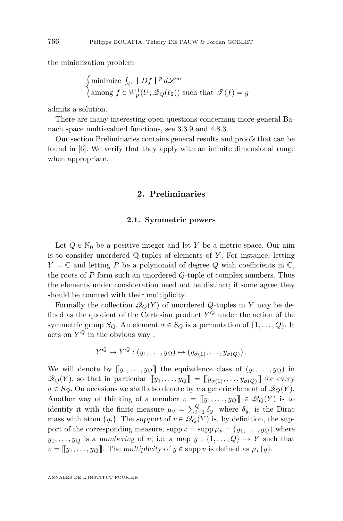the minimization problem

$$
\begin{cases}\n\text{minimize } \int_U \mid Df \mid^p d\mathcal{L}^m \\
\text{among } f \in W^1_p(U; \mathcal{Q}_Q(\ell_2)) \text{ such that } \mathcal{T}(f) = g\n\end{cases}
$$

admits a solution.

There are many interesting open questions concerning more general Banach space multi-valued functions, see [3.3.9](#page-37-0) and [4.8.3.](#page-69-0)

Our section Preliminaries contains general results and proofs that can be found in [\[6\]](#page-70-0). We verify that they apply with an infinite dimensional range when appropriate.

#### **2. Preliminaries**

#### **2.1. Symmetric powers**

Let  $Q \in \mathbb{N}_0$  be a positive integer and let *Y* be a metric space. Our aim is to consider unordered Q-tuples of elements of *Y* . For instance, letting  $Y = \mathbb{C}$  and letting *P* be a polynomial of degree *Q* with coefficients in  $\mathbb{C}$ , the roots of *P* form such an unordered *Q*-tuple of complex numbers. Thus the elements under consideration need not be distinct; if some agree they should be counted with their multiplicity.

Formally the collection  $\mathcal{Q}_Q(Y)$  of unordered *Q*-tuples in *Y* may be defined as the quotient of the Cartesian product  $Y^Q$  under the action of the symmetric group *S*<sub>*Q*</sub>. An element  $\sigma \in S_Q$  is a permutation of  $\{1, \ldots, Q\}$ . It acts on  $Y^Q$  in the obvious way :

$$
Y^Q \to Y^Q : (y_1, \ldots, y_Q) \mapsto (y_{\sigma(1)}, \ldots, y_{\sigma(Q)}) .
$$

We will denote by  $[[y_1, \ldots, y_Q]]$  the equivalence class of  $(y_1, \ldots, y_Q)$  in  $\mathscr{Q}_Q(Y)$ , so that in particular  $[\![y_1, \ldots, y_Q]\!] = [\![y_{\sigma(1)}, \ldots, y_{\sigma(Q)}]\!]$  for every  $\sigma \in S_Q$ . On occasions we shall also denote by *v* a generic element of  $\mathcal{Q}_Q(Y)$ . Another way of thinking of a member  $v = [[y_1, \ldots, y_Q]] \in \mathscr{Q}_Q(Y)$  is to Another way of thinking of a member  $v =$ <br>identify it with the finite measure  $\mu_v = \sum_{i=1}^{Q}$  $\delta_{y_i}$  where  $\delta_{y_i}$  is the Dirac mass with atom  $\{y_i\}$ . The support of  $v \in \mathcal{Q}_Q(Y)$  is, by definition, the support of the corresponding measure,  $\text{supp } v = \text{supp } \mu_v = \{y_1, \ldots, y_Q\}$  where  $y_1, \ldots, y_Q$  is a numbering of *v*, i.e. a map  $y: \{1, \ldots, Q\} \rightarrow Y$  such that  $v = [[y_1, \ldots, y_Q]].$  The multiplicity of  $y \in \text{supp } v$  is defined as  $\mu_v\{y\}.$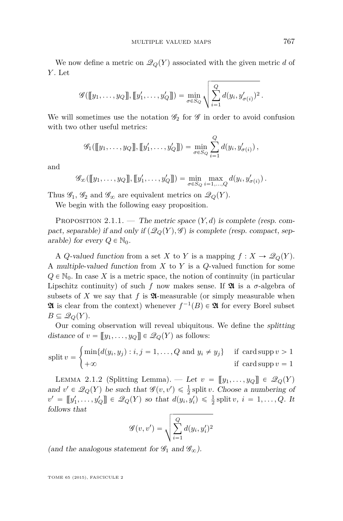<span id="page-5-0"></span>We now define a metric on  $\mathcal{Q}_Q(Y)$  associated with the given metric *d* of *Y* . Let

$$
\mathscr{G}([\![y_1,\ldots,y_Q]\!],[\![y'_1,\ldots,y'_Q]\!])=\min_{\sigma\in S_Q}\sqrt{\sum_{i=1}^Q d(y_i,y'_{\sigma(i)})^2}.
$$

We will sometimes use the notation  $\mathscr{G}_2$  for  $\mathscr{G}$  in order to avoid confusion with two other useful metrics:

$$
\mathscr{G}_1([\![y_1,\ldots,y_Q]\!],[\![y'_1,\ldots,y'_Q]\!])=\min_{\sigma\in S_Q}\sum_{i=1}^Q d(y_i,y'_{\sigma(i)})\,,
$$

and

$$
\mathscr{G}_{\infty}([\![y_1,\ldots,y_Q]\!],[\![y'_1,\ldots,y'_Q]\!])=\min_{\sigma\in S_Q}\max_{i=1,\ldots,Q}d(y_i,y'_{\sigma(i)})\,.
$$

Thus  $\mathscr{G}_1, \mathscr{G}_2$  and  $\mathscr{G}_{\infty}$  are equivalent metrics on  $\mathscr{Q}_Q(Y)$ .

We begin with the following easy proposition.

PROPOSITION 2.1.1. — The metric space  $(Y, d)$  is complete (resp. compact, separable) if and only if  $(\mathcal{Q}_Q(Y), \mathscr{G})$  is complete (resp. compact, separable) for every  $Q \in \mathbb{N}_0$ .

A *Q*-valued function from a set *X* to *Y* is a mapping  $f: X \to \mathcal{Q}_Q(Y)$ . A multiple-valued function from *X* to *Y* is a *Q*-valued function for some  $Q \in \mathbb{N}_0$ . In case *X* is a metric space, the notion of continuity (in particular Lipschitz continuity) of such *f* now makes sense. If  $\mathfrak{A}$  is a  $\sigma$ -algebra of subsets of *X* we say that  $f$  is  $\mathfrak A$ -measurable (or simply measurable when **24** is clear from the context) whenever  $f^{-1}(B) \in \mathfrak{A}$  for every Borel subset  $B \subseteq \mathscr{Q}_Q(Y)$ .

Our coming observation will reveal ubiquitous. We define the splitting distance of  $v = [[y_1, \ldots, y_Q]] \in \mathscr{Q}_Q(Y)$  as follows: #

split 
$$
v = \begin{cases} \min\{d(y_i, y_j) : i, j = 1, ..., Q \text{ and } y_i \neq y_j\} & \text{if } \operatorname{card} \operatorname{supp} v > 1 \\ +\infty & \text{if } \operatorname{card} \operatorname{supp} v = 1 \end{cases}
$$

LEMMA 2.1.2 (Splitting Lemma). — Let  $v = [[y_1, \ldots, y_Q]] \in \mathcal{Q}_Q(Y)$ and  $v' \in \mathcal{Q}_Q(Y)$  be such that  $\mathcal{G}(v, v') \leq \frac{1}{2}$  split *v*. Choose a numbering of  $v' = [[y'_1, ..., y'_Q]] \in \mathscr{Q}_Q(Y)$  so that  $d(y_i, y'_i) \leq \frac{1}{2}$  split  $v, i = 1, ..., Q$ . It follows that

$$
\mathscr{G}(v,v') = \sqrt{\sum_{i=1}^{Q} d(y_i, y'_i)^2}
$$

(and the analogous statement for  $\mathcal{G}_1$  and  $\mathcal{G}_{\infty}$ ).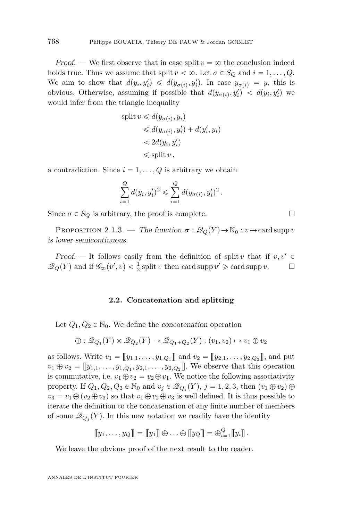<span id="page-6-0"></span>*Proof.* — We first observe that in case split  $v = \infty$  the conclusion indeed holds true. Thus we assume that split  $v < \infty$ . Let  $\sigma \in S_Q$  and  $i = 1, \ldots, Q$ . We aim to show that  $d(y_i, y'_i) \le d(y_{\sigma(i)}, y'_i)$ . In case  $y_{\sigma(i)} = y_i$  this is obvious. Otherwise, assuming if possible that  $d(y_{\sigma(i)}, y'_i) < d(y_i, y'_i)$  we would infer from the triangle inequality

split 
$$
v \leq d(y_{\sigma(i)}, y_i)
$$
  
\n $\leq d(y_{\sigma(i)}, y'_i) + d(y'_i, y_i)$   
\n $< 2d(y_i, y'_i)$   
\n $\leq$  split v,

a contradiction. Since  $i = 1, \ldots, Q$  is arbitrary we obtain

$$
\sum_{i=1}^{Q} d(y_i, y_i')^2 \leq \sum_{i=1}^{Q} d(y_{\sigma(i)}, y_i')^2.
$$

Since  $\sigma \in S_Q$  is arbitrary, the proof is complete.

PROPOSITION 2.1.3. — The function  $\sigma : \mathcal{Q}_Q(Y) \to \mathbb{N}_0 : v \mapsto \text{card} \text{ supp } v$ is lower semicontinuous.

Proof. — It follows easily from the definition of split *v* that if  $v, v' \in$  $\mathscr{Q}_Q(Y)$  and if  $\mathscr{G}_\infty(v', v) < \frac{1}{2}$  split *v* then card supp  $v' \geq$  card supp *v*.  $\Box$ 

#### **2.2. Concatenation and splitting**

Let  $Q_1, Q_2 \in \mathbb{N}_0$ . We define the *concatenation* operation

$$
\oplus: \mathcal{Q}_{Q_1}(Y) \times \mathcal{Q}_{Q_2}(Y) \to \mathcal{Q}_{Q_1+Q_2}(Y) : (v_1, v_2) \mapsto v_1 \oplus v_2
$$

as follows. Write  $v_1 = [[y_{1,1}, \ldots, y_{1,Q_1}]]$  and  $v_2 = [[y_{2,1}, \ldots, y_{2,Q_2}]]$ , and put  $v_1 \oplus v_2 = [[y_{1,1}, \ldots, y_{1,Q_1}, y_{2,1}, \ldots, y_{2,Q_2}]]$ . We observe that this operation is commutative, i.e.  $v_1 \oplus v_2 = v_2 \oplus v_1$ . We notice the following associativity property. If  $Q_1, Q_2, Q_3 \in \mathbb{N}_0$  and  $v_j \in \mathcal{Q}_{Q_j}(Y), j = 1, 2, 3$ , then  $(v_1 \oplus v_2) \oplus$  $v_3 = v_1 \oplus (v_2 \oplus v_3)$  so that  $v_1 \oplus v_2 \oplus v_3$  is well defined. It is thus possible to iterate the definition to the concatenation of any finite number of members of some  $\mathcal{Q}_{Q_j}(Y)$ . In this new notation we readily have the identity

$$
\llbracket y_1, \ldots, y_Q \rrbracket = \llbracket y_1 \rrbracket \oplus \ldots \oplus \llbracket y_Q \rrbracket = \bigoplus_{i=1}^Q \llbracket y_i \rrbracket.
$$

We leave the obvious proof of the next result to the reader.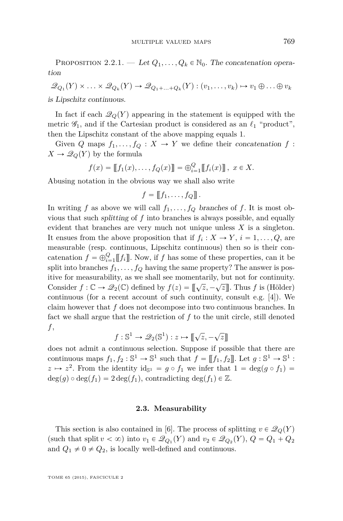PROPOSITION 2.2.1. — Let  $Q_1, \ldots, Q_k \in \mathbb{N}_0$ . The concatenation operation

$$
\mathcal{Q}_{Q_1}(Y) \times \ldots \times \mathcal{Q}_{Q_k}(Y) \to \mathcal{Q}_{Q_1 + \ldots + Q_k}(Y) : (v_1, \ldots, v_k) \mapsto v_1 \oplus \ldots \oplus v_k
$$

is Lipschitz continuous.

In fact if each  $\mathcal{Q}_Q(Y)$  appearing in the statement is equipped with the metric  $\mathscr{G}_1$ , and if the Cartesian product is considered as an  $\ell_1$  "product", then the Lipschitz constant of the above mapping equals 1.

Given *Q* maps  $f_1, \ldots, f_Q : X \to Y$  we define their concatenation  $f$ :  $X \to \mathcal{Q}_Q(Y)$  by the formula

$$
f(x) = [[f_1(x),...,f_Q(x)]] = \bigoplus_{i=1}^Q [[f_i(x)]] , x \in X.
$$

Abusing notation in the obvious way we shall also write

$$
f=\llbracket f_1,\ldots,f_Q\rrbracket.
$$

In writing *f* as above we will call  $f_1, \ldots, f_Q$  branches of *f*. It is most obvious that such splitting of *f* into branches is always possible, and equally evident that branches are very much not unique unless *X* is a singleton. It ensues from the above proposition that if  $f_i: X \to Y$ ,  $i = 1, ..., Q$ , are measurable (resp. continuous, Lipschitz continuous) then so is their concatenation  $f = \bigoplus_{i=1}^{Q} [[f_i]]$ . Now, if *f* has some of these properties, can it be split into branches  $f_1, \ldots, f_Q$  having the same property? The answer is positive for measurability, as we shall see momentarily, but not for continuity. Consider  $f : \mathbb{C} \to \mathcal{Q}_2(\mathbb{C})$  defined by  $f(z) = [\![\sqrt{z}, -\sqrt{z}]\!]$ . Thus *f* is (Hölder) continuous (for a recent account of such continuity, consult e.g. [\[4\]](#page-70-0)). We claim however that *f* does not decompose into two continuous branches. In fact we shall argue that the restriction of *f* to the unit circle, still denoted *f*,

$$
f: \mathbb{S}^1 \to \mathcal{Q}_2(\mathbb{S}^1): z \mapsto [\![\sqrt{z}, -\sqrt{z}]\!]
$$

does not admit a continuous selection. Suppose if possible that there are continuous maps  $f_1, f_2 : \mathbb{S}^1 \to \mathbb{S}^1$  such that  $f = [[f_1, f_2]]$ . Let  $g : \mathbb{S}^1 \to \mathbb{S}^1$ :  $z \mapsto z^2$ . From the identity  $id_{\mathbb{S}^1} = g \circ f_1$  we infer that  $1 = deg(g \circ f_1) =$  $deg(g) \circ deg(f_1) = 2 deg(f_1),$  contradicting  $deg(f_1) \in \mathbb{Z}$ .

#### **2.3. Measurability**

This section is also contained in [\[6\]](#page-70-0). The process of splitting  $v \in \mathcal{Q}_Q(Y)$ (such that split  $v < \infty$ ) into  $v_1 \in \mathcal{Q}_{Q_1}(Y)$  and  $v_2 \in \mathcal{Q}_{Q_2}(Y)$ ,  $Q = Q_1 + Q_2$ and  $Q_1 \neq 0 \neq Q_2$ , is locally well-defined and continuous.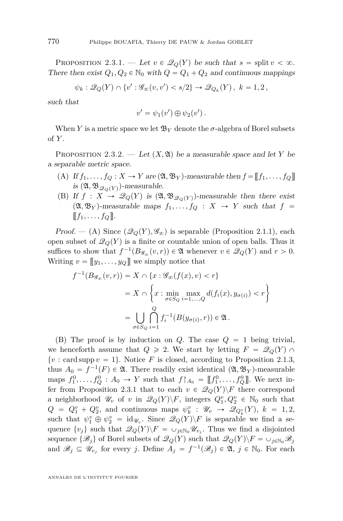<span id="page-8-0"></span>PROPOSITION 2.3.1. — Let  $v \in \mathcal{Q}_Q(Y)$  be such that  $s = \text{split } v < \infty$ . There then exist  $Q_1, Q_2 \in \mathbb{N}_0$  with  $Q = Q_1 + Q_2$  and continuous mappings

$$
\psi_k: \mathscr{Q}_Q(Y) \cap \{v': \mathscr{G}_{\infty}(v, v') < s/2\} \to \mathscr{Q}_{Q_k}(Y), \ k = 1, 2 \,,
$$

such that

$$
v' = \psi_1(v') \oplus \psi_2(v').
$$

When *Y* is a metric space we let  $\mathfrak{B}_Y$  denote the *σ*-algebra of Borel subsets of *Y* .

PROPOSITION 2.3.2. — Let  $(X, \mathfrak{A})$  be a measurable space and let *Y* be a separable metric space.

- (A) If  $f_1, \ldots, f_Q: X \to Y$  are  $(\mathfrak{A}, \mathfrak{B}_Y)$ -measurable then  $f = [[f_1, \ldots, f_Q]]$ is  $(\mathfrak{A}, \mathfrak{B}_{\mathscr{Q}_{\Omega}(Y)})$ -measurable.
- (B) If  $f: X \to \mathcal{Q}_Q(Y)$  is  $(\mathfrak{A}, \mathfrak{B}_{\mathcal{Q}_Q(Y)})$ -measurable then there exist  $(\mathfrak{A}, \mathfrak{B}_Y)$ -measurable maps  $f_1, \ldots, f_Q : X \rightarrow Y$  such that  $f =$  $\llbracket f_1, \ldots, f_\mathcal{O} \rrbracket.$

Proof. — (A) Since  $(\mathcal{Q}_Q(Y), \mathcal{G}_\infty)$  is separable (Proposition [2.1.1\)](#page-5-0), each open subset of  $\mathcal{Q}_Q(Y)$  is a finite or countable union of open balls. Thus it suffices to show that  $f^{-1}(B_{\mathscr{G}_{\infty}}(v,r)) \in \mathfrak{A}$  whenever  $v \in \mathscr{Q}_Q(Y)$  and  $r > 0$ . Writing  $v = [[y_1, \ldots, y_Q]]$  we simply notice that

$$
f^{-1}(B_{\mathscr{G}_{\infty}}(v,r)) = X \cap \{x : \mathscr{G}_{\infty}(f(x), v) < r\}
$$
\n
$$
= X \cap \left\{x : \min_{\sigma \in S_Q} \max_{i=1,\dots,Q} d(f_i(x), y_{\sigma(i)}) < r\right\}
$$
\n
$$
= \bigcup_{\sigma \in S_Q} \bigcap_{i=1}^Q f_i^{-1}(B(y_{\sigma(i)}, r)) \in \mathfrak{A}.
$$

(B) The proof is by induction on  $Q$ . The case  $Q = 1$  being trivial, we henceforth assume that  $Q \ge 2$ . We start by letting  $F = \mathcal{Q}_Q(Y) \cap Y$  $\{v : \text{card supp } v = 1\}$ . Notice *F* is closed, according to Proposition [2.1.3,](#page-6-0) thus  $A_0 = f^{-1}(F) \in \mathfrak{A}$ . There readily exist identical  $(\mathfrak{A}, \mathfrak{B}_Y)$ -measurable maps  $f_1^0, \ldots, f_Q^0 : A_0 \to Y$  such that  $f \upharpoonright_{A_0} = [[f_1^0, \ldots, f_Q^0]]$ . We next infer from Proposition 2.3.1 that to each  $v \in \mathcal{Q}_Q(Y) \backslash F$  there correspond a neighborhood  $\mathscr{U}_v$  of *v* in  $\mathscr{Q}_Q(Y)\backslash F$ , integers  $Q_1^v, Q_2^v \in \mathbb{N}_0$  such that  $Q = Q_1^v + Q_2^v$ , and continuous maps  $\psi_k^v : \mathscr{U}_v \to \mathscr{Q}_{Q_k^v}(Y)$ ,  $k = 1, 2$ , such that  $\psi_1^v \oplus \psi_2^v = \text{id}_{\mathscr{U}_v}$ . Since  $\mathscr{Q}_Q(Y) \backslash F$  is separable we find a sequence  $\{v_j\}$  such that  $\mathcal{Q}_Q(Y)\backslash F = \cup_{j\in\mathbb{N}_0}\mathcal{U}_{v_j}$ . Thus we find a disjointed sequence  $\{\mathscr{B}_i\}$  of Borel subsets of  $\mathscr{Q}_Q(Y)$  such that  $\mathscr{Q}_Q(Y)\backslash F=\cup_{j\in\mathbb{N}_0}\mathscr{B}_j$ and  $\mathscr{B}_j \subseteq \mathscr{U}_{v_j}$  for every *j*. Define  $A_j = f^{-1}(\mathscr{B}_j) \in \mathfrak{A}, \ j \in \mathbb{N}_0$ . For each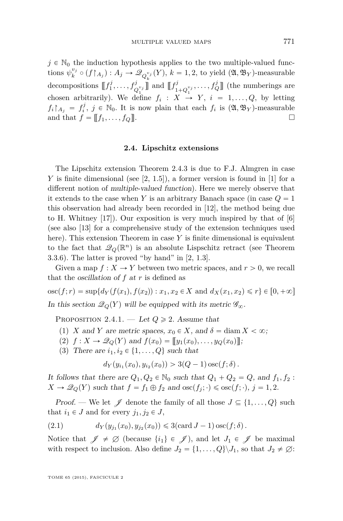<span id="page-9-0"></span> $j \in \mathbb{N}_0$  the induction hypothesis applies to the two multiple-valued functions  $\psi_k^{v_j} \circ (f \upharpoonright_{A_j}) : A_j \to \mathscr{Q}_{Q_k^{v_j}}(Y), k = 1, 2$ , to yield  $(\mathfrak{A}, \mathfrak{B}_Y)$ -measurable decompositions  $\llbracket f_1^j, \ldots, f_{Q_1^{v_j}}^j \rrbracket$  and  $\llbracket f_1^j$ chosen arbitrarily). We define  $f_i: X \rightarrow Y, i = 1, ..., Q$ , by letting  $\{f_{1+Q_1^{v_j}}, \ldots, f_Q^j\}$  (the numberings are  $f_i \upharpoonright_{A_j} = f_i^j$ ,  $j \in \mathbb{N}_0$ . It is now plain that each  $f_i$  is  $(\mathfrak{A}, \mathfrak{B}_Y)$ -measurable and that  $f = [[f_1, \ldots, f_Q]].$ 

#### **2.4. Lipschitz extensions**

The Lipschitz extension Theorem [2.4.3](#page-15-0) is due to F.J. Almgren in case *Y* is finite dimensional (see [\[2,](#page-70-0) 1.5]), a former version is found in [\[1\]](#page-70-0) for a different notion of multiple-valued function). Here we merely observe that it extends to the case when *Y* is an arbitrary Banach space (in case  $Q = 1$ this observation had already been recorded in [\[12\]](#page-71-0), the method being due to H. Whitney  $[17]$ . Our exposition is very much inspired by that of  $[6]$ (see also [\[13\]](#page-71-0) for a comprehensive study of the extension techniques used here). This extension Theorem in case Y is finite dimensional is equivalent to the fact that  $\mathcal{Q}_Q(\mathbb{R}^n)$  is an absolute Lispschitz retract (see Theorem [3.3.6\)](#page-36-0). The latter is proved "by hand" in [\[2,](#page-70-0) 1.3].

Given a map  $f: X \to Y$  between two metric spaces, and  $r > 0$ , we recall that the oscillation of *f* at *r* is defined as

 $\csc(f; r) = \sup\{d_Y(f(x_1), f(x_2)) : x_1, x_2 \in X \text{ and } d_X(x_1, x_2) \leq r\} \in [0, +\infty]$ In this section  $\mathcal{Q}_Q(Y)$  will be equipped with its metric  $\mathcal{G}_{\infty}$ .

PROPOSITION 2.4.1. — Let  $Q \ge 2$ . Assume that

- (1) *X* and *Y* are metric spaces,  $x_0 \in X$ , and  $\delta = \text{diam } X < \infty$ ;
- (2)  $f: X \to \mathcal{Q}_Q(Y)$  and  $f(x_0) = [[y_1(x_0), \ldots, y_Q(x_0)]]$ ;
- (3) There are  $i_1, i_2 \in \{1, \ldots, Q\}$  such that

$$
d_Y(y_{i_1}(x_0), y_{i_2}(x_0)) > 3(Q-1)\csc(f; \delta).
$$

It follows that there are  $Q_1, Q_2 \in \mathbb{N}_0$  such that  $Q_1 + Q_2 = Q$ , and  $f_1, f_2$ :  $X \to \mathscr{Q}_{Q}(Y)$  such that  $f = f_1 \oplus f_2$  and  $\operatorname{osc}(f_i; \cdot) \leq \operatorname{osc}(f; \cdot), j = 1, 2$ .

*Proof.* — We let  $\mathscr J$  denote the family of all those  $J \subseteq \{1, \ldots, Q\}$  such that  $i_1 \in J$  and for every  $j_1, j_2 \in J$ ,

(2.1) 
$$
d_Y(y_{j_1}(x_0), y_{j_2}(x_0)) \leq 3(\text{card } J - 1)\csc(f; \delta).
$$

Notice that  $\mathscr{J} \neq \emptyset$  (because  $\{i_1\} \in \mathscr{J}$ ), and let  $J_1 \in \mathscr{J}$  be maximal with respect to inclusion. Also define  $J_2 = \{1, \ldots, Q\} \setminus J_1$ , so that  $J_2 \neq \emptyset$ :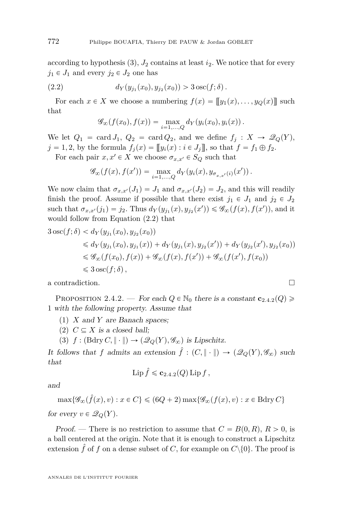<span id="page-10-0"></span>according to hypothesis  $(3)$ ,  $J_2$  contains at least  $i_2$ . We notice that for every  $j_1 \in J_1$  and every  $j_2 \in J_2$  one has

(2.2) 
$$
d_Y(y_{j_1}(x_0), y_{j_2}(x_0)) > 3 \csc(f; \delta).
$$

For each  $x \in X$  we choose a numbering  $f(x) = [y_1(x), \ldots, y_Q(x)]$  such that

$$
\mathscr{G}_{\infty}(f(x_0),f(x)) = \max_{i=1,\ldots,Q} d_Y(y_i(x_0),y_i(x)).
$$

We let  $Q_1 = \text{card } J_1$ ,  $Q_2 = \text{card } Q_2$ , and we define  $f_j : X \to \mathcal{Q}_Q(Y)$ ,  $j = 1, 2$ , by the formula  $f_i(x) = [[y_i(x) : i \in J_i]],$  so that  $f = f_1 \oplus f_2.$ 

For each pair  $x, x' \in X$  we choose  $\sigma_{x,x'} \in S_Q$  such that

$$
\mathscr{G}_{\infty}(f(x),f(x')) = \max_{i=1,\ldots,Q} d_Y(y_i(x),y_{\sigma_{x,x'}(i)}(x')).
$$

We now claim that  $\sigma_{x,x'}(J_1) = J_1$  and  $\sigma_{x,x'}(J_2) = J_2$ , and this will readily finish the proof. Assume if possible that there exist  $j_1 \in J_1$  and  $j_2 \in J_2$ such that  $\sigma_{x,x'}(j_1) = j_2$ . Thus  $d_Y(y_{j_1}(x), y_{j_2}(x')) \leq \mathscr{G}_{\infty}(f(x), f(x'))$ , and it would follow from Equation (2.2) that

$$
3 \operatorname{osc}(f; \delta) < d_Y(y_{j_1}(x_0), y_{j_2}(x_0))
$$
\n
$$
\leq d_Y(y_{j_1}(x_0), y_{j_1}(x)) + d_Y(y_{j_1}(x), y_{j_2}(x')) + d_Y(y_{j_2}(x'), y_{j_2}(x_0))
$$
\n
$$
\leq \mathcal{G}_{\infty}(f(x_0), f(x)) + \mathcal{G}_{\infty}(f(x), f(x')) + \mathcal{G}_{\infty}(f(x'), f(x_0))
$$
\n
$$
\leq 3 \operatorname{osc}(f; \delta),
$$

a contradiction.

PROPOSITION 2.4.2. — For each  $Q \in \mathbb{N}_0$  there is a constant  $\mathbf{c}_{2,4,2}(Q) \geq$ 1 with the following property. Assume that

(1) *X* and *Y* are Banach spaces;

 $(2)$   $C \subseteq X$  is a closed ball;

(3) 
$$
f : (\text{Bdry } C, \|\cdot\|) \to (\mathscr{Q}_Q(Y), \mathscr{G}_\infty)
$$
 is Lipschitz.

It follows that *f* admits an extension  $\hat{f} : (C, \|\cdot\|) \to (\mathscr{Q}_O(Y), \mathscr{G}_\infty)$  such that

$$
\operatorname{Lip} \hat{f} \leqslant \mathbf{c}_{2.4.2}(Q) \operatorname{Lip} f ,
$$

and

 $\max\{\mathscr{G}_{\infty}(\hat{f}(x), v) : x \in C\} \leqslant (6Q + 2)\max\{\mathscr{G}_{\infty}(f(x), v) : x \in \text{Bdry } C\}$ for every  $v \in \mathcal{Q}_Q(Y)$ .

*Proof.* — There is no restriction to assume that  $C = B(0, R)$ ,  $R > 0$ , is a ball centered at the origin. Note that it is enough to construct a Lipschitz extension  $\hat{f}$  of  $f$  on a dense subset of  $C$ , for example on  $C \setminus \{0\}$ . The proof is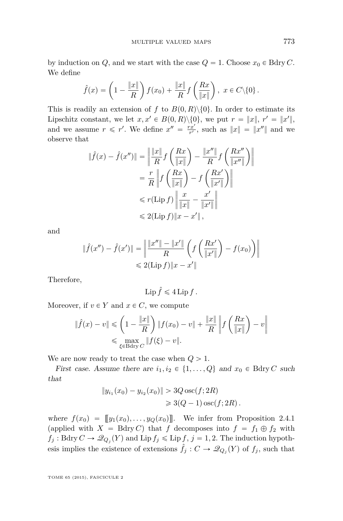by induction on *Q*, and we start with the case  $Q = 1$ . Choose  $x_0 \in$  Bdry *C*. We define ˙ ˆ ˙

$$
\hat{f}(x) = \left(1 - \frac{\|x\|}{R}\right) f(x_0) + \frac{\|x\|}{R} f\left(\frac{Rx}{\|x\|}\right), \ x \in C \setminus \{0\}.
$$

This is readily an extension of *f* to  $B(0, R)\setminus\{0\}$ . In order to estimate its Lipschitz constant, we let  $x, x' \in B(0, R) \setminus \{0\}$ , we put  $r = ||x||$ ,  $r' = ||x'||$ , and we assume  $r \leq r'$ . We define  $x'' = \frac{rx'}{r'}$ , such as  $||x|| = ||x''||$  and we observe that ˆ ˙ ˆ ˙›

$$
\begin{aligned} \|\hat{f}(x) - \hat{f}(x'')\| &= \left\|\frac{\|x\|}{R} f\left(\frac{Rx}{\|x\|}\right) - \frac{\|x''\|}{R} f\left(\frac{Rx''}{\|x''\|}\right) \right\| \\ &= \frac{r}{R} \left\|f\left(\frac{Rx}{\|x\|}\right) - f\left(\frac{Rx'}{\|x'\|}\right) \right\| \\ &\leq r(\text{Lip } f) \left\|\frac{x}{\|x\|} - \frac{x'}{\|x'\|} \right\| \\ &\leq 2(\text{Lip } f) \|x - x'\| \,, \end{aligned}
$$

and

$$
\|\hat{f}(x'') - \hat{f}(x')\| = \left\|\frac{\|x''\| - \|x'\|}{R} \left(f\left(\frac{Rx'}{\|x'\|}\right) - f(x_0)\right)\right\|
$$
  
\$\leqslant 2(\text{Lip } f) \|x - x'\|\$

Therefore,

$$
Lip \hat{f} \leqslant 4 Lip f.
$$

Moreover, if  $v \in Y$  and  $x \in C$ , we compute

$$
\|\hat{f}(x) - v\| \leq \left(1 - \frac{\|x\|}{R}\right) \|f(x_0) - v\| + \frac{\|x\|}{R} \left\|f\left(\frac{Rx}{\|x\|}\right) - v\right\|
$$
  

$$
\leq \max_{\xi \in \text{Bdry } C} \|f(\xi) - v\|.
$$

We are now ready to treat the case when  $Q > 1$ .

First case. Assume there are  $i_1, i_2 \in \{1, \ldots, Q\}$  and  $x_0 \in B\text{dry } C$  such that

$$
||y_{i_1}(x_0) - y_{i_2}(x_0)|| > 3Q \operatorname{osc}(f; 2R)
$$
  

$$
\geq 3(Q-1)\operatorname{osc}(f; 2R).
$$

where  $f(x_0) = [y_1(x_0), \ldots, y_Q(x_0)]$ . We infer from Proposition [2.4.1](#page-9-0) (applied with  $X = Bdry C$ ) that *f* decomposes into  $f = f_1 \oplus f_2$  with  $f_j: \text{Bdry } C \to \mathcal{Q}_{Q_j}(Y)$  and  $\text{Lip } f_j \leqslant \text{Lip } f, j = 1, 2.$  The induction hypothesis implies the existence of extensions  $\hat{f}_j : C \to \mathcal{Q}_{Q_j}(Y)$  of  $f_j$ , such that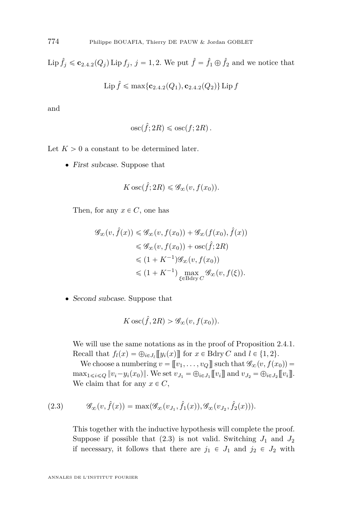Lip  $\hat{f}_j \leq c_{2.4.2}(Q_j)$  $\hat{f}_j \leq c_{2.4.2}(Q_j)$  $\hat{f}_j \leq c_{2.4.2}(Q_j)$  Lip  $f_j$ ,  $j = 1, 2$ . We put  $\hat{f} = \hat{f}_1 \oplus \hat{f}_2$  and we notice that

$$
\operatorname{Lip} \hat{f} \leqslant \max\{\mathbf{c}_{2.4.2}(Q_1), \mathbf{c}_{2.4.2}(Q_2)\}\operatorname{Lip} f
$$

and

$$
\mathrm{osc}(\hat{f}; 2R) \leqslant \mathrm{osc}(f; 2R).
$$

Let  $K > 0$  a constant to be determined later.

• First subcase. Suppose that

$$
K \csc(\hat{f}; 2R) \leq \mathscr{G}_{\infty}(v, f(x_0)).
$$

Then, for any  $x \in C$ , one has

$$
\mathcal{G}_{\infty}(v, \hat{f}(x)) \leq \mathcal{G}_{\infty}(v, f(x_0)) + \mathcal{G}_{\infty}(f(x_0), \hat{f}(x))
$$
  
\n
$$
\leq \mathcal{G}_{\infty}(v, f(x_0)) + \text{osc}(\hat{f}; 2R)
$$
  
\n
$$
\leq (1 + K^{-1})\mathcal{G}_{\infty}(v, f(x_0))
$$
  
\n
$$
\leq (1 + K^{-1}) \max_{\xi \in \text{Bdry } C} \mathcal{G}_{\infty}(v, f(\xi)).
$$

• Second subcase. Suppose that

$$
K \csc(\hat{f}, 2R) > \mathscr{G}_{\infty}(v, f(x_0)).
$$

We will use the same notations as in the proof of Proposition [2.4.1.](#page-9-0) Recall that  $f_l(x) = \bigoplus_{i \in J_l} [y_i(x)]$  for  $x \in B\text{dry } C$  and  $l \in \{1, 2\}$ .

We choose a numbering  $v = [v_1, \ldots, v_Q]$  such that  $\mathscr{G}_{\infty}(v, f(x_0)) =$  $\max_{1 \le i \le Q} \|v_i - y_i(x_0)\|$ . We set  $v_{J_1} = \bigoplus_{i \in J_1} [v_i]$  and  $v_{J_2} = \bigoplus_{i \in J_2} [v_i]$ . We claim that for any  $x \in C$ ,

(2.3) 
$$
\mathscr{G}_{\infty}(v,\hat{f}(x)) = \max(\mathscr{G}_{\infty}(v_{J_1},\hat{f}_1(x)),\mathscr{G}_{\infty}(v_{J_2},\hat{f}_2(x))).
$$

This together with the inductive hypothesis will complete the proof. Suppose if possible that  $(2.3)$  is not valid. Switching  $J_1$  and  $J_2$ if necessary, it follows that there are  $j_1 \in J_1$  and  $j_2 \in J_2$  with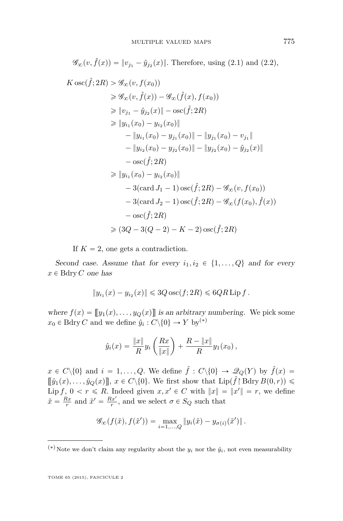$$
\mathcal{G}_{\infty}(v, \hat{f}(x)) = ||v_{j_1} - \hat{y}_{j_2}(x)||.
$$
 Therefore, using (2.1) and (2.2),  
\n
$$
K \csc(\hat{f}; 2R) > \mathcal{G}_{\infty}(v, f(x_0))
$$
\n
$$
\geq \mathcal{G}_{\infty}(v, \hat{f}(x)) - \mathcal{G}_{\infty}(\hat{f}(x), f(x_0))
$$
\n
$$
\geq ||v_{j_1} - \hat{y}_{j_2}(x)|| - \csc(\hat{f}; 2R)
$$
\n
$$
\geq ||y_{i_1}(x_0) - y_{i_2}(x_0)||
$$
\n
$$
- ||y_{i_1}(x_0) - y_{j_1}(x_0)|| - ||y_{j_1}(x_0) - v_{j_1}||
$$
\n
$$
- ||y_{i_2}(x_0) - y_{j_2}(x_0)|| - ||y_{j_2}(x_0) - \hat{y}_{j_2}(x)||
$$
\n
$$
- \csc(\hat{f}; 2R)
$$
\n
$$
\geq ||y_{i_1}(x_0) - y_{i_2}(x_0)||
$$
\n
$$
- 3(\operatorname{card} J_1 - 1) \operatorname{osc}(\hat{f}; 2R) - \mathcal{G}_{\infty}(v, f(x_0))
$$
\n
$$
- 3(\operatorname{card} J_2 - 1) \operatorname{osc}(\hat{f}; 2R) - \mathcal{G}_{\infty}(f(x_0), \hat{f}(x))
$$
\n
$$
- \operatorname{osc}(\hat{f}; 2R)
$$
\n
$$
\geq (3Q - 3(Q - 2) - K - 2) \operatorname{osc}(\hat{f}; 2R)
$$

If  $K = 2$ , one gets a contradiction.

Second case. Assume that for every  $i_1, i_2 \in \{1, ..., Q\}$  and for every  $x \in$  Bdry *C* one has

$$
||y_{i_1}(x) - y_{i_2}(x)|| \leq 3Q \csc(f; 2R) \leq 6QR \text{ Lip } f.
$$

where  $f(x) = [y_1(x), \ldots, y_Q(x)]$  is an arbitrary numbering. We pick some  $x_0 \in \text{Bdry } C \text{ and we define } \hat{y}_i : C \setminus \{0\} \to Y \text{ by}^{(*)}$ 

$$
\hat{y}_i(x) = \frac{\|x\|}{R} y_i\left(\frac{Rx}{\|x\|}\right) + \frac{R - \|x\|}{R} y_1(x_0),
$$

 $x \in C \setminus \{0\}$  and  $i = 1, ..., Q$ . We define  $\hat{f} : C \setminus \{0\} \to \mathcal{Q}_Q(Y)$  by  $\hat{f}(x) =$  $[\![\hat{y}_1(x), \ldots, \hat{y}_Q(x)]\!]$ ,  $x \in C \setminus \{0\}$ . We first show that  $\text{Lip}(\hat{f} \restriction \text{Bdry } B(0, r)) \leq$ Lip *f*,  $0 < r \le R$ . Indeed given  $x, x' \in C$  with  $||x|| = ||x'|| = r$ , we define  $\tilde{x} = \frac{Rx}{r}$  and  $\tilde{x}' = \frac{Rx'}{r}$ , and we select  $\sigma \in S_Q$  such that

$$
\mathscr{G}_{\infty}(f(\tilde{x}), f(\tilde{x}')) = \max_{i=1,\dots,Q} \|y_i(\tilde{x}) - y_{\sigma(i)}(\tilde{x}')\|.
$$

<sup>(\*)</sup> Note we don't claim any regularity about the  $y_i$  nor the  $\hat{y}_i$ , not even measurability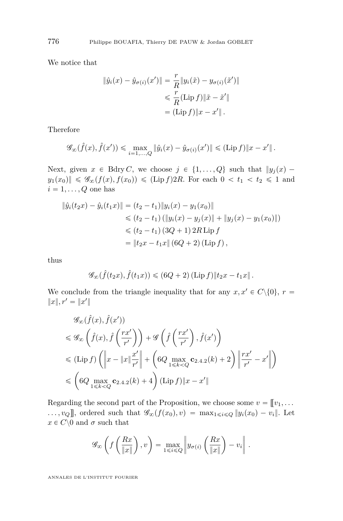We notice that

$$
\|\hat{y}_i(x) - \hat{y}_{\sigma(i)}(x')\| = \frac{r}{R} \|y_i(\tilde{x}) - y_{\sigma(i)}(\tilde{x}')\|
$$
  

$$
\leq \frac{r}{R} (\text{Lip } f) \|\tilde{x} - \tilde{x}'\|
$$
  

$$
= (\text{Lip } f) \|x - x'\|.
$$

Therefore

$$
\mathscr{G}_{\infty}(\hat{f}(x),\hat{f}(x')) \leq \max_{i=1,...,Q} \|\hat{y}_i(x) - \hat{y}_{\sigma(i)}(x')\| \leq (\text{Lip } f) \|x - x'\|.
$$

Next, given  $x \in B\text{dry } C$ , we choose  $j \in \{1, ..., Q\}$  such that  $||y_j(x) - y_j||$  $y_1(x_0)$   $\leq \mathscr{G}_{\infty}(f(x), f(x_0)) \leq (\text{Lip } f)2R$ . For each  $0 < t_1 < t_2 \leq 1$  and  $i = 1, \ldots, Q$  one has

$$
\|\hat{y}_i(t_2x) - \hat{y}_i(t_1x)\| = (t_2 - t_1) \|y_i(x) - y_1(x_0)\|
$$
  
\n
$$
\leq (t_2 - t_1) (\|y_i(x) - y_j(x)\| + \|y_j(x) - y_1(x_0)\|)
$$
  
\n
$$
\leq (t_2 - t_1) (3Q + 1) 2R \text{ Lip } f
$$
  
\n
$$
= \|t_2x - t_1x\| (6Q + 2) (\text{Lip } f),
$$

thus

$$
\mathscr{G}_{\infty}(\hat{f}(t_2x), \hat{f}(t_1x)) \le (6Q+2) (\text{Lip } f) \| t_2x - t_1x \|.
$$

We conclude from the triangle inequality that for any  $x, x' \in C \setminus \{0\}, r =$  $||x||, r' = ||x'||$ 

$$
\mathcal{G}_{\infty}(\hat{f}(x), \hat{f}(x'))
$$
\n
$$
\leq \mathcal{G}_{\infty}(\hat{f}(x), \hat{f}(\frac{rx'}{r'}) + \mathcal{G}(\hat{f}(\frac{rx'}{r'}), \hat{f}(x'))
$$
\n
$$
\leq (\text{Lip } f) (\left\|x - \|x\| \frac{x'}{r'}\right\| + \left(6Q \max_{1 \leq k < Q} c_{2.4.2}(k) + 2\right) \left\| \frac{rx'}{r'} - x'\right\|)
$$
\n
$$
\leq \left(6Q \max_{1 \leq k < Q} c_{2.4.2}(k) + 4\right) (\text{Lip } f) \|x - x'\|
$$

Regarding the second part of the Proposition, we choose some  $v = \llbracket v_1, \ldots \rrbracket$  $\ldots$ ,  $v_Q$ , ordered such that  $\mathscr{G}_{\infty}(f(x_0), v) = \max_{1 \leq i \leq Q} ||y_i(x_0) - v_i||$ . Let  $x \in C \backslash 0$  and  $\sigma$  such that

$$
\mathscr{G}_{\infty}\left(f\left(\frac{Rx}{\|x\|}\right),v\right) = \max_{1 \leq i \leq Q} \left\|y_{\sigma(i)}\left(\frac{Rx}{\|x\|}\right) - v_i\right\|.
$$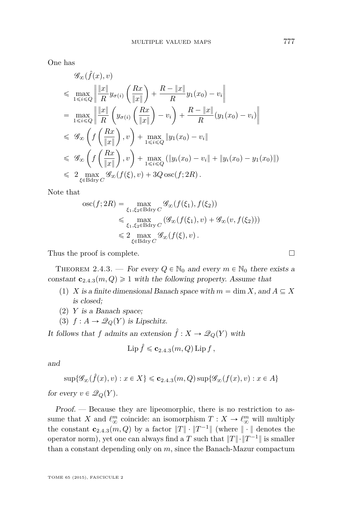<span id="page-15-0"></span>One has

$$
\mathscr{G}_{\infty}(\hat{f}(x), v)
$$
\n
$$
\leq \max_{1 \leq i \leq Q} \left\| \frac{\|x\|}{R} y_{\sigma(i)} \left( \frac{Rx}{\|x\|} \right) + \frac{R - \|x\|}{R} y_1(x_0) - v_i \right\|
$$
\n
$$
= \max_{1 \leq i \leq Q} \left\| \frac{\|x\|}{R} \left( y_{\sigma(i)} \left( \frac{Rx}{\|x\|} \right) - v_i \right) + \frac{R - \|x\|}{R} (y_1(x_0) - v_i) \right\|
$$
\n
$$
\leq \mathscr{G}_{\infty} \left( f \left( \frac{Rx}{\|x\|} \right), v \right) + \max_{1 \leq i \leq Q} \|y_1(x_0) - v_i\|
$$
\n
$$
\leq \mathscr{G}_{\infty} \left( f \left( \frac{Rx}{\|x\|} \right), v \right) + \max_{1 \leq i \leq Q} (\|y_i(x_0) - v_i\| + \|y_i(x_0) - y_1(x_0)\|)
$$
\n
$$
\leq 2 \max_{\xi \in \text{Bdry } C} \mathscr{G}_{\infty} (f(\xi), v) + 3Q \operatorname{osc}(f; 2R).
$$

Note that

$$
\begin{split} \operatorname{osc}(f;2R) &= \max_{\xi_1,\xi_2 \in \text{Bdry}\, C} \mathscr{G}_{\infty}(f(\xi_1),f(\xi_2)) \\ &\leq \max_{\xi_1,\xi_2 \in \text{Bdry}\, C} \left( \mathscr{G}_{\infty}(f(\xi_1),v) + \mathscr{G}_{\infty}(v,f(\xi_2)) \right) \\ &\leq 2 \max_{\xi \in \text{Bdry}\, C} \mathscr{G}_{\infty}(f(\xi),v) \,. \end{split}
$$

Thus the proof is complete.

THEOREM 2.4.3. — For every  $Q \in \mathbb{N}_0$  and every  $m \in \mathbb{N}_0$  there exists a constant  $\mathbf{c}_{2,4,3}(m, Q) \geq 1$  with the following property. Assume that

- (1) *X* is a finite dimensional Banach space with  $m = \dim X$ , and  $A \subseteq X$ is closed;
- (2) *Y* is a Banach space;
- (3)  $f: A \rightarrow \mathcal{Q}_Q(Y)$  is Lipschitz.

It follows that *f* admits an extension  $\hat{f} : X \to \mathcal{Q}_Q(Y)$  with

$$
\operatorname{Lip} \hat{f} \leqslant \mathbf{c}_{2.4.3}(m, Q) \operatorname{Lip} f ,
$$

and

$$
\sup\{\mathscr{G}_{\infty}(\hat{f}(x),v):x\in X\}\leqslant {\bf C}_{2.4.3}(m,Q)\sup\{\mathscr{G}_{\infty}(f(x),v):x\in A\}
$$

for every  $v \in \mathscr{Q}_Q(Y)$ .

Proof. — Because they are lipeomorphic, there is no restriction to assume that *X* and  $\ell_{\infty}^{m}$  coincide: an isomorphism  $T : X \to \ell_{\infty}^{m}$  will multiply the constant  $\mathbf{c}_{2.4.3}(m, Q)$  by a factor  $||T|| \cdot ||T^{-1}||$  (where  $|| \cdot ||$  denotes the operator norm), yet one can always find a *T* such that  $||T|| \cdot ||T^{-1}||$  is smaller than a constant depending only on *m*, since the Banach-Mazur compactum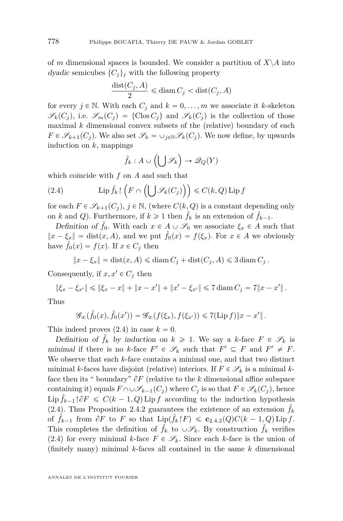<span id="page-16-0"></span>of *m* dimensional spaces is bounded. We consider a partition of  $X \setminus A$  into dyadic semicubes  $\{C_i\}_i$  with the following property

$$
\frac{\text{dist}(C_j,A)}{2} \leqslant \text{diam}\, C_j < \text{dist}(C_j,A)
$$

for every  $j \in \mathbb{N}$ . With each  $C_j$  and  $k = 0, \ldots, m$  we associate it *k*-skeleton  $\mathscr{S}_k(C_i)$ , i.e.  $\mathscr{S}_m(C_i) = \{ \text{Clos } C_i \}$  and  $\mathscr{S}_k(C_i)$  is the collection of those maximal *k* dimensional convex subsets of the (relative) boundary of each  $F \in \mathscr{S}_{k+1}(C_j)$ . We also set  $\mathscr{S}_k = \cup_{j \in \mathbb{N}} \mathscr{S}_k(C_j)$ . We now define, by upwards induction on *k*, mappings  $\mathcal{L}^{\mathcal{L}}$  $\mathbf{r}$ 

$$
\hat{f}_k : A \cup \left( \bigcup \mathscr{S}_k \right) \to \mathscr{Q}_Q(Y)
$$

which coincide with  $f$  on  $\overline{A}$  and such that

(2.4) 
$$
\operatorname{Lip} \hat{f}_k \upharpoonright \left( F \cap \left( \bigcup \mathscr{S}_k(C_j) \right) \right) \leq C(k, Q) \operatorname{Lip} f
$$

for each  $F \in \mathscr{S}_{k+1}(C_i)$ ,  $j \in \mathbb{N}$ , (where  $C(k, Q)$  is a constant depending only on *k* and *Q*). Furthermore, if  $k \ge 1$  then  $\hat{f}_k$  is an extension of  $\hat{f}_{k-1}$ .

Definition of  $\hat{f}_0$ . With each  $x \in A \cup \mathscr{S}_0$  we associate  $\xi_x \in A$  such that  $\|x - \xi_x\| = \text{dist}(x, A)$ , and we put  $\hat{f}_0(x) = f(\xi_x)$ . For  $x \in A$  we obviously have  $\hat{f}_0(x) = f(x)$ . If  $x \in C_j$  then

$$
||x - \xi_x|| = \text{dist}(x, A) \le \text{diam } C_j + \text{dist}(C_j, A) \le 3 \text{diam } C_j.
$$

Consequently, if  $x, x' \in C_j$  then

$$
\|\xi_x - \xi_{x'}\| \le \|\xi_x - x\| + \|x - x'\| + \|x' - \xi_{x'}\| \le 7 \operatorname{diam} C_j = 7\|x - x'\|.
$$

Thus

$$
\mathscr{G}_{\infty}(\hat{f}_0(x),\hat{f}_0(x')) = \mathscr{G}_{\infty}(f(\xi_x),f(\xi_{x'})) \leq 7(\mathrm{Lip}\,f)\|x-x'\|.
$$

This indeed proves  $(2.4)$  in case  $k = 0$ .

Definition of  $\hat{f}_k$  by induction on  $k \geq 1$ . We say a *k*-face  $F \in \mathscr{S}_k$  is minimal if there is no *k*-face  $F' \in \mathcal{S}_k$  such that  $F' \subseteq F$  and  $F' \neq F$ . We observe that each *k*-face contains a minimal one, and that two distinct minimal *k*-faces have disjoint (relative) interiors. If  $F \in \mathscr{S}_k$  is a minimal *k*face then its " boundary"  $\partial F$  (relative to the k dimensional affine subspace containing it) equals  $F \cap \cup \mathscr{S}_{k-1}(C_i)$  where  $C_i$  is so that  $F \in \mathscr{S}_k(C_i)$ , hence  $\text{Lip } f_{k-1} \upharpoonright \partial F \leq C(k-1, Q) \text{Lip } f$  according to the induction hypothesis (2.4). Thus Proposition [2.4.2](#page-10-0) guarantees the existence of an extension  $\hat{f}_k$ of  $\hat{f}_{k-1}$  from  $\partial F$  to  $F$  so that  $\text{Lip}(\hat{f}_k \upharpoonright F) \leqslant \mathbf{c}_{2.4.2}(Q)C(k-1, Q) \text{Lip } f$  $\text{Lip}(\hat{f}_k \upharpoonright F) \leqslant \mathbf{c}_{2.4.2}(Q)C(k-1, Q) \text{Lip } f$  $\text{Lip}(\hat{f}_k \upharpoonright F) \leqslant \mathbf{c}_{2.4.2}(Q)C(k-1, Q) \text{Lip } f$ . This completes the definition of  $\tilde{f}_k$  to  $\cup \mathscr{S}_k$ . By construction  $\tilde{f}_k$  verifies (2.4) for every minimal *k*-face  $F \in \mathscr{S}_k$ . Since each *k*-face is the union of (finitely many) minimal *k*-faces all contained in the same *k* dimensional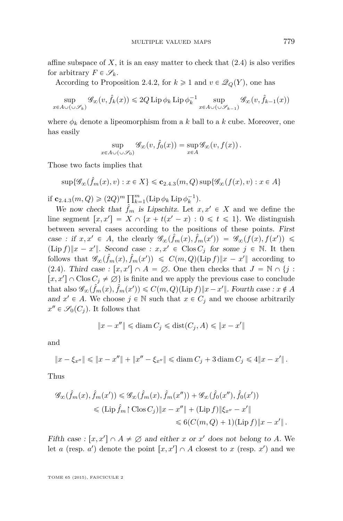affine subspace of  $X$ , it is an easy matter to check that  $(2.4)$  is also verifies for arbitrary  $F \in \mathscr{S}_k$ .

According to Proposition [2.4.2,](#page-10-0) for  $k \geq 1$  and  $v \in \mathcal{Q}_Q(Y)$ , one has

$$
\sup_{x \in A \cup (\cup \mathscr{S}_k)} \mathscr{G}_{\infty}(v, \hat{f}_k(x)) \leq 2Q \operatorname{Lip} \phi_k \operatorname{Lip} \phi_k^{-1} \sup_{x \in A \cup (\cup \mathscr{S}_{k-1})} \mathscr{G}_{\infty}(v, \hat{f}_{k-1}(x))
$$

where  $\phi_k$  denote a lipeomorphism from a k ball to a k cube. Moreover, one has easily

$$
\sup_{x \in A \cup (\cup \mathscr{S}_0)} \mathscr{G}_{\infty}(v, \hat{f}_0(x)) = \sup_{x \in A} \mathscr{G}_{\infty}(v, f(x)).
$$

Those two facts implies that

$$
\sup\{\mathscr{G}_{\infty}(\hat{f}_m(x),v):x\in X\}\leqslant \mathbf{c}_{2.4.3}(m,Q)\sup\{\mathscr{G}_{\infty}(f(x),v):x\in A\}
$$

if  $c_{2.4.3}(m, Q) \geq (2Q)^m \prod_{k=1}^m (\text{Lip}\,\phi_k \text{Lip}\,\phi_k^{-1}).$ 

We now check that  $\hat{f}_m$  is Lipschitz. Let  $x, x' \in X$  and we define the line segment  $[x, x'] = X \cap \{x + t(x' - x) : 0 \leq t \leq 1\}$ . We distinguish between several cases according to the positions of these points. First case : if  $x, x' \in A$ , the clearly  $\mathscr{G}_{\infty}(\hat{f}_m(x), \hat{f}_m(x')) = \mathscr{G}_{\infty}(f(x), f(x')) \leq$  $(\text{Lip } f) \|x - x'\|$ . Second case :  $x, x' \in \text{Clos } C_j$  for some  $j \in \mathbb{N}$ . It then follows that  $\mathscr{G}_{\infty}(\hat{f}_m(x), \hat{f}_m(x')) \leq C(m, Q)(\text{Lip } f) ||x - x'||$  according to [\(2.4\)](#page-16-0). Third case :  $[x, x'] \cap A = \emptyset$ . One then checks that  $J = \mathbb{N} \cap \{j :$  $[x, x'] \cap \text{Clos } C_j \neq \emptyset$  is finite and we apply the previous case to conclude that also  $\mathscr{G}_{\infty}(\hat{f}_m(x), \hat{f}_m(x')) \leqslant C(m, Q)(\text{Lip } f) ||x - x'||$ . Fourth case :  $x \notin A$ and  $x' \in A$ . We choose  $j \in \mathbb{N}$  such that  $x \in C_j$  and we choose arbitrarily  $x'' \in \mathscr{S}_0(C_j)$ . It follows that

$$
||x - x''|| \leq \text{diam } C_j \leq \text{dist}(C_j, A) \leq ||x - x'||
$$

and

$$
||x - \xi_{x''}|| \le ||x - x''|| + ||x'' - \xi_{x''}|| \le \operatorname{diam} C_j + 3 \operatorname{diam} C_j \le 4||x - x'||.
$$

Thus

$$
\mathcal{G}_{\infty}(\hat{f}_m(x), \hat{f}_m(x')) \leq \mathcal{G}_{\infty}(\hat{f}_m(x), \hat{f}_m(x'')) + \mathcal{G}_{\infty}(\hat{f}_0(x''), \hat{f}_0(x'))
$$
  

$$
\leq (\text{Lip}\,\hat{f}_m \upharpoonright \text{Clos}\,C_j) \|x - x''\| + (\text{Lip}\,f) \|\xi_{x''} - x'\|
$$
  

$$
\leq 6(C(m, Q) + 1)(\text{Lip}\,f) \|x - x'\|.
$$

Fifth case :  $[x, x'] \cap A \neq \emptyset$  and either *x* or *x'* does not belong to *A*. We let *a* (resp. *a*') denote the point  $[x, x'] \cap A$  closest to *x* (resp. *x*') and we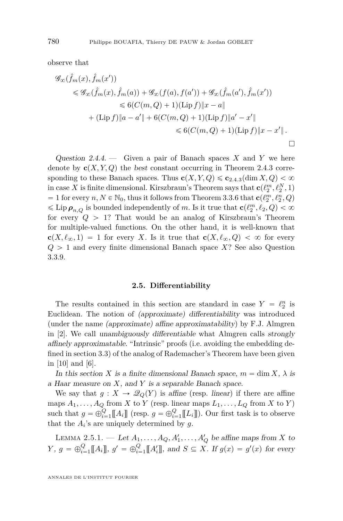<span id="page-18-0"></span>observe that

$$
\mathcal{G}_{\infty}(\hat{f}_{m}(x), \hat{f}_{m}(x'))
$$
\n
$$
\leq \mathcal{G}_{\infty}(\hat{f}_{m}(x), \hat{f}_{m}(a)) + \mathcal{G}_{\infty}(f(a), f(a')) + \mathcal{G}_{\infty}(\hat{f}_{m}(a'), \hat{f}_{m}(x'))
$$
\n
$$
\leq 6(C(m, Q) + 1)(\text{Lip } f) \|x - a\|
$$
\n
$$
+ (\text{Lip } f) \|a - a' \| + 6(C(m, Q) + 1)(\text{Lip } f) \|a' - x'\|
$$
\n
$$
\leq 6(C(m, Q) + 1)(\text{Lip } f) \|x - x'\|.
$$

Question 2.4.4. — Given a pair of Banach spaces *X* and *Y* we here denote by  $\mathbf{c}(X, Y, Q)$  the best constant occurring in Theorem [2.4.3](#page-15-0) corresponding to these Banach spaces. Thus  $c(X, Y, Q) \leqslant c_{2.4.3}(\dim X, Q) < \infty$  $c(X, Y, Q) \leqslant c_{2.4.3}(\dim X, Q) < \infty$  $c(X, Y, Q) \leqslant c_{2.4.3}(\dim X, Q) < \infty$ in case *X* is finite dimensional. Kirszbraun's Theorem says that  $\mathbf{c}(\ell_2^m, \ell_2^N, 1)$  $= 1$  for every  $n, N \in \mathbb{N}_0$ , thus it follows from Theorem [3.3.6](#page-36-0) that  $\mathbf{c}(\ell_2^m, \ell_2^n, Q)$  $\leq$  Lip  $\rho_{n,Q}$  is bounded independently of *m*. Is it true that  $\mathbf{c}(\ell_2^m, \ell_2, Q) < \infty$ for every  $Q > 1$ ? That would be an analog of Kirszbraun's Theorem for multiple-valued functions. On the other hand, it is well-known that  $c(X, \ell_\infty, 1) = 1$  for every *X*. Is it true that  $c(X, \ell_\infty, Q) < \infty$  for every  $Q > 1$  and every finite dimensional Banach space *X*? See also Question [3.3.9.](#page-37-0)

#### **2.5. Differentiability**

The results contained in this section are standard in case  $Y = \ell_2^n$  is Euclidean. The notion of (approximate) differentiability was introduced (under the name (approximate) affine approximatability) by F.J. Almgren in [\[2\]](#page-70-0). We call unambiguously differentiable what Almgren calls strongly affinely approximatable. "Intrinsic" proofs (i.e. avoiding the embedding defined in section [3.3\)](#page-30-0) of the analog of Rademacher's Theorem have been given in [\[10\]](#page-70-0) and [\[6\]](#page-70-0).

In this section *X* is a finite dimensional Banach space,  $m = \dim X$ ,  $\lambda$  is a Haar measure on *X*, and *Y* is a separable Banach space.

We say that  $g: X \to \mathcal{Q}_Q(Y)$  is affine (resp. linear) if there are affine maps  $A_1, \ldots, A_Q$  from *X* to *Y* (resp. linear maps  $L_1, \ldots, L_Q$  from *X* to *Y*) such that  $g = \bigoplus_{i=1}^{Q} [A_i]$  (resp.  $g = \bigoplus_{i=1}^{Q} [L_i]$ ). Our first task is to observe that the  $A_i$ 's are uniquely determined by  $g$ .

LEMMA 2.5.1. — Let  $A_1, \ldots, A_Q, A'_1, \ldots, A'_Q$  be affine maps from *X* to *Y*,  $g = \bigoplus_{i=1}^{Q} [A_i]$ ,  $g' = \bigoplus_{i=1}^{Q} [A'_i]$ , and  $S \subseteq X$ . If  $g(x) = g'(x)$  for every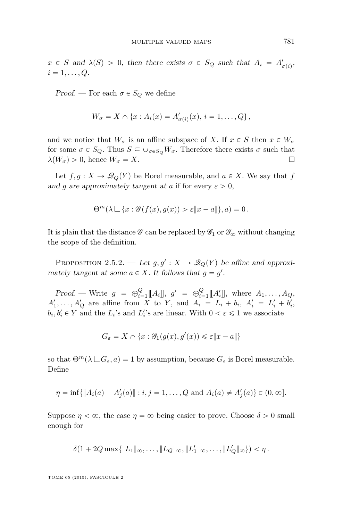<span id="page-19-0"></span>Proof. — For each  $\sigma \in S_Q$  we define

$$
W_{\sigma}=X\cap\left\{x:A_i(x)=A'_{\sigma(i)}(x),\,i=1,\ldots,Q\right\},\,
$$

and we notice that  $W_{\sigma}$  is an affine subspace of *X*. If  $x \in S$  then  $x \in W_{\sigma}$ for some  $\sigma \in S_Q$ . Thus  $S \subseteq \cup_{\sigma \in S_Q} W_{\sigma}$ . Therefore there exists  $\sigma$  such that  $\lambda(W_{\sigma}) > 0$ , hence  $W_{\sigma} = X$ .

Let  $f, g: X \to \mathcal{Q}_Q(Y)$  be Borel measurable, and  $a \in X$ . We say that *f* and *g* are approximately tangent at *a* if for every  $\varepsilon > 0$ ,

$$
\Theta^m(\lambda \sqcup \{x:\mathscr{G}(f(x),g(x))>\varepsilon\|x-a\|\},a)=0.
$$

It is plain that the distance  $\mathscr G$  can be replaced by  $\mathscr G_1$  or  $\mathscr G_\infty$  without changing the scope of the definition.

PROPOSITION 2.5.2. — Let  $g, g' : X \to \mathcal{Q}_Q(Y)$  be affine and approximately tangent at some  $a \in X$ . It follows that  $g = g'$ .

Proof. — Write  $g = \bigoplus_{i=1}^{Q} [A_i]$ ,  $g' = \bigoplus_{i=1}^{Q} [A'_i]$ , where  $A_1, \ldots, A_Q$ ,  $A'_1, \ldots, A'_Q$  are affine from *X* to *Y*, and  $A_i = L_i + b_i$ ,  $A'_i = L'_i + b'_i$ ,  $b_i, b'_i \in Y$  and the  $L_i$ 's and  $L'_i$ 's are linear. With  $0 < \varepsilon \leq 1$  we associate

$$
G_{\varepsilon} = X \cap \{x : \mathcal{G}_1(g(x), g'(x)) \leq \varepsilon ||x - a||\}
$$

so that  $\Theta^m(\lambda \sqcup G_{\varepsilon}, a) = 1$  by assumption, because  $G_{\varepsilon}$  is Borel measurable. Define

$$
\eta = \inf \{ \|A_i(a) - A'_j(a)\| : i, j = 1, \dots, Q \text{ and } A_i(a) \neq A'_j(a) \} \in (0, \infty].
$$

Suppose  $\eta < \infty$ , the case  $\eta = \infty$  being easier to prove. Choose  $\delta > 0$  small enough for

$$
\delta(1 + 2Q \max\{\|L_1\|_{\infty}, \ldots, \|L_Q\|_{\infty}, \|L'_1\|_{\infty}, \ldots, \|L'_Q\|_{\infty}\}) < \eta.
$$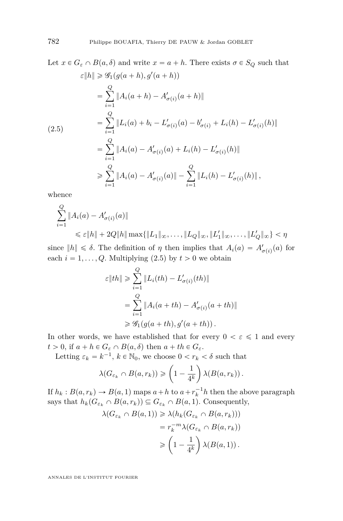Let  $x \in G_{\varepsilon} \cap B(a, \delta)$  and write  $x = a + h$ . There exists  $\sigma \in S_Q$  such that  $\varepsilon$ <sup>*l*</sup> $|h$ </sup> $\geq$   $\mathcal{G}_1(g(a+h), g'(a+h))$  $=$ ÿ *Q*  $i=1$  $||A_i(a+h) - A'_{\sigma(i)}(a+h)||$  $=$ ÿ *Q*  $i=1$  $||L_i(a) + b_i - L'_{\sigma(i)}(a) - b'_{\sigma(i)} + L_i(h) - L'_{\sigma(i)}(h)||$  $=$ ÿ *Q*  $i=1$  $||A_i(a) - A'_{\sigma(i)}(a) + L_i(h) - L'_{\sigma(i)}(h)||$ ě ÿ *Q*  $i=1$  $||A_i(a) - A'_{\sigma(i)}(a)|| - \sum_{i=1}^{Q}$  $i = 1$  $\|L_i(h) - L'_{\sigma(i)}(h)\|$ , (2.5)

whence

$$
\sum_{i=1}^{Q} \|A_i(a) - A'_{\sigma(i)}(a)\|
$$
  
\$\leq \varepsilon \|h\| + 2Q\|h\| \max\{\|L\_1\|\_{\infty}, \dots, \|L\_Q\|\_{\infty}, \|L'\_1\|\_{\infty}, \dots, \|L'\_Q\|\_{\infty}\} < \eta\$

since  $||h|| \leq \delta$ . The definition of *η* then implies that  $A_i(a) = A'_{\sigma(i)}(a)$  for each  $i = 1, \ldots, Q$ . Multiplying (2.5) by  $t > 0$  we obtain

$$
\varepsilon \|th\| \geq \sum_{i=1}^{Q} \|L_i(th) - L'_{\sigma(i)}(th)\|
$$
  
= 
$$
\sum_{i=1}^{Q} \|A_i(a+th) - A'_{\sigma(i)}(a+th)\|
$$
  

$$
\geq \mathcal{G}_1(g(a+th), g'(a+th)).
$$

In other words, we have established that for every  $0 < \varepsilon \leq 1$  and every  $t > 0$ , if  $a + h \in G_{\varepsilon} \cap B(a, \delta)$  then  $a + th \in G_{\varepsilon}$ .

Letting 
$$
\varepsilon_k = k^{-1}
$$
,  $k \in \mathbb{N}_0$ , we choose  $0 < r_k < \delta$  such that  

$$
\lambda(G_{\varepsilon_k} \cap B(a, r_k)) \ge \left(1 - \frac{1}{4^k}\right) \lambda(B(a, r_k)).
$$

If  $h_k: B(a, r_k) \to B(a, 1)$  maps  $a + h$  to  $a + r_k^{-1}h$  then the above paragraph says that  $h_k(G_{\varepsilon_k} \cap B(a, r_k)) \subseteq G_{\varepsilon_k} \cap B(a, 1)$ . Consequently,

$$
\lambda(G_{\varepsilon_k} \cap B(a, 1)) \ge \lambda(h_k(G_{\varepsilon_k} \cap B(a, r_k)))
$$
  
=  $r_k^{-m} \lambda(G_{\varepsilon_k} \cap B(a, r_k))$   

$$
\ge \left(1 - \frac{1}{4^k}\right) \lambda(B(a, 1)).
$$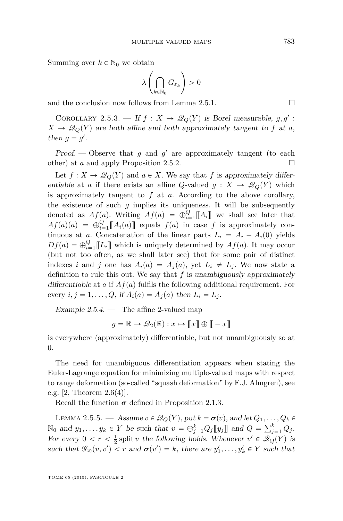<span id="page-21-0"></span>Summing over  $k \in \mathbb{N}_0$  we obtain

$$
\lambda\left(\bigcap_{k\in\mathbb{N}_0} G_{\varepsilon_k}\right) > 0
$$

and the conclusion now follows from Lemma [2.5.1.](#page-18-0)  $\Box$ 

COROLLARY 2.5.3. — If  $f: X \to \mathcal{Q}_Q(Y)$  is Borel measurable,  $g, g'$ :  $X \rightarrow \mathcal{Q}_Q(Y)$  are both affine and both approximately tangent to *f* at *a*, then  $g = g'$ .

Proof.  $\sim$  Observe that *g* and *g*' are approximately tangent (to each other) at *a* and apply Proposition [2.5.2.](#page-19-0)

Let  $f: X \to \mathcal{Q}_Q(Y)$  and  $a \in X$ . We say that f is approximately differentiable at *a* if there exists an affine *Q*-valued  $g: X \to \mathcal{Q}_Q(Y)$  which is approximately tangent to *f* at *a*. According to the above corollary, the existence of such  $g$  implies its uniqueness. It will be subsequently denoted as  $Af(a)$ . Writing  $Af(a) = \bigoplus_{i=1}^{Q} [A_i]$  we shall see later that  $Af(a)(a) = \bigoplus_{i=1}^{Q}[[A_i(a)]]$  equals  $f(a)$  in case *f* is approximately continuous at *a*. Concatenation of the linear parts  $L_i = A_i - A_i(0)$  yields  $Df(a) = \bigoplus_{i=1}^{Q} [[L_i]]$  which is uniquely determined by  $Af(a)$ . It may occur (but not too often, as we shall later see) that for some pair of distinct indexes *i* and *j* one has  $A_i(a) = A_j(a)$ , yet  $L_i \neq L_j$ . We now state a definition to rule this out. We say that  $f$  is unambiguously approximately differentiable at *a* if  $Af(a)$  fulfils the following additional requirement. For every  $i, j = 1, \ldots, Q$ , if  $A_i(a) = A_j(a)$  then  $L_i = L_j$ .

Example  $2.5.4.$  — The affine 2-valued map

$$
g = \mathbb{R} \to \mathcal{Q}_2(\mathbb{R}) : x \mapsto \llbracket x \rrbracket \oplus \llbracket -x \rrbracket
$$

is everywhere (approximately) differentiable, but not unambiguously so at 0.

The need for unambiguous differentiation appears when stating the Euler-Lagrange equation for minimizing multiple-valued maps with respect to range deformation (so-called "squash deformation" by F.J. Almgren), see e.g.  $[2,$  Theorem  $2.6(4)$ .

Recall the function  $\sigma$  defined in Proposition [2.1.3.](#page-6-0)

LEMMA 2.5.5. — Assume  $v \in \mathcal{Q}_Q(Y)$ , put  $k = \sigma(v)$ , and let  $Q_1, \ldots, Q_k \in$  $\mathbb{N}_0$  and  $y_1, \ldots, y_k \in Y$  be such that  $v = \bigoplus_{j=1}^k Q_j \llbracket y_j \rrbracket$  and  $Q =$  $\sum_{k}^{n}$  $\int_{j=1}^{\kappa} Q_j$ . For every  $0 < r < \frac{1}{2}$  split *v* the following holds. Whenever  $v' \in \mathcal{Q}_Q(Y)$  is such that  $\mathscr{G}_{\infty}(v, v') < r$  and  $\sigma(v') = k$ , there are  $y'_1, \ldots, y'_k \in Y$  such that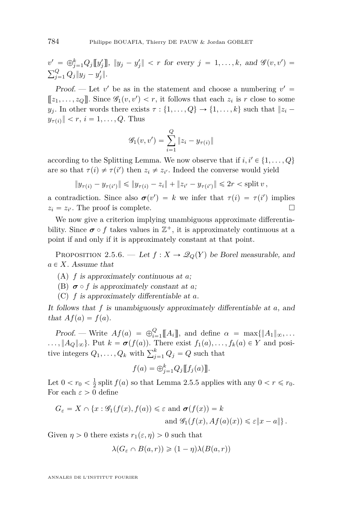<span id="page-22-0"></span> $v' = \bigoplus_{j=1}^{k} Q_j[[y'_j]], ||y_j - y'_j|| < r$  for every  $j = 1, ..., k$ , and  $\mathscr{G}(v, v') =$  $\sum_{n=1}^{\infty}$  $\frac{Q}{j=1} Q_j ||y_j - y'_j||.$ 

Proof. — Let  $v'$  be as in the statement and choose a numbering  $v' =$  $[[z_1, \ldots, z_Q]]$ . Since  $\mathscr{G}_1(v, v') < r$ , it follows that each  $z_i$  is *r* close to some *y*<sub>*j*</sub>. In other words there exists  $\tau : \{1, \ldots, Q\} \rightarrow \{1, \ldots, k\}$  such that  $|z_i - z_j|$  $y_{\tau(i)}$   $| \leq r, i = 1, \ldots, Q$ . Thus

$$
\mathcal{G}_1(v, v') = \sum_{i=1}^{Q} ||z_i - y_{\tau(i)}||
$$

according to the Splitting Lemma. We now observe that if  $i, i' \in \{1, ..., Q\}$ are so that  $\tau(i) \neq \tau(i')$  then  $z_i \neq z_{i'}$ . Indeed the converse would yield

$$
||y_{\tau(i)} - y_{\tau(i')}|| \le ||y_{\tau(i)} - z_i|| + ||z_{i'} - y_{\tau(i')}|| \le 2r <
$$
 split  $v$ ,

a contradiction. Since also  $\sigma(v') = k$  we infer that  $\tau(i) = \tau(i')$  implies  $z_i = z_{i'}$ . The proof is complete.

We now give a criterion implying unambiguous approximate differentiability. Since  $\sigma \circ f$  takes values in  $\mathbb{Z}^+$ , it is approximately continuous at a point if and only if it is approximately constant at that point.

PROPOSITION 2.5.6. — Let  $f: X \to \mathcal{Q}_Q(Y)$  be Borel measurable, and  $a \in X$ . Assume that

- (A) *f* is approximately continuous at *a*;
- (B)  $\sigma \circ f$  is approximately constant at *a*;
- (C) *f* is approximately differentiable at *a*.

It follows that *f* is unambiguously approximately differentiable at *a*, and that  $Af(a) = f(a)$ .

Proof. — Write  $Af(a) = \bigoplus_{i=1}^{Q} [A_i]$ , and define  $\alpha = \max\{|A_1\|_{\infty}, \ldots$  $\ldots, \|A_Q\|_{\infty}$ . Put  $k = \sigma(f(a))$ . There exist  $f_1(a), \ldots, f_k(a) \in Y$  and posi- $\ldots$ ,  $|A_Q| \infty$ ;  $\vdots$  and  $\kappa = \mathbf{0}$  (*J*(*a*)). There exist  $f_1(a), \ldots$ <br>tive integers  $Q_1, \ldots, Q_k$  with  $\sum_{j=1}^k Q_j = Q$  such that

$$
f(a) = \bigoplus_{j=1}^{k} Q_j [[f_j(a)]]
$$

Let  $0 < r_0 < \frac{1}{2}$  split  $f(a)$  so that Lemma [2.5.5](#page-21-0) applies with any  $0 < r \le r_0$ . For each  $\varepsilon > 0$  define

$$
G_{\varepsilon} = X \cap \{x : \mathscr{G}_1(f(x), f(a)) \le \varepsilon \text{ and } \sigma(f(x)) = k
$$
  
and 
$$
\mathscr{G}_1(f(x), Af(a)(x)) \le \varepsilon ||x - a|| \}.
$$

Given  $\eta > 0$  there exists  $r_1(\varepsilon, \eta) > 0$  such that

$$
\lambda(G_{\varepsilon} \cap B(a, r)) \geq (1 - \eta)\lambda(B(a, r))
$$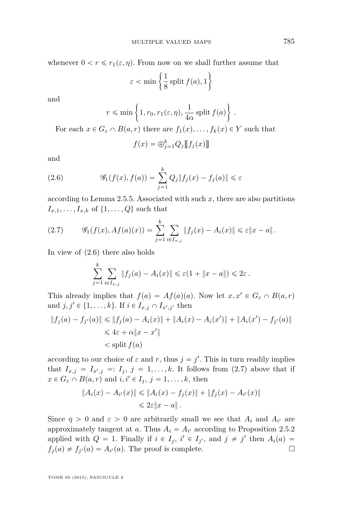whenever  $0 < r \le r_1(\varepsilon, \eta)$ . From now on we shall further assume that

$$
\varepsilon < \min\left\{\frac{1}{8}\text{ split } f(a), 1\right\}
$$

and

$$
r \le \min\left\{1, r_0, r_1(\varepsilon, \eta), \frac{1}{4\alpha}\text{ split }f(a)\right\}
$$

*.*

For each  $x \in G_{\varepsilon} \cap B(a, r)$  there are  $f_1(x), \ldots, f_k(x) \in Y$  such that

$$
f(x) = \bigoplus_{j=1}^{k} Q_j [[f_j(x)]]
$$

and

(2.6) 
$$
\mathscr{G}_1(f(x), f(a)) = \sum_{j=1}^k Q_j \|f_j(x) - f_j(a)\| \leq \varepsilon
$$

according to Lemma [2.5.5.](#page-21-0) Associated with such *x*, there are also partitions  $I_{x,1}, \ldots, I_{x,k}$  of  $\{1, \ldots, Q\}$  such that

(2.7) 
$$
\mathscr{G}_1(f(x), Af(a)(x)) = \sum_{j=1}^k \sum_{i \in I_{x,j}} ||f_j(x) - A_i(x)|| \leq \varepsilon ||x - a||.
$$

In view of (2.6) there also holds

$$
\sum_{j=1}^k \sum_{i \in I_{x,j}} \|f_j(a) - A_i(x)\| \leq \varepsilon (1 + \|x - a\|) \leq 2\varepsilon.
$$

This already implies that  $f(a) = Af(a)(a)$ . Now let  $x, x' \in G_{\varepsilon} \cap B(a, r)$ and  $j, j' \in \{1, ..., k\}$ . If  $i \in I_{x,j} \cap I_{x',j'}$  then

$$
||f_j(a) - f_{j'}(a)|| \le ||f_j(a) - A_i(x)|| + ||A_i(x) - A_i(x')|| + ||A_i(x') - f_{j'}(a)||
$$
  

$$
\le 4\varepsilon + \alpha ||x - x'||
$$
  

$$
<
$$
split  $f(a)$ 

according to our choice of  $\varepsilon$  and  $r$ , thus  $j = j'$ . This in turn readily implies that  $I_{x,j} = I_{x',j} =: I_j, j = 1, \ldots, k$ . It follows from (2.7) above that if  $x \in G_{\varepsilon} \cap B(a, r)$  and  $i, i' \in I_j, j = 1, \ldots, k$ , then

$$
||A_i(x) - A_{i'}(x)|| \le ||A_i(x) - f_j(x)|| + ||f_j(x) - A_{i'}(x)||
$$
  

$$
\le 2\varepsilon ||x - a||.
$$

Since  $\eta > 0$  and  $\varepsilon > 0$  are arbitrarily small we see that  $A_i$  and  $A_{i'}$  are approximately tangent at *a*. Thus  $A_i = A_{i'}$  according to Proposition [2.5.2](#page-19-0) applied with  $Q = 1$ . Finally if  $i \in I_j$ ,  $i' \in I_{j'}$ , and  $j \neq j'$  then  $A_i(a) =$  $f_j(a) \neq f_{j'}(a) = A_{i'}(a)$ . The proof is complete.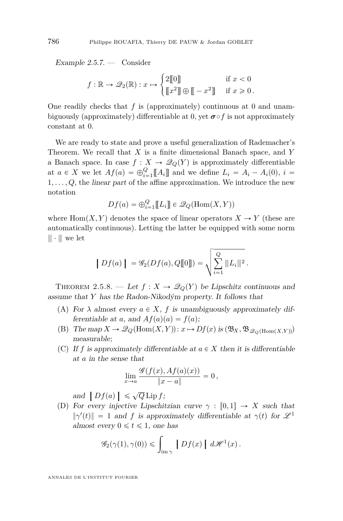<span id="page-24-0"></span>Example  $2.5.7.$  — Consider

$$
f: \mathbb{R} \to \mathcal{Q}_2(\mathbb{R}): x \mapsto \begin{cases} 2[\![0]\!] & \text{if } x < 0 \\ [\![x^2]\!] \oplus [\![-x^2]\!] & \text{if } x \geqslant 0 \,. \end{cases}
$$

One readily checks that *f* is (approximately) continuous at 0 and unambiguously (approximately) differentiable at 0, yet  $\sigma \circ f$  is not approximately constant at 0.

We are ready to state and prove a useful generalization of Rademacher's Theorem. We recall that *X* is a finite dimensional Banach space, and *Y* a Banach space. In case  $f: X \to \mathcal{Q}_Q(Y)$  is approximately differentiable at  $a \in X$  we let  $Af(a) = \bigoplus_{i=1}^{Q} [A_i]$  and we define  $L_i = A_i - A_i(0), i =$  $1, \ldots, Q$ , the *linear part* of the affine approximation. We introduce the new notation

$$
Df(a) = \bigoplus_{i=1}^{Q} [[L_i]] \in \mathscr{Q}_Q(\text{Hom}(X, Y))
$$

where  $\text{Hom}(X, Y)$  denotes the space of linear operators  $X \to Y$  (these are automatically continuous). Letting the latter be equipped with some norm  $\Vert \cdot \Vert$  we let

$$
|Df(a)| = \mathscr{G}_2(Df(a), Q[\![0]\!]) = \sqrt{\sum_{i=1}^Q ||L_i||^2}.
$$

THEOREM 2.5.8. — Let  $f: X \to \mathcal{Q}_Q(Y)$  be Lipschitz continuous and assume that *Y* has the Radon-Nikodým property. It follows that

- (A) For  $\lambda$  almost every  $a \in X$ ,  $f$  is unambiguously approximately differentiable at *a*, and  $Af(a)(a) = f(a);$
- (B) The map  $X \to \mathscr{Q}_Q(\text{Hom}(X, Y))$ :  $x \mapsto Df(x)$  is  $(\mathfrak{B}_X, \mathfrak{B}_{\mathscr{Q}_Q(\text{Hom}(X, Y))})$ measurable;
- (C) If f is approximately differentiable at  $a \in X$  then it is differentiable at *a* in the sense that

$$
\lim_{x\to a}\frac{\mathscr{G}(f(x),Af(a)(x))}{\|x-a\|}=0,
$$

and  $\left|Df(a)\right| \leq \sqrt{Q} \operatorname{Lip} f$ ;<br>For every injective Lipschip

(D) For every injective Lipschitzian curve  $\gamma : [0,1] \rightarrow X$  such that  $\|\gamma'(t)\| = 1$  and *f* is approximately differentiable at  $\gamma(t)$  for  $\mathscr{L}^1$ almost every  $0 \le t \le 1$ , one has

$$
\mathscr{G}_2(\gamma(1), \gamma(0)) \leq \int_{\text{im}\,\gamma} |Df(x)| d\mathscr{H}^1(x).
$$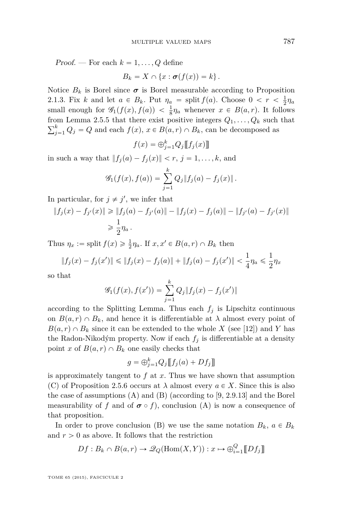Proof. — For each  $k = 1, \ldots, Q$  define

$$
B_k = X \cap \{x : \boldsymbol{\sigma}(f(x)) = k\}.
$$

Notice  $B_k$  is Borel since  $\sigma$  is Borel measurable according to Proposition [2.1.3.](#page-6-0) Fix *k* and let  $a \in B_k$ . Put  $\eta_a = \text{split } f(a)$ . Choose  $0 < r < \frac{1}{2}\eta_a$ small enough for  $\mathscr{G}_1(f(x), f(a)) < \frac{1}{8}\eta_a$  whenever  $x \in B(a, r)$ . It follows from Lemma [2.5.5](#page-21-0) that there exist positive integers  $Q_1, \ldots, Q_k$  such that ř*k*  $f_{j=1}^{k} Q_j = Q$  and each  $f(x), x \in B(a, r) \cap B_k$ , can be decomposed as

$$
f(x) = \bigoplus_{j=1}^{k} Q_j [[f_j(x)]]
$$

in such a way that  $||f_i(a) - f_i(x)|| < r$ ,  $j = 1, ..., k$ , and

$$
\mathscr{G}_1(f(x), f(a)) = \sum_{j=1}^k Q_j \|f_j(a) - f_j(x)\|.
$$

In particular, for  $j \neq j'$ , we infer that

$$
||f_j(x) - f_{j'}(x)|| \ge ||f_j(a) - f_{j'}(a)|| - ||f_j(x) - f_j(a)|| - ||f_{j'}(a) - f_{j'}(x)||
$$
  

$$
\ge \frac{1}{2} \eta_a.
$$

Thus  $\eta_x := \text{split } f(x) \geqslant \frac{1}{2} \eta_a$ . If  $x, x' \in B(a, r) \cap B_k$  then

$$
\|f_j(x) - f_j(x')\| \le \|f_j(x) - f_j(a)\| + \|f_j(a) - f_j(x')\| < \frac{1}{4}\eta_a \le \frac{1}{2}\eta_x
$$

so that

$$
\mathscr{G}_1(f(x), f(x')) = \sum_{j=1}^k Q_j \|f_j(x) - f_j(x')\|
$$

according to the Splitting Lemma. Thus each  $f_i$  is Lipschitz continuous on  $B(a, r) \cap B_k$ , and hence it is differentiable at  $\lambda$  almost every point of  $B(a, r) \cap B_k$  since it can be extended to the whole *X* (see [\[12\]](#page-71-0)) and *Y* has the Radon-Nikodým property. Now if each  $f_j$  is differentiable at a density point *x* of  $B(a, r) \cap B_k$  one easily checks that

$$
g = \bigoplus_{j=1}^{k} Q_j [[f_j(a) + Df_j]]
$$

is approximately tangent to *f* at *x*. Thus we have shown that assumption (C) of Proposition [2.5.6](#page-22-0) occurs at  $\lambda$  almost every  $a \in X$ . Since this is also the case of assumptions (A) and (B) (according to [\[9,](#page-70-0) 2.9.13] and the Borel measurability of *f* and of  $\sigma \circ f$ , conclusion (A) is now a consequence of that proposition.

In order to prove conclusion (B) we use the same notation  $B_k$ ,  $a \in B_k$ and  $r > 0$  as above. It follows that the restriction

$$
Df: B_k \cap B(a, r) \to \mathcal{Q}_Q(\text{Hom}(X, Y)): x \mapsto \bigoplus_{i=1}^Q [Df_j]
$$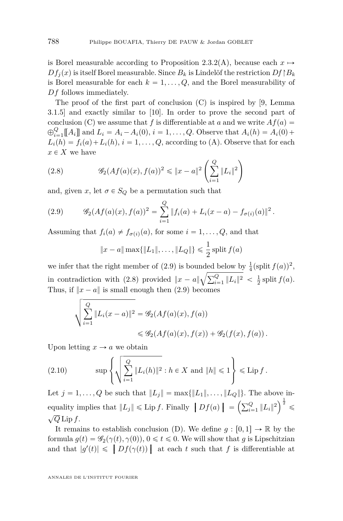<span id="page-26-0"></span>is Borel measurable according to Proposition [2.3.2\(](#page-8-0)A), because each  $x \mapsto$  $Df_i(x)$  is itself Borel measurable. Since  $B_k$  is Lindelöf the restriction  $Df \upharpoonright B_k$ is Borel measurable for each  $k = 1, \ldots, Q$ , and the Borel measurability of *Df* follows immediately.

The proof of the first part of conclusion (C) is inspired by [\[9,](#page-70-0) Lemma 3.1.5] and exactly similar to [\[10\]](#page-70-0). In order to prove the second part of conclusion (C) we assume that *f* is differentiable at *a* and we write  $Af(a)$  $\bigoplus_{i=1}^{Q} [A_i]$  and  $L_i = A_i - A_i(0), i = 1, ..., Q$ . Observe that  $A_i(h) = A_i(0) +$  $L_i(h) = f_i(a) + L_i(h), i = 1, \ldots, Q$ , according to (A). Observe that for each  $x \in X$  we have į,

(2.8) 
$$
\mathscr{G}_2(Af(a)(x), f(a))^2 \leq \|x-a\|^2 \left(\sum_{i=1}^Q \|L_i\|^2\right)
$$

and, given *x*, let  $\sigma \in S_Q$  be a permutation such that

(2.9) 
$$
\mathscr{G}_2(Af(a)(x), f(a))^2 = \sum_{i=1}^Q ||f_i(a) + L_i(x-a) - f_{\sigma(i)}(a)||^2.
$$

Assuming that  $f_i(a) \neq f_{\sigma(i)}(a)$ , for some  $i = 1, \ldots, Q$ , and that

$$
||x - a|| \max{||L_1||, ..., ||L_Q||} \le \frac{1}{2}
$$
 split  $f(a)$ 

we infer that the right member of (2.9) is bounded below by  $\frac{1}{4}(\text{split } f(a))^2$ , we inter that the right member of (2.9) is bounded if<br>in contradiction with (2.8) provided  $||x - a||\sqrt{\sum_{i=1}^{Q} a_i}$  $\frac{Q}{i-1}$   $||L_i||^2 < \frac{1}{2}$  split  $f(a)$ . Thus, if  $||x - a||$  is small enough then (2.9) becomes

$$
\sqrt{\sum_{i=1}^{Q} \|L_i(x-a)\|^2} = \mathcal{G}_2(Af(a)(x), f(a))
$$
  
\$\leq \mathcal{G}\_2(Af(a)(x), f(x)) + \mathcal{G}\_2(f(x), f(a))\$.

Upon letting  $x \to a$  we obtain

(2.10) 
$$
\sup \left\{ \sqrt{\sum_{i=1}^{Q} ||L_i(h)||^2} : h \in X \text{ and } ||h|| \leq 1 \right\} \leq \text{Lip } f.
$$

Let  $j = 1, ..., Q$  be such that  $||L_j|| = \max{||L_1||, ..., ||L_Q||}$ . The above inequality implies that  $||L_j|| \leq \text{Lip } f$ . Finally  $|Df(a)| =$  $\sqrt{2}$  $\left( \sum\limits_{i=1}^Q \|L_i\|^2 \right)^2 \leqslant$ ?  $\sqrt{Q}$  Lip *f*.

It remains to establish conclusion (D). We define  $g : [0,1] \to \mathbb{R}$  by the formula  $g(t) = \mathscr{G}_2(\gamma(t), \gamma(0)), 0 \leq t \leq 0$ . We will show that *g* is Lipschitzian and that  $|g'(t)| \leq |Df(\gamma(t))|$  at each *t* such that *f* is differentiable at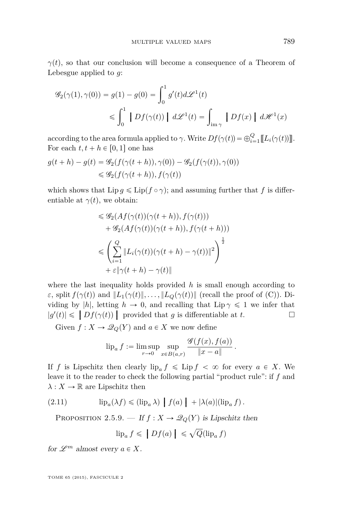<span id="page-27-0"></span>*γ*(*t*), so that our conclusion will become a consequence of a Theorem of Lebesgue applied to *g*:

$$
\mathscr{G}_2(\gamma(1), \gamma(0)) = g(1) - g(0) = \int_0^1 g'(t) d\mathscr{L}^1(t)
$$
  

$$
\leq \int_0^1 |Df(\gamma(t))| d\mathscr{L}^1(t) = \int_{\text{im}\gamma} |Df(x)| d\mathscr{H}^1(x)
$$

according to the area formula applied to *γ*. Write  $Df(\gamma(t)) = \bigoplus_{i=1}^{Q} [L_i(\gamma(t))]$ . For each  $t, t + h \in [0, 1]$  one has

$$
g(t+h) - g(t) = \mathcal{G}_2(f(\gamma(t+h)), \gamma(0)) - \mathcal{G}_2(f(\gamma(t)), \gamma(0))
$$
  

$$
\leq \mathcal{G}_2(f(\gamma(t+h)), f(\gamma(t))
$$

which shows that  $\text{Lip } g \leq \text{Lip}(f \circ \gamma)$ ; and assuming further that *f* is differentiable at  $\gamma(t)$ , we obtain:

$$
\leq \mathcal{G}_2(Af(\gamma(t))(\gamma(t+h)), f(\gamma(t)))
$$
  
+ 
$$
\mathcal{G}_2(Af(\gamma(t))(\gamma(t+h)), f(\gamma(t+h)))
$$
  

$$
\leq \left(\sum_{i=1}^Q \|L_i(\gamma(t))(\gamma(t+h) - \gamma(t))\|^2\right)^{\frac{1}{2}}
$$
  
+ 
$$
\varepsilon \|\gamma(t+h) - \gamma(t)\|
$$

where the last inequality holds provided *h* is small enough according to *ε*, split  $f(\gamma(t))$  and  $\|L_1(\gamma(t))\|$ , ...,  $\|L_Q(\gamma(t))\|$  (recall the proof of (C)). Dividing by |*h*|, letting  $h \to 0$ , and recalling that Lip  $\gamma \leq 1$  we infer that  $|g'(t)| \leq |Df(\gamma(t))|$  provided that *g* is differentiable at *t*.

Given  $f: X \to \mathcal{Q}_Q(Y)$  and  $a \in X$  we now define

$$
\mathrm{lip}_a f := \limsup_{r \to 0} \sup_{x \in B(a,r)} \frac{\mathscr{G}(f(x), f(a))}{\|x - a\|}.
$$

If *f* is Lipschitz then clearly  $\text{lip}_a f \leq \text{Lip } f < \infty$  for every  $a \in X$ . We leave it to the reader to check the following partial "product rule": if *f* and  $\lambda: X \to \mathbb{R}$  are Lipschitz then

(2.11) 
$$
\mathrm{lip}_a(\lambda f) \leq (\mathrm{lip}_a \lambda) |f(a)| + |\lambda(a)| (\mathrm{lip}_a f).
$$

PROPOSITION 2.5.9. — If  $f: X \to \mathcal{Q}_Q(Y)$  is Lipschitz then a

$$
\text{lip}_a f \leqslant \left| Df(a) \right| \leqslant \sqrt{Q}(\text{lip}_a f)
$$

for  $\mathscr{L}^m$  almost every  $a \in X$ .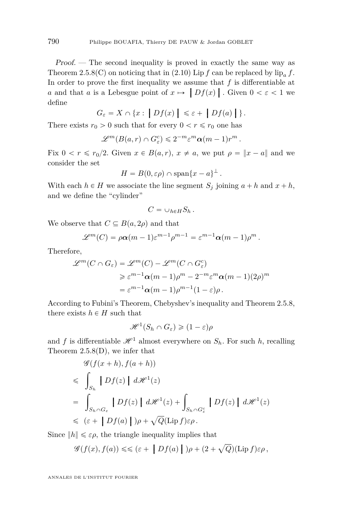Proof. — The second inequality is proved in exactly the same way as Theorem [2.5.8\(](#page-24-0)C) on noticing that in [\(2.10\)](#page-26-0) Lip  $f$  can be replaced by  $\text{lip}_a f$ . In order to prove the first inequality we assume that *f* is differentiable at *a* and that *a* is a Lebesgue point of  $x \mapsto \left| Df(x) \right|$ . Given  $0 < \varepsilon < 1$  we define

$$
G_{\varepsilon} = X \cap \{x : \big| Df(x) \big| \leq \varepsilon + \big| Df(a) \big| \}.
$$

There exists  $r_0 > 0$  such that for every  $0 < r \le r_0$  one has

$$
\mathscr{L}^m(B(a,r)\cap G_{\varepsilon}^c)\leqslant 2^{-m}{\varepsilon}^m\alpha(m-1)r^m\,.
$$

Fix  $0 < r \leq r_0/2$ . Given  $x \in B(a, r)$ ,  $x \neq a$ , we put  $\rho = ||x - a||$  and we consider the set

$$
H = B(0, \varepsilon \rho) \cap \text{span}\{x - a\}^{\perp}.
$$

With each  $h \in H$  we associate the line segment  $S_j$  joining  $a + h$  and  $x + h$ , and we define the "cylinder"

$$
C=\cup_{h\in H}S_h.
$$

We observe that  $C \subseteq B(a, 2\rho)$  and that

$$
\mathscr{L}^m(C) = \rho \alpha (m-1) \varepsilon^{m-1} \rho^{m-1} = \varepsilon^{m-1} \alpha (m-1) \rho^m.
$$

Therefore,

$$
\mathcal{L}^m(C \cap G_{\varepsilon}) = \mathcal{L}^m(C) - \mathcal{L}^m(C \cap G_{\varepsilon})
$$
  
\n
$$
\geq \varepsilon^{m-1} \alpha(m-1) \rho^m - 2^{-m} \varepsilon^m \alpha(m-1) (2\rho)^m
$$
  
\n
$$
= \varepsilon^{m-1} \alpha(m-1) \rho^{m-1} (1-\varepsilon) \rho.
$$

According to Fubini's Theorem, Chebyshev's inequality and Theorem [2.5.8,](#page-24-0) there exists  $h \in H$  such that

$$
\mathcal{H}^1(S_h \cap G_{\varepsilon}) \geq (1 - \varepsilon)\rho
$$

and *f* is differentiable  $\mathcal{H}^1$  almost everywhere on  $S_h$ . For such *h*, recalling Theorem  $2.5.8(D)$  $2.5.8(D)$ , we infer that

$$
\mathcal{G}(f(x+h), f(a+h))
$$
\n
$$
\leq \int_{S_h} |Df(z)| d\mathcal{H}^1(z)
$$
\n
$$
= \int_{S_h \cap G_{\varepsilon}} |Df(z)| d\mathcal{H}^1(z) + \int_{S_h \cap G_{\varepsilon}^c} |Df(z)| d\mathcal{H}^1(z)
$$
\n
$$
\leq (\varepsilon + |Df(a)|)\rho + \sqrt{Q}(\text{Lip } f)\varepsilon \rho.
$$

Since  $||h|| \leq \varepsilon \rho$ , the triangle inequality implies that

$$
\mathscr{G}(f(x),f(a)) \leq \leq (\varepsilon + |Df(a)|)\rho + (2+\sqrt{Q})(\text{Lip }f)\varepsilon\rho,
$$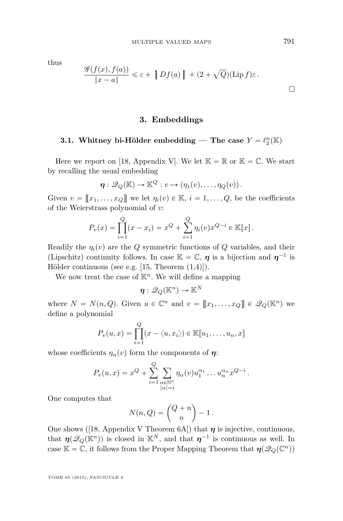<span id="page-29-0"></span>thus

$$
\frac{\mathscr{G}(f(x), f(a))}{\|x - a\|} \leq \varepsilon + \left\| Df(a) \right\| + (2 + \sqrt{Q})(\text{Lip } f)\varepsilon.
$$

#### **3. Embeddings**

## **3.1.** Whitney bi-Hölder embedding — The case  $Y = \ell_2^n(\mathbb{K})$

Here we report on [\[18,](#page-71-0) Appendix V]. We let  $\mathbb{K} = \mathbb{R}$  or  $\mathbb{K} = \mathbb{C}$ . We start by recalling the usual embedding

$$
\eta: \mathscr{Q}_Q(\mathbb{K}) \to \mathbb{K}^Q : v \mapsto (\eta_1(v), \ldots, \eta_Q(v)).
$$

Given  $v = [x_1, \ldots, x_Q]$  we let  $\eta_i(v) \in \mathbb{K}, i = 1, \ldots, Q$ , be the coefficients of the Weierstrass polynomial of *v*:

$$
P_v(x) = \prod_{i=1}^{Q} (x - x_i) = x^Q + \sum_{i=1}^{Q} \eta_i(v) x^{Q-i} \in \mathbb{K}[x].
$$

Readily the  $\eta_i(v)$  are the *Q* symmetric functions of *Q* variables, and their (Lipschitz) continuity follows. In case  $\mathbb{K} = \mathbb{C}$ ,  $\eta$  is a bijection and  $\eta^{-1}$  is Hölder continuous (see e.g. [\[15,](#page-71-0) Theorem (1,4)]).

We now treat the case of  $K<sup>n</sup>$ . We will define a mapping

 $\boldsymbol{\eta}:\mathscr{Q}_Q(\mathbb{K}^n) \rightarrow \mathbb{K}^N$ 

where  $N = N(n, Q)$ . Given  $u \in \mathbb{C}^n$  and  $v = [[x_1, \ldots, x_Q]] \in \mathscr{Q}_Q(\mathbb{K}^n)$  we define a polynomial

$$
P_v(u,x) = \prod_{i=1}^Q (x - \langle u, x_i \rangle) \in \mathbb{K}[u_1, \dots, u_n, x]
$$

whose coefficients  $\eta_{\alpha}(v)$  form the components of  $\eta$ :

$$
P_v(u,x) = x^Q + \sum_{i=1}^Q \sum_{\substack{\alpha \in \mathbb{N}^n \\ |\alpha|=i}} \eta_\alpha(v) u_1^{\alpha_1} \dots u_n^{\alpha_n} x^{Q-i}.
$$

One computes that

$$
N(n,Q) = \binom{Q+n}{n} - 1.
$$

One shows ([\[18,](#page-71-0) Appendix V Theorem 6A]) that *η* is injective, continuous, that  $\eta(\mathscr{Q}_Q(\mathbb{K}^n))$  is closed in  $\mathbb{K}^N$ , and that  $\eta^{-1}$  is continuous as well. In case  $\mathbb{K} = \mathbb{C}$ , it follows from the Proper Mapping Theorem that  $\eta(\mathscr{Q}_Q(\mathbb{C}^n))$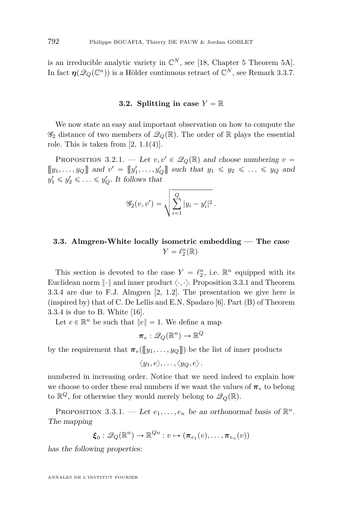<span id="page-30-0"></span>is an irreducible analytic variety in  $\mathbb{C}^N$ , see [\[18,](#page-71-0) Chapter 5 Theorem 5A]. In fact  $\eta(\mathscr{Q}_Q(\mathbb{C}^n))$  is a Hölder continuous retract of  $\mathbb{C}^N$ , see Remark [3.3.7.](#page-37-0)

#### **3.2.** Splitting in case  $Y = \mathbb{R}$

We now state an easy and important observation on how to compute the  $\mathscr{G}_2$  distance of two members of  $\mathscr{Q}_Q(\mathbb{R})$ . The order of R plays the essential role. This is taken from  $[2, 1.1(4)].$  $[2, 1.1(4)].$ 

PROPOSITION 3.2.1. — Let  $v, v' \in \mathscr{Q}_{Q}(\mathbb{R})$  and choose numbering  $v =$  $[[y_1, \ldots, y_Q]]$  and  $v' = [[y'_1, \ldots, y'_Q]]$  such that  $y_1 \le y_2 \le \ldots \le y_Q$  and  $y'_1 \leq y'_2 \leq \ldots \leq y'_Q$ . It follows that

$$
\mathscr{G}_2(v, v') = \sqrt{\sum_{i=1}^{Q} |y_i - y'_i|^2}.
$$

### **3.3. Almgren-White locally isometric embedding — The case**  $Y = \ell_2^n(\mathbb{R})$

This section is devoted to the case  $Y = \ell_2^n$ , i.e.  $\mathbb{R}^n$  equipped with its Euclidean norm  $\|\cdot\|$  and inner product  $\langle \cdot, \cdot \rangle$ . Proposition 3.3.1 and Theorem [3.3.4](#page-34-0) are due to F.J. Almgren [\[2,](#page-70-0) 1.2]. The presentation we give here is (inspired by) that of C. De Lellis and E.N. Spadaro [\[6\]](#page-70-0). Part (B) of Theorem [3.3.4](#page-34-0) is due to B. White [\[16\]](#page-71-0).

Let  $e \in \mathbb{R}^n$  be such that  $||e|| = 1$ . We define a map

$$
\boldsymbol{\pi}_e : \mathscr{Q}_Q(\mathbb{R}^n) \rightarrow \mathbb{R}^Q
$$

by the requirement that  $\pi_e(\llbracket y_1, \ldots, y_Q \rrbracket)$  be the list of inner products

$$
\langle y_1, e \rangle, \ldots, \langle y_Q, e \rangle.
$$

numbered in increasing order. Notice that we need indeed to explain how we choose to order these real numbers if we want the values of  $\pi_e$  to belong to  $\mathbb{R}^Q$ , for otherwise they would merely belong to  $\mathscr{Q}_Q(\mathbb{R})$ .

PROPOSITION 3.3.1. — Let  $e_1, \ldots, e_n$  be an orthonormal basis of  $\mathbb{R}^n$ . The mapping

$$
\boldsymbol{\xi}_0: \mathscr{Q}_Q(\mathbb{R}^n) \to \mathbb{R}^{Qn}: v \mapsto (\boldsymbol{\pi}_{e_1}(v), \dots, \boldsymbol{\pi}_{e_n}(v))
$$

has the following properties: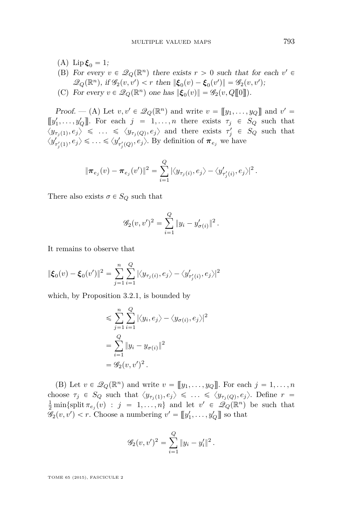- (A)  $\text{Lip}\,\xi_0 = 1;$
- (B) For every  $v \in \mathcal{Q}_Q(\mathbb{R}^n)$  there exists  $r > 0$  such that for each  $v' \in$  $\mathscr{Q}_Q(\mathbb{R}^n)$ , if  $\mathscr{G}_2(v, v') < r$  then  $\|\boldsymbol{\xi}_0(v) - \boldsymbol{\xi}_0(v')\| = \mathscr{G}_2(v, v');$
- (C) For every  $v \in \mathcal{Q}_Q(\mathbb{R}^n)$  one has  $\|\boldsymbol{\xi}_0(v)\| = \mathcal{G}_2(v, Q[\![0]\!]).$

*Proof.* -- (A) Let  $v, v' \in \mathcal{Q}_Q(\mathbb{R}^n)$  and write  $v = [[y_1, \ldots, y_Q]]$  and  $v' =$  $[\![y'_1, \ldots, y'_Q]\!]$ . For each  $j = 1, \ldots, n$  there exists  $\tau_j \in S_Q$  such that  $\langle y_{\tau_j(1)}, e_j \rangle \leq \ldots \leq \langle y_{\tau_j(Q)}, e_j \rangle$  and there exists  $\tau'_j \in S_Q$  such that  $\langle y'_{\tau'_j(1)}, e_j \rangle \leq \ldots \leq \langle y'_{\tau'_j(Q)}, e_j \rangle$ . By definition of  $\pi_{e_j}$  we have

$$
\|\boldsymbol{\pi}_{e_j}(v) - \boldsymbol{\pi}_{e_j}(v')\|^2 = \sum_{i=1}^Q |\langle y_{\tau_j(i)}, e_j \rangle - \langle y'_{\tau'_j(i)}, e_j \rangle|^2.
$$

There also exists  $\sigma \in S_Q$  such that

$$
\mathscr{G}_2(v, v')^2 = \sum_{i=1}^Q \|y_i - y'_{\sigma(i)}\|^2.
$$

It remains to observe that

$$
\|\boldsymbol{\xi}_0(v)-\boldsymbol{\xi}_0(v')\|^2=\sum_{j=1}^n\sum_{i=1}^Q|\langle y_{\tau_j(i)},e_j\rangle-\langle y'_{\tau'_j(i)},e_j\rangle|^2
$$

which, by Proposition [3.2.1,](#page-30-0) is bounded by

$$
\leqslant \sum_{j=1}^{n} \sum_{i=1}^{Q} |\langle y_i, e_j \rangle - \langle y_{\sigma(i)}, e_j \rangle|^2
$$
  
= 
$$
\sum_{i=1}^{Q} \|y_i - y_{\sigma(i)}\|^2
$$
  
= 
$$
\mathscr{G}_2(v, v')^2.
$$

(B) Let  $v \in \mathcal{Q}_Q(\mathbb{R}^n)$  and write  $v = [[y_1, \ldots, y_Q]]$ . For each  $j = 1, \ldots, n$ choose  $\tau_j \in S_Q$  such that  $\langle y_{\tau_j(1)}, e_j \rangle \leq \ldots \leq \langle y_{\tau_j(Q)}, e_j \rangle$ . Define  $r =$  $\frac{1}{2}$  min{split  $\pi_{e_j}(v)$  :  $j = 1, ..., n$ } and let  $v' \in \mathscr{Q}_Q(\mathbb{R}^n)$  be such that  $\mathscr{G}_2(v, v') < r$ . Choose a numbering  $v' = [\![y'_1, \ldots, y'_Q]\!]$  so that

$$
\mathscr{G}_2(v,v')^2 = \sum_{i=1}^Q \|y_i - y'_i\|^2.
$$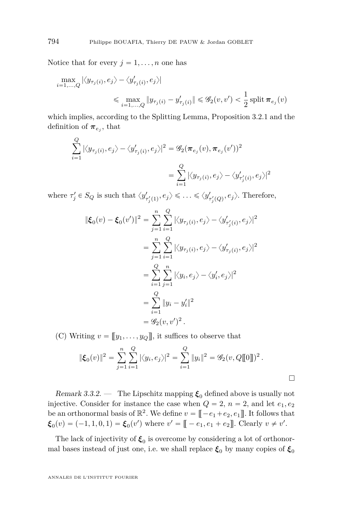Notice that for every  $j = 1, \ldots, n$  one has

$$
\begin{aligned} \max_{i=1,...,Q} \left| \left\langle y_{\tau_j(i)}, e_j \right\rangle - \left\langle y'_{\tau_j(i)}, e_j \right\rangle \right| \\ \leqslant \max_{i=1,...,Q} \left\| y_{\tau_j(i)} - y'_{\tau_j(i)} \right\| \leqslant \mathscr{G}_2(v,v') < \frac{1}{2} \operatorname{split} \pmb{\pi}_{e_j}(v) \end{aligned}
$$

which implies, according to the Splitting Lemma, Proposition [3.2.1](#page-30-0) and the definition of  $\pi_{e_j}$ , that

$$
\sum_{i=1}^{Q} |\langle y_{\tau_j(i)}, e_j \rangle - \langle y'_{\tau_j(i)}, e_j \rangle|^2 = \mathscr{G}_2(\pi_{e_j}(v), \pi_{e_j}(v'))^2
$$

$$
= \sum_{i=1}^{Q} |\langle y_{\tau_j(i)}, e_j \rangle - \langle y'_{\tau'_j(i)}, e_j \rangle|^2
$$

where  $\tau'_j \in S_Q$  is such that  $\langle y'_{\tau'_j(1)}, e_j \rangle \leq \ldots \leq \langle y'_{\tau'_j(Q)}, e_j \rangle$ . Therefore,

$$
\|\xi_0(v) - \xi_0(v')\|^2 = \sum_{j=1}^n \sum_{i=1}^Q |\langle y_{\tau_j(i)}, e_j \rangle - \langle y'_{\tau'_j(i)}, e_j \rangle|^2
$$
  
\n
$$
= \sum_{j=1}^n \sum_{i=1}^Q |\langle y_{\tau_j(i)}, e_j \rangle - \langle y'_{\tau_j(i)}, e_j \rangle|^2
$$
  
\n
$$
= \sum_{i=1}^Q \sum_{j=1}^n |\langle y_i, e_j \rangle - \langle y'_i, e_j \rangle|^2
$$
  
\n
$$
= \sum_{i=1}^Q \|y_i - y'_i\|^2
$$
  
\n
$$
= \mathcal{G}_2(v, v')^2.
$$

(C) Writing  $v = [[y_1, \ldots, y_Q]],$  it suffices to observe that

$$
\|\boldsymbol{\xi}_0(v)\|^2 = \sum_{j=1}^n \sum_{i=1}^Q |\langle y_i, e_j \rangle|^2 = \sum_{i=1}^Q \|y_i\|^2 = \mathscr{G}_2(v, Q[\![0]\!])^2.
$$

Remark 3.3.2. — The Lipschitz mapping  $\xi_0$  defined above is usually not injective. Consider for instance the case when  $Q = 2$ ,  $n = 2$ , and let  $e_1, e_2$ be an orthonormal basis of  $\mathbb{R}^2$ . We define  $v = \mathbb{I} - e_1 + e_2, e_1 \mathbb{I}$ . It follows that  $\boldsymbol{\xi}_0(v) = (-1, 1, 0, 1) = \boldsymbol{\xi}_0(v')$  where  $v' = [[-e_1, e_1 + e_2]].$  Clearly  $v \neq v'.$ 

The lack of injectivity of  $\xi_0$  is overcome by considering a lot of orthonormal bases instead of just one, i.e. we shall replace  $\xi_0$  by many copies of  $\xi_0$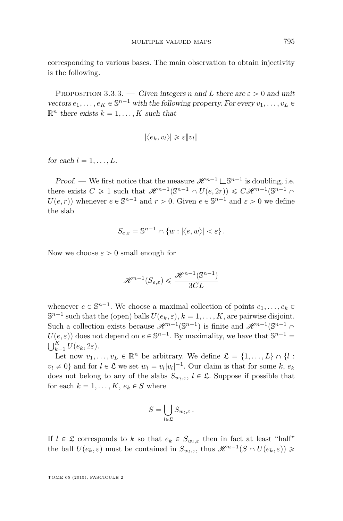<span id="page-33-0"></span>corresponding to various bases. The main observation to obtain injectivity is the following.

PROPOSITION 3.3.3. — Given integers *n* and *L* there are  $\varepsilon > 0$  and unit vectors  $e_1, \ldots, e_K \in \mathbb{S}^{n-1}$  with the following property. For every  $v_1, \ldots, v_L \in$  $\mathbb{R}^n$  there exists  $k = 1, \ldots, K$  such that

$$
|\langle e_k, v_l \rangle| \geqslant \varepsilon \|v_l\|
$$

for each  $l = 1, \ldots, L$ .

*Proof.* — We first notice that the measure  $\mathcal{H}^{n-1} \sqcup \mathbb{S}^{n-1}$  is doubling, i.e. there exists  $C \ge 1$  such that  $\mathcal{H}^{n-1}(\mathbb{S}^{n-1} \cap U(e, 2r)) \le C\mathcal{H}^{n-1}(\mathbb{S}^{n-1} \cap U(e, 2r))$  $U(e, r)$ ) whenever  $e \in \mathbb{S}^{n-1}$  and  $r > 0$ . Given  $e \in \mathbb{S}^{n-1}$  and  $\varepsilon > 0$  we define the slab

$$
S_{e,\varepsilon} = \mathbb{S}^{n-1} \cap \{w : |\langle e, w \rangle| < \varepsilon\}.
$$

Now we choose  $\varepsilon > 0$  small enough for

$$
\mathcal{H}^{n-1}(S_{e,\varepsilon}) \leq \frac{\mathcal{H}^{n-1}(\mathbb{S}^{n-1})}{3CL}
$$

whenever  $e \in \mathbb{S}^{n-1}$ . We choose a maximal collection of points  $e_1, \ldots, e_k \in$  $\mathbb{S}^{n-1}$  such that the (open) balls  $U(e_k, \varepsilon)$ ,  $k = 1, \ldots, K$ , are pairwise disjoint. Such a collection exists because  $\mathscr{H}^{n-1}(\mathbb{S}^{n-1})$  is finite and  $\mathscr{H}^{n-1}(\mathbb{S}^{n-1}\cap \mathbb{S}^{n-1})$  $U(e, \varepsilon)$  does not depend on  $e \in \mathbb{S}^{n-1}$ . By maximality, we have that  $\mathbb{S}^{n-1} =$  $\bigcup_{k=1}^K U(e_k, 2\varepsilon).$ 

Let now  $v_1, \ldots, v_L \in \mathbb{R}^n$  be arbitrary. We define  $\mathfrak{L} = \{1, \ldots, L\} \cap \{l : L\}$  $v_l \neq 0$  and for  $l \in \mathcal{L}$  we set  $w_l = v_l |v_l|^{-1}$ . Our claim is that for some  $k, e_k$ does not belong to any of the slabs  $S_{w_l,\varepsilon}$ ,  $l \in \mathfrak{L}$ . Suppose if possible that for each  $k = 1, \ldots, K, e_k \in S$  where

$$
S = \bigcup_{l \in \mathfrak{L}} S_{w_l, \varepsilon} \, .
$$

If  $l \in \mathcal{L}$  corresponds to *k* so that  $e_k \in S_{w_l,\varepsilon}$  then in fact at least "half" the ball  $U(e_k, \varepsilon)$  must be contained in  $S_{w_l, \varepsilon}$ , thus  $\mathscr{H}^{n-1}(S \cap U(e_k, \varepsilon)) \geq$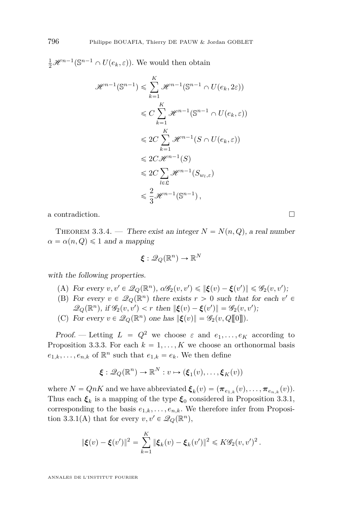<span id="page-34-0"></span> $\frac{1}{2}\mathscr{H}^{n-1}(\mathbb{S}^{n-1}\cap U(e_k,\varepsilon)).$  We would then obtain

$$
\mathcal{H}^{n-1}(\mathbb{S}^{n-1}) \leq \sum_{k=1}^{K} \mathcal{H}^{n-1}(\mathbb{S}^{n-1} \cap U(e_k, 2\varepsilon))
$$
  
\n
$$
\leq C \sum_{k=1}^{K} \mathcal{H}^{n-1}(\mathbb{S}^{n-1} \cap U(e_k, \varepsilon))
$$
  
\n
$$
\leq 2C \sum_{k=1}^{K} \mathcal{H}^{n-1}(S \cap U(e_k, \varepsilon))
$$
  
\n
$$
\leq 2C \mathcal{H}^{n-1}(S)
$$
  
\n
$$
\leq 2C \sum_{l \in \mathfrak{L}} \mathcal{H}^{n-1}(S_{w_l, \varepsilon})
$$
  
\n
$$
\leq \frac{2}{3} \mathcal{H}^{n-1}(\mathbb{S}^{n-1}),
$$

a contradiction.  $\hfill \square$ 

THEOREM 3.3.4. — There exist an integer  $N = N(n, Q)$ , a real number  $\alpha = \alpha(n, Q) \leq 1$  and a mapping

$$
\boldsymbol{\xi}: \mathscr{Q}_Q(\mathbb{R}^n) \to \mathbb{R}^N
$$

with the following properties.

- $(A)$  For every  $v, v' \in \mathcal{Q}_Q(\mathbb{R}^n)$ ,  $\alpha \mathscr{G}_2(v, v') \leq \|\boldsymbol{\xi}(v) \boldsymbol{\xi}(v')\| \leq \mathscr{G}_2(v, v');$
- (B) For every  $v \in \mathcal{Q}_Q(\mathbb{R}^n)$  there exists  $r > 0$  such that for each  $v' \in$  $\mathscr{Q}_Q(\mathbb{R}^n)$ , if  $\mathscr{G}_2(v, v') < r$  then  $\|\boldsymbol{\xi}(v) - \boldsymbol{\xi}(v')\| = \mathscr{G}_2(v, v');$
- (C) For every  $v \in \mathcal{Q}_Q(\mathbb{R}^n)$  one has  $\|\boldsymbol{\xi}(v)\| = \mathcal{G}_2(v, Q[\![0]\!]).$

Proof. — Letting  $L = Q^2$  we choose  $\varepsilon$  and  $e_1, \ldots, e_K$  according to Proposition [3.3.3.](#page-33-0) For each  $k = 1, ..., K$  we choose an orthonormal basis  $e_{1,k}, \ldots, e_{n,k}$  of  $\mathbb{R}^n$  such that  $e_{1,k} = e_k$ . We then define

$$
\boldsymbol{\xi}: \mathscr{Q}_Q(\mathbb{R}^n) \to \mathbb{R}^N : v \mapsto (\boldsymbol{\xi}_1(v), \dots, \boldsymbol{\xi}_K(v))
$$

where  $N = QnK$  and we have abbreviated  $\boldsymbol{\xi}_k(v) = (\boldsymbol{\pi}_{e_{1,k}}(v), \dots, \boldsymbol{\pi}_{e_{n,k}}(v)).$ Thus each  $\xi_k$  is a mapping of the type  $\xi_0$  considered in Proposition [3.3.1,](#page-30-0) corresponding to the basis  $e_{1,k}, \ldots, e_{n,k}$ . We therefore infer from Proposi-tion [3.3.1\(](#page-30-0)A) that for every  $v, v' \in \mathscr{Q}_Q(\mathbb{R}^n)$ ,

$$
\|\xi(v) - \xi(v')\|^2 = \sum_{k=1}^K \|\xi_k(v) - \xi_k(v')\|^2 \leq K\mathscr{G}_2(v, v')^2.
$$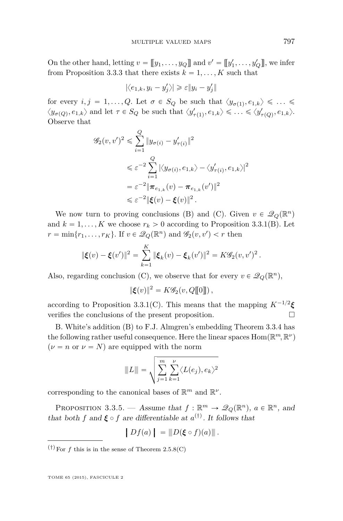On the other hand, letting  $v = [[y_1, \ldots, y_Q]]$  and  $v' = [[y'_1, \ldots, y'_Q]]$ , we infer from Proposition [3.3.3](#page-33-0) that there exists  $k = 1, \ldots, K$  such that

$$
|\langle e_{1,k}, y_i - y'_j \rangle| \ge \varepsilon \|y_i - y'_j\|
$$

for every  $i, j = 1, \ldots, Q$ . Let  $\sigma \in S_Q$  be such that  $\langle y_{\sigma(1)}, e_{1,k} \rangle \leq \ldots \leq$  $\langle y_{\sigma(Q)}, e_{1,k} \rangle$  and let  $\tau \in S_Q$  be such that  $\langle y'_{\tau(1)}, e_{1,k} \rangle \leq \ldots \leq \langle y'_{\tau(Q)}, e_{1,k} \rangle$ . Observe that

$$
\mathcal{G}_2(v, v')^2 \leq \sum_{i=1}^Q \|y_{\sigma(i)} - y'_{\tau(i)}\|^2
$$
  
\n
$$
\leq \varepsilon^{-2} \sum_{i=1}^Q |\langle y_{\sigma(i)}, e_{1,k} \rangle - \langle y'_{\tau(i)}, e_{1,k} \rangle|^2
$$
  
\n
$$
= \varepsilon^{-2} \|\boldsymbol{\pi}_{e_{1,k}}(v) - \boldsymbol{\pi}_{e_{1,k}}(v')\|^2
$$
  
\n
$$
\leq \varepsilon^{-2} \|\boldsymbol{\xi}(v) - \boldsymbol{\xi}(v)\|^2.
$$

We now turn to proving conclusions (B) and (C). Given  $v \in \mathcal{Q}_Q(\mathbb{R}^n)$ and  $k = 1, ..., K$  we choose  $r_k > 0$  according to Proposition [3.3.1\(](#page-30-0)B). Let  $r = \min\{r_1, \ldots, r_K\}$ . If  $v \in \mathcal{Q}_Q(\mathbb{R}^n)$  and  $\mathcal{G}_2(v, v') < r$  then

$$
\|\xi(v) - \xi(v')\|^2 = \sum_{k=1}^K \|\xi_k(v) - \xi_k(v')\|^2 = K\mathscr{G}_2(v, v')^2.
$$

Also, regarding conclusion (C), we observe that for every  $v \in \mathcal{Q}_Q(\mathbb{R}^n)$ ,

$$
\|\boldsymbol{\xi}(v)\|^2 = K\mathscr{G}_2(v, Q[\![0]\!])\,,
$$

according to Proposition [3.3.1\(](#page-30-0)C). This means that the mapping  $K^{-1/2}\xi$ verifies the conclusions of the present proposition.

B. White's addition (B) to F.J. Almgren's embedding Theorem [3.3.4](#page-34-0) has the following rather useful consequence. Here the linear spaces  $\mathrm{Hom}(\mathbb{R}^m,\mathbb{R}^\nu)$  $(\nu = n \text{ or } \nu = N)$  are equipped with the norm

$$
||L|| = \sqrt{\sum_{j=1}^{m} \sum_{k=1}^{\nu} \langle L(e_j), e_k \rangle^2}
$$

corresponding to the canonical bases of  $\mathbb{R}^m$  and  $\mathbb{R}^{\nu}$ .

PROPOSITION 3.3.5. — Assume that  $f : \mathbb{R}^m \to \mathscr{Q}_Q(\mathbb{R}^n)$ ,  $a \in \mathbb{R}^n$ , and that both *f* and  $\xi \circ f$  are differentiable at  $a^{(\dagger)}$ . It follows that

$$
\left|Df(a)\right| = \|D(\xi \circ f)(a)\|.
$$

 $(†)$ For  $f$  this is in the sense of Theorem [2.5.8\(](#page-24-0)C)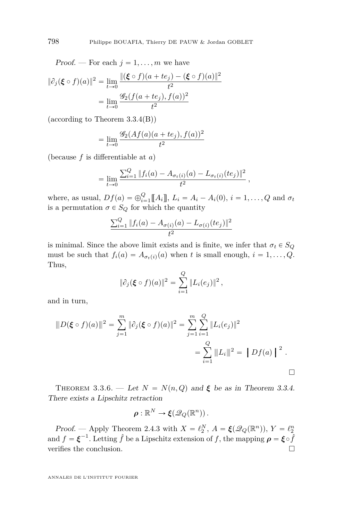Proof. — For each  $j = 1, \ldots, m$  we have

$$
\|\partial_j(\xi \circ f)(a)\|^2 = \lim_{t \to 0} \frac{\|(\xi \circ f)(a + te_j) - (\xi \circ f)(a)\|^2}{t^2}
$$

$$
= \lim_{t \to 0} \frac{\mathcal{G}_2(f(a + te_j), f(a))^2}{t^2}
$$

(according to Theorem [3.3.4\(](#page-34-0)B))

$$
= \lim_{t \to 0} \frac{\mathcal{G}_2(Af(a)(a + te_j), f(a))^2}{t^2}
$$

(because *f* is differentiable at *a*)

$$
= \lim_{t\to 0} \frac{\sum_{i=1}^{Q} ||f_i(a) - A_{\sigma_t(i)}(a) - L_{\sigma_t(i)}(te_j)||^2}{t^2},
$$

where, as usual,  $Df(a) = \bigoplus_{i=1}^{Q} [A_i], L_i = A_i - A_i(0), i = 1, ..., Q$  and  $\sigma_t$ is a permutation  $\sigma \in S_Q$  for which the quantity

$$
\frac{\sum_{i=1}^{Q} \|f_i(a) - A_{\sigma(i)}(a) - L_{\sigma(i)}(te_j)\|^2}{t^2}
$$

is minimal. Since the above limit exists and is finite, we infer that  $\sigma_t \in S_Q$ must be such that  $f_i(a) = A_{\sigma_i(i)}(a)$  when *t* is small enough,  $i = 1, \ldots, Q$ . Thus,

$$
\|\partial_j(\xi \circ f)(a)\|^2 = \sum_{i=1}^Q \|L_i(e_j)\|^2,
$$

and in turn,

$$
||D(\xi \circ f)(a)||^2 = \sum_{j=1}^m |\partial_j(\xi \circ f)(a)||^2 = \sum_{j=1}^m \sum_{i=1}^Q ||L_i(e_j)||^2
$$
  
= 
$$
\sum_{i=1}^Q ||L_i||^2 = ||Df(a)||^2.
$$

THEOREM 3.3.6. — Let  $N = N(n, Q)$  and  $\xi$  be as in Theorem [3.3.4.](#page-34-0) There exists a Lipschitz retraction

$$
\rho:\mathbb{R}^N\to \xi(\mathscr{Q}_Q(\mathbb{R}^n)).
$$

Proof. — Apply Theorem [2.4.3](#page-15-0) with  $X = \ell_2^N$ ,  $A = \xi(\mathcal{Q}_Q(\mathbb{R}^n))$ ,  $Y = \ell_2^n$ and  $f = \boldsymbol{\xi}^{-1}$ . Letting  $\hat{f}$  be a Lipschitz extension of  $f$ , the mapping  $\boldsymbol{\rho} = \boldsymbol{\xi} \circ \hat{f}$ verifies the conclusion.

<span id="page-36-0"></span>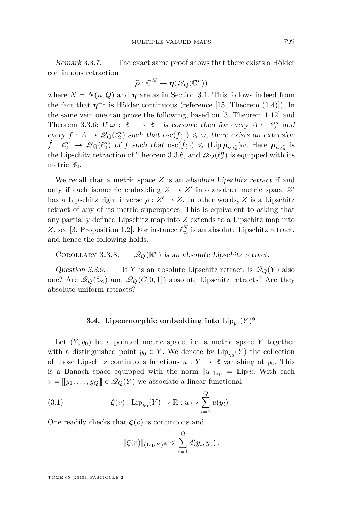Remark 3.3.7. — The exact same proof shows that there exists a Hölder continuous retraction

$$
\tilde{\boldsymbol{\rho}}: \mathbb{C}^N \to \boldsymbol{\eta}(\mathscr{Q}_Q(\mathbb{C}^n))
$$

where  $N = N(n, Q)$  and  $\eta$  are as in Section [3.1.](#page-29-0) This follows indeed from the fact that  $\eta^{-1}$  is Hölder continuous (reference [\[15,](#page-71-0) Theorem (1,4)]). In the same vein one can prove the following, based on [\[3,](#page-70-0) Theorem 1.12] and Theorem [3.3.6:](#page-36-0) If  $\omega : \mathbb{R}^+ \to \mathbb{R}^+$  is concave then for every  $A \subseteq \ell_2^m$  and every  $f: A \to \mathcal{Q}_Q(\ell_2^n)$  such that  $\operatorname{osc}(f; \cdot) \leq \omega$ , there exists an extension  $\hat{f}$  :  $\ell_2^m \to \mathcal{Q}_Q(\ell_2^n)$  of *f* such that  $\operatorname{osc}(\hat{f}; \cdot) \leq (\operatorname{Lip} \rho_{n,Q})\omega$ . Here  $\rho_{n,Q}$  is the Lipschitz retraction of Theorem [3.3.6,](#page-36-0) and  $\mathcal{Q}_Q(\ell_2^n)$  is equipped with its metric  $\mathscr{G}_2$ .

We recall that a metric space *Z* is an absolute Lipschitz retract if and only if each isometric embedding  $Z \to Z'$  into another metric space  $Z'$ has a Lipschitz right inverse  $\rho : Z' \to Z$ . In other words, *Z* is a Lipschitz retract of any of its metric superspaces. This is equivalent to asking that any partially defined Lipschitz map into *Z* extends to a Lipschitz map into *Z*, see [\[3,](#page-70-0) Proposition 1.2]. For instance  $\ell^N_{\infty}$  is an absolute Lipschitz retract, and hence the following holds.

COROLLARY 3.3.8.  $-\mathscr{Q}_Q(\mathbb{R}^n)$  is an absolute Lipschitz retract.

Question 3.3.9. — If *Y* is an absolute Lipschitz retract, is  $\mathcal{Q}_Q(Y)$  also one? Are  $\mathcal{Q}_Q(\ell_\infty)$  and  $\mathcal{Q}_Q(C[0,1])$  absolute Lipschitz retracts? Are they absolute uniform retracts?

# **3.4.** Lipeomorphic embedding into  $\text{Lip}_{y_0}(Y)^*$

Let  $(Y, y_0)$  be a pointed metric space, i.e. a metric space *Y* together with a distinguished point  $y_0 \in Y$ . We denote by  $\text{Lip}_{y_0}(Y)$  the collection of those Lipschitz continuous functions  $u: Y \to \mathbb{R}$  vanishing at  $y_0$ . This is a Banach space equipped with the norm  $||u||_{\text{Lip}} = \text{Lip } u$ . With each  $v = [[y_1, \ldots, y_Q]] \in \mathscr{Q}_Q(Y)$  we associate a linear functional

(3.1) 
$$
\zeta(v): \mathrm{Lip}_{y_0}(Y) \to \mathbb{R}: u \mapsto \sum_{i=1}^Q u(y_i).
$$

One readily checks that  $\zeta(v)$  is continuous and

$$
\|\zeta(v)\|_{(\text{Lip }Y)^*} \leq \sum_{i=1}^Q d(y_i, y_0).
$$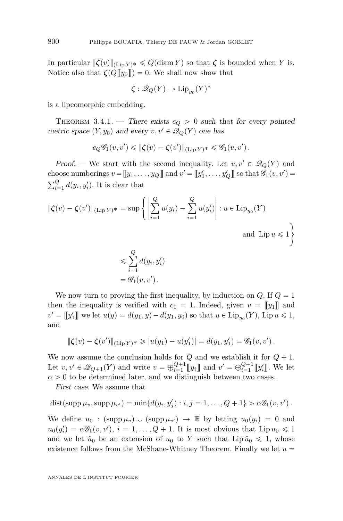<span id="page-38-0"></span>In particular  $\|\boldsymbol{\zeta}(v)\|_{(\text{Lip } Y)^*} \leq Q(\text{diam } Y)$  so that  $\boldsymbol{\zeta}$  is bounded when *Y* is. Notice also that  $\zeta(Q\llbracket y_0 \rrbracket) = 0$ . We shall now show that

$$
\zeta : \mathcal{Q}_Q(Y) \to \mathrm{Lip}_{y_0}(Y)^*
$$

is a lipeomorphic embedding.

THEOREM 3.4.1. — There exists  $c_Q > 0$  such that for every pointed metric space  $(Y, y_0)$  and every  $v, v' \in \mathcal{Q}_Q(Y)$  one has

$$
c_Q \mathscr{G}_1(v, v') \leq \|\boldsymbol{\zeta}(v) - \boldsymbol{\zeta}(v')\|_{(\text{Lip } Y)^*} \leq \mathscr{G}_1(v, v').
$$

Proof. — We start with the second inequality. Let  $v, v' \in \mathcal{Q}_Q(Y)$  and choose numberings  $v = [[y_1, \ldots, y_Q]]$  and  $v' = [[y'_1, \ldots, y'_Q]]$  so that  $\mathscr{G}_1(v, v') =$ ř*<sup>Q</sup>*  $\sum_{i=1}^{Q} d(y_i, y'_i)$ . It is clear that

$$
\|\zeta(v) - \zeta(v')\|_{(\text{Lip } Y)^*} = \sup \left\{ \left| \sum_{i=1}^Q u(y_i) - \sum_{i=1}^Q u(y_i') \right| : u \in \text{Lip}_{y_0}(Y) \right\}
$$
  
and  $\text{Lip } u \le 1$ 

$$
\leqslant \sum_{i=1}^{Q} d(y_i, y'_i)
$$
  
=  $\mathscr{G}_1(v, v').$ 

We now turn to proving the first inequality, by induction on  $Q$ . If  $Q = 1$ then the inequality is verified with  $c_1 = 1$ . Indeed, given  $v = \llbracket y_1 \rrbracket$  and  $v' = [[y'_1]]$  we let  $u(y) = d(y_1, y) - d(y_1, y_0)$  so that  $u \in \text{Lip}_{y_0}(Y)$ ,  $\text{Lip } u \leq 1$ , and

$$
\|\zeta(v) - \zeta(v')\|_{(\text{Lip }Y)^*} \geq |u(y_1) - u(y_1')| = d(y_1, y_1') = \mathscr{G}_1(v, v').
$$

We now assume the conclusion holds for  $Q$  and we establish it for  $Q + 1$ . Let  $v, v' \in \mathcal{Q}_{Q+1}(Y)$  and write  $v = \bigoplus_{i=1}^{Q+1} [y_i]$  and  $v' = \bigoplus_{i=1}^{Q+1} [y'_i]$ . We let  $\alpha > 0$  to be determined later, and we distinguish between two cases.

First case. We assume that

$$
dist(supp \mu_v, supp \mu_{v'}) = min{d(y_i, y'_j) : i, j = 1, \ldots, Q + 1} > \alpha \mathscr{G}_1(v, v').
$$

We define  $u_0$ :  $(\text{supp }\mu_v) \cup (\text{supp }\mu_{v'}) \rightarrow \mathbb{R}$  by letting  $u_0(y_i) = 0$  and  $u_0(y'_i) = \alpha \mathscr{G}_1(v, v'), i = 1, \ldots, Q + 1$ . It is most obvious that Lip  $u_0 \leq 1$ and we let  $\hat{u}_0$  be an extension of  $u_0$  to *Y* such that Lip  $\hat{u}_0 \leq 1$ , whose existence follows from the McShane-Whitney Theorem. Finally we let  $u =$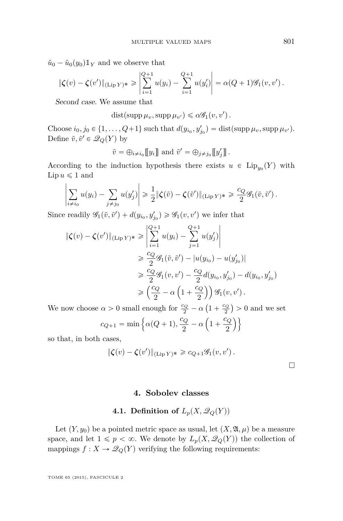$\hat{u}_0 - \hat{u}_0(y_0) \mathbb{1}_Y$  and we observe that

$$
\|\zeta(v) - \zeta(v')\|_{(\text{Lip }Y)^*} \ge \left|\sum_{i=1}^{Q+1} u(y_i) - \sum_{i=1}^{Q+1} u(y'_i)\right| = \alpha(Q+1)\mathscr{G}_1(v,v').
$$

Second case. We assume that

 $dist(\text{supp }\mu_v, \text{supp }\mu_{v'}) \leq \alpha \mathscr{G}_1(v, v')$ .

Choose  $i_0, j_0 \in \{1, ..., Q+1\}$  such that  $d(y_{i_0}, y'_{j_0}) = \text{dist}(\text{supp }\mu_v, \text{supp }\mu_{v'})$ . Define  $\tilde{v}, \tilde{v}' \in \mathcal{Q}_Q(Y)$  by

$$
\tilde{v} = \bigoplus_{i \neq i_0} [[y_i]]
$$
 and  $\tilde{v}' = \bigoplus_{j \neq j_0} [[y'_j]]$ .

According to the induction hypothesis there exists  $u \in \text{Lip}_{y_0}(Y)$  with  $\text{Lip } u \leqslant 1 \text{ and}$ 

$$
\left|\sum_{i\neq i_0} u(y_i) - \sum_{j\neq j_0} u(y'_j)\right| \geq \frac{1}{2} \|\zeta(\tilde{v}) - \zeta(\tilde{v}')\|_{(\text{Lip } Y)^*} \geq \frac{c_Q}{2} \mathscr{G}_1(\tilde{v}, \tilde{v}').
$$

Since readily  $\mathscr{G}_1(\tilde{v}, \tilde{v}') + d(y_{i_0}, y'_{j_0}) \geq \mathscr{G}_1(v, v')$  we infer that

$$
\|\zeta(v) - \zeta(v')\|_{(\text{Lip } Y)^*} \ge \left\| \sum_{i=1}^{Q+1} u(y_i) - \sum_{j=1}^{Q+1} u(y'_j) \right\|
$$
  
\n
$$
\ge \frac{c_Q}{2} \mathcal{G}_1(\tilde{v}, \tilde{v}') - |u(y_{i_0}) - u(y'_{j_0})|
$$
  
\n
$$
\ge \frac{c_Q}{2} \mathcal{G}_1(v, v') - \frac{c_Q}{2} d(y_{i_0}, y'_{j_0}) - d(y_{i_0}, y'_{j_0})
$$
  
\n
$$
\ge \left(\frac{c_Q}{2} - \alpha \left(1 + \frac{c_Q}{2}\right)\right) \mathcal{G}_1(v, v').
$$

We now choose  $\alpha > 0$  small enough for  $\frac{c_Q}{2} - \alpha$  $1 + \frac{c_Q}{2}$ 2

$$
\alpha > 0
$$
 small enough for  $\frac{c_Q}{2} - \alpha \left(1 + \frac{c_Q}{2}\right) > 0$  and we set  

$$
c_{Q+1} = \min \left\{\alpha(Q+1), \frac{c_Q}{2} - \alpha \left(1 + \frac{c_Q}{2}\right)\right\}
$$

so that, in both cases,

$$
\|\zeta(v) - \zeta(v')\|_{(\text{Lip } Y)^*} \geqslant c_{Q+1}\mathscr{G}_1(v,v').
$$

 $\Box$ 

## **4. Sobolev classes**

# **4.1. Definition of**  $L_p(X, \mathcal{Q}_Q(Y))$

Let  $(Y, y_0)$  be a pointed metric space as usual, let  $(X, \mathfrak{A}, \mu)$  be a measure space, and let  $1 \leqslant p < \infty$ . We denote by  $L_p(X, \mathcal{Q}_Q(Y))$  the collection of mappings  $f: X \to \mathcal{Q}_Q(Y)$  verifying the following requirements: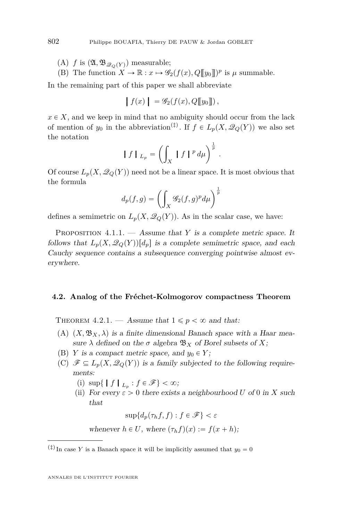- (A) *f* is  $(\mathfrak{A}, \mathfrak{B}_{\mathscr{Q}_{\Omega}(Y)})$  measurable;
- (B) The function  $X \to \mathbb{R} : x \mapsto \mathscr{G}_2(f(x), Q[\![y_0]\!])^p$  is  $\mu$  summable.

In the remaining part of this paper we shall abbreviate

$$
\left| f(x) \right| = \mathscr{G}_2(f(x), Q[\![y_0]\!])
$$

 $x \in X$ , and we keep in mind that no ambiguity should occur from the lack of mention of  $y_0$  in the abbreviation<sup>(‡)</sup>. If  $f \in L_p(X, \mathcal{Q}_Q(Y))$  we also set the notation ˆż

$$
\left\|f\right\|_{L_p} = \left(\int_X \left\|f\right\|^p d\mu\right)^{\frac{1}{p}}.
$$

Of course  $L_p(X, \mathcal{Q}_Q(Y))$  need not be a linear space. It is most obvious that the formula

$$
d_p(f,g) = \left(\int_X \mathcal{G}_2(f,g)^p d\mu\right)^{\frac{1}{p}}
$$

defines a semimetric on  $L_p(X, \mathcal{Q}_Q(Y))$ . As in the scalar case, we have:

PROPOSITION 4.1.1. — Assume that *Y* is a complete metric space. It follows that  $L_p(X, \mathcal{Q}_O(Y))[d_p]$  is a complete semimetric space, and each Cauchy sequence contains a subsequence converging pointwise almost everywhere.

#### **4.2. Analog of the Fréchet-Kolmogorov compactness Theorem**

THEOREM 4.2.1. — Assume that  $1 \leqslant p < \infty$  and that:

- (A)  $(X, \mathfrak{B}_X, \lambda)$  is a finite dimensional Banach space with a Haar measure  $\lambda$  defined on the  $\sigma$  algebra  $\mathfrak{B}_X$  of Borel subsets of X;
- (B) *Y* is a compact metric space, and  $y_0 \in Y$ ;
- (C)  $\mathscr{F} \subseteq L_p(X, \mathscr{Q}_Q(Y))$  is a family subjected to the following requirements:
	- (i)  $\sup\{\|f\|_{L_p}: f \in \mathscr{F}\} < \infty;$
	- (ii) For every  $\varepsilon > 0$  there exists a neighbourhood *U* of 0 in *X* such that

$$
\sup\{d_p(\tau_h f, f) : f \in \mathcal{F}\} < \varepsilon
$$
\nwhenever  $h \in U$ , where  $(\tau_h f)(x) := f(x + h)$ ;

<span id="page-40-0"></span>

 $(\frac{4}{7})$  In case *Y* is a Banach space it will be implicitly assumed that  $y_0 = 0$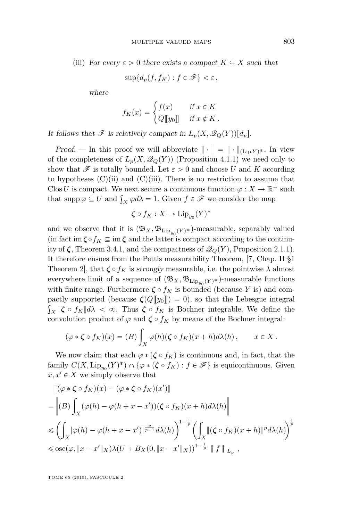(iii) For every  $\varepsilon > 0$  there exists a compact  $K \subseteq X$  such that

$$
\sup\{d_p(f, f_K) : f \in \mathscr{F}\} < \varepsilon
$$

where

$$
f_K(x) = \begin{cases} f(x) & \text{if } x \in K \\ Q[\![y_0]\!] & \text{if } x \notin K \,. \end{cases}
$$

It follows that  $\mathscr F$  is relatively compact in  $L_p(X, \mathscr Q_Q(Y))[d_p].$ 

*Proof.* — In this proof we will abbreviate  $\|\cdot\| = \|\cdot\|_{(Lin Y)^*}.$  In view of the completeness of  $L_p(X, \mathcal{Q}_Q(Y))$  (Proposition [4.1.1\)](#page-40-0) we need only to show that  $\mathscr F$  is totally bounded. Let  $\varepsilon > 0$  and choose *U* and *K* according to hypotheses  $(C)(ii)$  and  $(C)(iii)$ . There is no restriction to assume that Clos U is compact. We next secure a continuous function  $\varphi: X \to \mathbb{R}^+$  such Clos *U* is compact. We next secure a continuous function  $\varphi : X \to \mathbb{R}^n$ <br>that supp  $\varphi \subseteq U$  and  $\int_X \varphi d\lambda = 1$ . Given  $f \in \mathcal{F}$  we consider the map

$$
\zeta \circ f_K : X \to \mathrm{Lip}_{y_0}(Y)^*
$$

and we observe that it is  $(\mathfrak{B}_X, \mathfrak{B}_{\mathrm{Lip}_{y_0}(Y) *})$ -measurable, separably valued (in fact im  $\zeta \circ f_K \subseteq \text{im } \zeta$  and the latter is compact according to the continuity of  $\zeta$ , Theorem [3.4.1,](#page-38-0) and the compactness of  $\mathcal{Q}_Q(Y)$ , Proposition [2.1.1\)](#page-5-0). It therefore ensues from the Pettis measurability Theorem, [\[7,](#page-70-0) Chap. II §1 Theorem 2, that  $\zeta \circ f_K$  is strongly measurable, i.e. the pointwise  $\lambda$  almost everywhere limit of a sequence of  $(\mathfrak{B}_X, \mathfrak{B}_{\mathrm{Lip}_{y_0}(Y)*})$ -measurable functions with finite range. Furthermore  $\zeta \circ f_K$  is bounded (because *Y* is) and compactly supported (because  $\zeta(Q[[y_0]]) = 0)$ , so that the Lebesgue integral  $\int_X$   $\|\boldsymbol{\zeta} \circ f_K\| d\lambda < \infty$ . Thus  $\boldsymbol{\zeta} \circ f_K$  is Bochner integrable. We define the convolution product of  $\varphi$  and  $\zeta \circ f_K$  by means of the Bochner integral:

$$
(\varphi * \zeta \circ f_K)(x) = (B) \int_X \varphi(h)(\zeta \circ f_K)(x+h) d\lambda(h), \qquad x \in X.
$$

We now claim that each  $\varphi$  *\** ( $\zeta \circ f_K$ ) is continuous and, in fact, that the family  $C(X, \text{Lip}_{y_0}(Y)^*) \cap \{ \varphi * (\zeta \circ f_K) : f \in \mathscr{F} \}$  is equicontinuous. Given  $x, x' \in X$  we simply observe that

$$
\begin{split}\n&\|(\varphi * \zeta \circ f_K)(x) - (\varphi * \zeta \circ f_K)(x')\| \\
&= \left\|(B) \int_X (\varphi(h) - \varphi(h + x - x'))(\zeta \circ f_K)(x + h) d\lambda(h)\right\| \\
&\le \left(\int_X |\varphi(h) - \varphi(h + x - x')|^{\frac{p}{p-1}} d\lambda(h)\right)^{1-\frac{1}{p}} \left(\int_X \|(\zeta \circ f_K)(x + h)\|^p d\lambda(h)\right)^{\frac{1}{p}} \\
&\le \text{osc}(\varphi, \|x - x'\|_X) \lambda(U + B_X(0, \|x - x'\|_X))^{1-\frac{1}{p}} \left\|f\right\|_{L_p},\n\end{split}
$$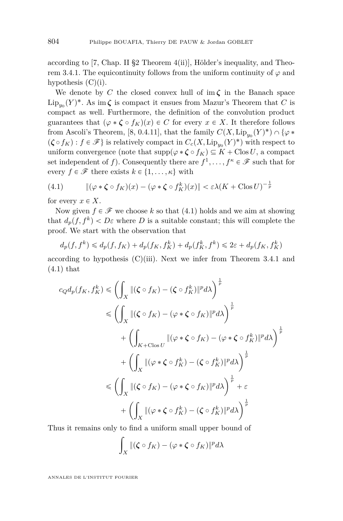according to [\[7,](#page-70-0) Chap. II §2 Theorem  $4(ii)$ ], Hölder's inequality, and Theo-rem [3.4.1.](#page-38-0) The equicontinuity follows from the uniform continuity of  $\varphi$  and hypothesis  $(C)(i)$ .

We denote by *C* the closed convex hull of im *ζ* in the Banach space  $\text{Lip}_{y_0}(Y)^*$ . As im  $\zeta$  is compact it ensues from Mazur's Theorem that *C* is compact as well. Furthermore, the definition of the convolution product guarantees that  $(\varphi * \zeta \circ f_K)(x) \in C$  for every  $x \in X$ . It therefore follows from Ascoli's Theorem, [\[8,](#page-70-0) 0.4.11], that the family  $C(X, \text{Lip}_{y_0}(Y)^*) \cap {\varphi *}$  $(\zeta \circ f_K) : f \in \mathscr{F}$  is relatively compact in  $C_c(X, \text{Lip}_{y_0}(Y)^*)$  with respect to uniform convergence (note that  $\text{supp}(\varphi * \zeta \circ f_K) \subseteq K + \text{Clos } U$ , a compact set independent of *f*). Consequently there are  $f^1, \ldots, f^k \in \mathcal{F}$  such that for every  $f \in \mathscr{F}$  there exists  $k \in \{1, \ldots, \kappa\}$  with

(4.1) 
$$
\|(\varphi * \zeta \circ f_K)(x) - (\varphi * \zeta \circ f_K^k)(x)\| < \varepsilon \lambda (K + \text{Clos } U)^{-\frac{1}{p}}
$$

for every  $x \in X$ .

Now given  $f \in \mathscr{F}$  we choose k so that (4.1) holds and we aim at showing that  $d_p(f, f^k) < D\varepsilon$  where *D* is a suitable constant; this will complete the proof. We start with the observation that

$$
d_p(f, f^k) \le d_p(f, f_K) + d_p(f_K, f_K^k) + d_p(f_K^k, f^k) \le 2\varepsilon + d_p(f_K, f_K^k)
$$

according to hypothesis  $(C)(iii)$ . Next we infer from Theorem [3.4.1](#page-38-0) and  $(4.1)$  that

$$
c_Q d_p(f_K, f_K^k) \leq \left(\int_X \left\|(\zeta \circ f_K) - (\zeta \circ f_K^k)\right\|^p d\lambda\right)^{\frac{1}{p}}
$$
  

$$
\leq \left(\int_X \left\|(\zeta \circ f_K) - (\varphi * \zeta \circ f_K)\right\|^p d\lambda\right)^{\frac{1}{p}}
$$
  

$$
+ \left(\int_{K + \text{Clos } U} \left\|(\varphi * \zeta \circ f_K) - (\varphi * \zeta \circ f_K^k)\right\|^p d\lambda\right)^{\frac{1}{p}}
$$
  

$$
+ \left(\int_X \left\|(\varphi * \zeta \circ f_K^k) - (\zeta \circ f_K^k)\right\|^p d\lambda\right)^{\frac{1}{p}}
$$
  

$$
\leq \left(\int_X \left\|(\zeta \circ f_K) - (\varphi * \zeta \circ f_K)\right\|^p d\lambda\right)^{\frac{1}{p}} + \varepsilon
$$
  

$$
+ \left(\int_X \left\|(\varphi * \zeta \circ f_K^k) - (\zeta \circ f_K^k)\right\|^p d\lambda\right)^{\frac{1}{p}}
$$

Thus it remains only to find a uniform small upper bound of

$$
\int_X \|(\boldsymbol{\zeta} \circ f_K) - (\varphi * \boldsymbol{\zeta} \circ f_K)\|^p d\lambda
$$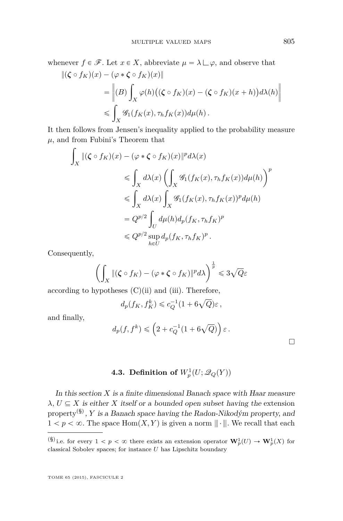whenever  $f \in \mathcal{F}$ . Let  $x \in X$ , abbreviate  $\mu = \lambda \sqcup \varphi$ , and observe that

$$
\begin{aligned} \|(\boldsymbol{\zeta} \circ f_K)(x) - (\varphi * \boldsymbol{\zeta} \circ f_K)(x) \| \\ &= \left\| (B) \int_X \varphi(h) \big( (\boldsymbol{\zeta} \circ f_K)(x) - (\boldsymbol{\zeta} \circ f_K)(x+h) \big) d\lambda(h) \right\| \\ &\leqslant \int_X \mathcal{G}_1(f_K(x), \tau_h f_K(x)) d\mu(h) \, . \end{aligned}
$$

It then follows from Jensen's inequality applied to the probability measure  $\mu$ , and from Fubini's Theorem that

$$
\int_X \|(\zeta \circ f_K)(x) - (\varphi * \zeta \circ f_K)(x)\|^p d\lambda(x)
$$
\n
$$
\leq \int_X d\lambda(x) \left( \int_X \mathcal{G}_1(f_K(x), \tau_h f_K(x)) d\mu(h) \right)^p
$$
\n
$$
\leq \int_X d\lambda(x) \int_X \mathcal{G}_1(f_K(x), \tau_h f_K(x))^p d\mu(h)
$$
\n
$$
= Q^{p/2} \int_U d\mu(h) d_p(f_K, \tau_h f_K)^p
$$
\n
$$
\leq Q^{p/2} \sup_{h \in U} d_p(f_K, \tau_h f_K)^p.
$$

Consequently,

$$
\left(\int_X\|(\zeta\circ f_K)-(\varphi\ast\zeta\circ f_K)\|^pd\lambda\right)^{\frac{1}{p}}\leqslant 3\sqrt{Q}\varepsilon
$$

according to hypotheses  $(C)(ii)$  and  $(iii)$ . Therefore,

$$
d_p(f_K, f_K^k) \leq c_Q^{-1} (1 + 6\sqrt{Q})\varepsilon \,,
$$

and finally,

$$
d_p(f, f^k) \leqslant \left(2 + c_Q^{-1}(1 + 6\sqrt{Q})\right)\varepsilon.
$$

 $\Box$ 

# **4.3. Definition of**  $W_p^1(U; \mathscr{Q}_Q(Y))$

In this section *X* is a finite dimensional Banach space with Haar measure  $\lambda$ ,  $U \subseteq X$  is either *X* itself or a bounded open subset having the extension property(§) , *Y* is a Banach space having the Radon-Nikodým property, and  $1 < p < \infty$ . The space Hom $(X, Y)$  is given a norm  $\|\cdot\|$ . We recall that each

 $(\S)$  i.e. for every  $1 < p < \infty$  there exists an extension operator  $\mathbf{W}_{p}^{1}(U) \to \mathbf{W}_{p}^{1}(X)$  for classical Sobolev spaces; for instance *U* has Lipschitz boundary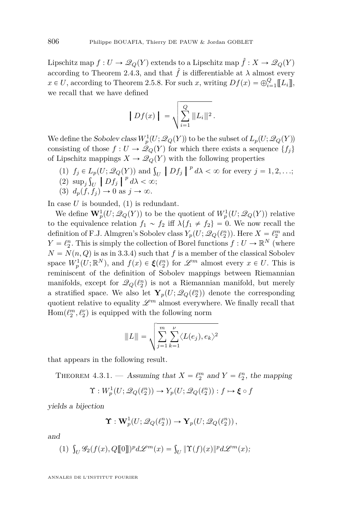Lipschitz map  $f: U \to \mathcal{Q}_Q(Y)$  extends to a Lipschitz map  $\hat{f}: X \to \mathcal{Q}_Q(Y)$ according to Theorem [2.4.3,](#page-15-0) and that  $\hat{f}$  is differentiable at  $\lambda$  almost every  $x \in U$ , according to Theorem [2.5.8.](#page-24-0) For such *x*, writing  $Df(x) = \bigoplus_{i=1}^{Q} [[L_i]]$ , we recall that we have defined

$$
\left| Df(x) \right| = \sqrt{\sum_{i=1}^{Q} ||L_i||^2}.
$$

We define the Sobolev class  $W_p^1(U; \mathscr{Q}_Q(Y))$  to be the subset of  $L_p(U; \mathscr{Q}_Q(Y))$ consisting of those  $f: U \to \mathcal{Q}_Q(Y)$  for which there exists a sequence  $\{f_j\}$ of Lipschitz mappings  $X \to \mathcal{Q}_Q(Y)$  with the following properties

- (1)  $f_j \in L_p(U; \mathcal{Q}_Q(Y))$  and  $\int_U |Df_j|^p d\lambda < \infty$  for every  $j = 1, 2, ...;$ <br>
(2)  $\lim_{\Delta x \to 0} \int_{\Delta x} |Df_j|^p d\lambda < \infty$  for every  $j = 1, 2, ...;$
- (2)  $\sup_j \int_U |Df_j|^{p} d\lambda < \infty;$ <br>
(3)  $d(f, f) \to 0$  or  $d \to \infty$
- (3)  $d_p(f, f_i) \to 0$  as  $j \to \infty$ .

In case *U* is bounded, (1) is redundant.

We define  $\mathbf{W}_p^1(U; \mathscr{Q}_Q(Y))$  to be the quotient of  $W_p^1(U; \mathscr{Q}_Q(Y))$  relative to the equivalence relation  $f_1 \sim f_2$  iff  $\lambda \{f_1 \neq f_2\} = 0$ . We now recall the definition of F.J. Almgren's Sobolev class  $Y_p(U; \mathcal{Q}_Q(\ell_2^n))$ . Here  $X = \ell_2^m$  and  $Y = \ell_2^n$ . This is simply the collection of Borel functions  $f: U \to \mathbb{R}^N$  (where  $N = N(n, Q)$  is as in [3.3.4\)](#page-34-0) such that *f* is a member of the classical Sobolev space  $W_p^1(U; \mathbb{R}^N)$ , and  $f(x) \in \xi(\ell_2^n)$  for  $\mathscr{L}^m$  almost every  $x \in U$ . This is reminiscent of the definition of Sobolev mappings between Riemannian manifolds, except for  $\mathcal{Q}_Q(\ell_2^n)$  is not a Riemannian manifold, but merely a stratified space. We also let  $\mathbf{Y}_p(U; \mathcal{Q}_Q(\ell_2^n))$  denote the corresponding quotient relative to equality  $\mathscr{L}^m$  almost everywhere. We finally recall that  $\mathrm{Hom}(\ell_2^m, \ell_2^{\nu})$  is equipped with the following norm

$$
||L|| = \sqrt{\sum_{j=1}^{m} \sum_{k=1}^{v} \langle L(e_j), e_k \rangle^2}
$$

that appears in the following result.

THEOREM 4.3.1. — Assuming that  $X = \ell_2^m$  and  $Y = \ell_2^n$ , the mapping

$$
\Upsilon: W_p^1(U; \mathscr{Q}_Q(\ell_2^n)) \to Y_p(U; \mathscr{Q}_Q(\ell_2^n)) : f \mapsto \xi \circ f
$$

yields a bijection

$$
\Upsilon: \mathbf{W}_p^1(U; \mathscr{Q}_Q(\ell_2^n)) \to \Upsilon_p(U; \mathscr{Q}_Q(\ell_2^n)),
$$

and

(1) 
$$
\int_U \mathscr{G}_2(f(x), Q[\![0]\!])^p d\mathscr{L}^m(x) = \int_U \|\Upsilon(f)(x)\|^p d\mathscr{L}^m(x);
$$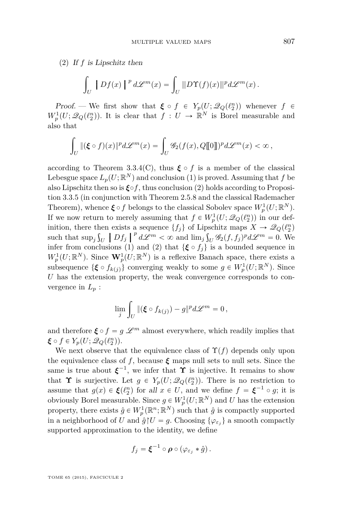(2) If *f* is Lipschitz then

$$
\int_U |Df(x)|^p d\mathscr{L}^m(x) = \int_U ||D\Upsilon(f)(x)||^p d\mathscr{L}^m(x).
$$

*Proof.* — We first show that  $\boldsymbol{\xi} \circ f \in Y_p(U; \mathcal{Q}_Q(\ell_2^n))$  whenever  $f \in$  $W_p^1(U; \mathcal{Q}_Q(\ell_2^n))$ . It is clear that  $f: U \to \mathbb{R}^N$  is Borel measurable and also that

$$
\int_U \|(\xi \circ f)(x)\|^p d\mathscr{L}^m(x) = \int_U \mathscr{G}_2(f(x), Q[\![0]\!])^p d\mathscr{L}^m(x) < \infty,
$$

according to Theorem [3.3.4\(](#page-34-0)C), thus  $\xi \circ f$  is a member of the classical Lebesgue space  $L_p(U; \mathbb{R}^N)$  and conclusion (1) is proved. Assuming that  $f$  be also Lipschitz then so is  $\xi \circ f$ , thus conclusion (2) holds according to Proposition [3.3.5](#page-35-0) (in conjunction with Theorem [2.5.8](#page-24-0) and the classical Rademacher Theorem), whence  $\xi \circ f$  belongs to the classical Sobolev space  $W_p^1(U; \mathbb{R}^N)$ . If we now return to merely assuming that  $f \in W_p^1(U; \mathcal{Q}_Q(\ell_2^n))$  in our definition, there then exists a sequence  $\{f_j\}$  of Lipschitz maps  $X \to \mathcal{Q}_Q(\ell_2^n)$ such that  $\sup_j \int_U |Df_j||^p d\mathcal{L}^m < \infty$  and  $\lim_j \int_U \mathcal{G}_2(f, f_j)^p d\mathcal{L}^m = 0$ . We infer from conclusions (1) and (2) that  $\{\boldsymbol{\xi} \circ f_i\}$  is a bounded sequence in  $W_p^1(U;\mathbb{R}^N)$ . Since  $\mathbf{W}_p^1(U;\mathbb{R}^N)$  is a reflexive Banach space, there exists a subsequence  $\{\boldsymbol{\xi} \circ f_{k(j)}\}$  converging weakly to some  $g \in W_p^1(U; \mathbb{R}^N)$ . Since *U* has the extension property, the weak convergence corresponds to convergence in  $L_p$ :

$$
\lim_{j} \int_{U} \|(\boldsymbol{\xi} \circ f_{k(j)}) - g\|^{p} d\mathscr{L}^{m} = 0,
$$

and therefore  $\xi \circ f = g \mathcal{L}^m$  almost everywhere, which readily implies that  $\xi \circ f \in Y_p(U; \mathscr{Q}_Q(\ell_2^n)).$ 

We next observe that the equivalence class of  $\Upsilon(f)$  depends only upon the equivalence class of *f*, because  $\xi$  maps null sets to null sets. Since the same is true about  $\xi^{-1}$ , we infer that  $\Upsilon$  is injective. It remains to show that **Υ** is surjective. Let  $g \in Y_p(U; \mathcal{Q}_Q(\ell_2^n))$ . There is no restriction to assume that  $g(x) \in \xi(\ell_2^n)$  for all  $x \in U$ , and we define  $f = \xi^{-1} \circ g$ ; it is obviously Borel measurable. Since  $g \in W_p^1(U; \mathbb{R}^N)$  and *U* has the extension property, there exists  $\hat{g} \in W_p^1(\mathbb{R}^n; \mathbb{R}^N)$  such that  $\hat{g}$  is compactly supported in a neighborhood of *U* and  $\hat{g} \upharpoonright U = g$ . Choosing  $\{\varphi_{\varepsilon_j}\}\$ a smooth compactly supported approximation to the identity, we define

$$
f_j = \boldsymbol{\xi}^{-1} \circ \boldsymbol{\rho} \circ (\varphi_{\varepsilon_j} * \hat{g}).
$$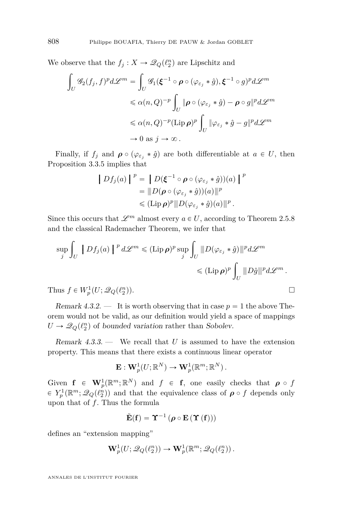We observe that the  $f_j: X \to \mathcal{Q}_Q(\ell_2^n)$  are Lipschitz and z

$$
\int_{U} \mathscr{G}_{2}(f_{j},f)^{p} d\mathscr{L}^{m} = \int_{U} \mathscr{G}_{1}(\xi^{-1} \circ \rho \circ (\varphi_{\varepsilon_{j}} * \hat{g}), \xi^{-1} \circ g)^{p} d\mathscr{L}^{m}
$$
  

$$
\leq \alpha(n,Q)^{-p} \int_{U} \|\rho \circ (\varphi_{\varepsilon_{j}} * \hat{g}) - \rho \circ g\|^{p} d\mathscr{L}^{m}
$$
  

$$
\leq \alpha(n,Q)^{-p} (\text{Lip}\,\rho)^{p} \int_{U} \|\varphi_{\varepsilon_{j}} * \hat{g} - g\|^{p} d\mathscr{L}^{m}
$$
  

$$
\to 0 \text{ as } j \to \infty.
$$

Finally, if  $f_j$  and  $\rho \circ (\varphi_{\varepsilon_j} * \hat{g})$  are both differentiable at  $a \in U$ , then Proposition [3.3.5](#page-35-0) implies that

$$
\begin{aligned} \left\| Df_j(a) \right\|^p &= \left\| D(\xi^{-1} \circ \rho \circ (\varphi_{\varepsilon_j} * \hat{g}))(a) \right\|^p \\ &= \|\ D(\rho \circ (\varphi_{\varepsilon_j} * \hat{g}))(a) \|\|^p \\ &\leq (\mathrm{Lip}\,\rho)^p \|\ D(\varphi_{\varepsilon_j} * \hat{g})(a) \|\|^p \, . \end{aligned}
$$

Since this occurs that  $\mathscr{L}^m$  almost every  $a \in U$ , according to Theorem [2.5.8](#page-24-0) and the classical Rademacher Theorem, we infer that

$$
\sup_{j} \int_{U} |Df_{j}(a)|^{p} d\mathcal{L}^{m} \leq (\text{Lip}\,\rho)^{p} \sup_{j} \int_{U} ||D(\varphi_{\varepsilon_{j}} * \hat{g})||^{p} d\mathcal{L}^{m}
$$
  

$$
\leq (\text{Lip}\,\rho)^{p} \int_{U} ||D\hat{g}||^{p} d\mathcal{L}^{m}.
$$
  
Thus  $f \in W_{p}^{1}(U; \mathcal{Q}_{Q}(\ell_{2}^{n})).$ 

Remark 4.3.2. — It is worth observing that in case  $p = 1$  the above Theorem would not be valid, as our definition would yield a space of mappings  $U \rightarrow \mathcal{Q}_Q(\ell_2^n)$  of bounded variation rather than Sobolev.

Remark 4.3.3. — We recall that *U* is assumed to have the extension property. This means that there exists a continuous linear operator

$$
\mathbf{E}: \mathbf{W}_p^1(U;\mathbb{R}^N) \to \mathbf{W}_p^1(\mathbb{R}^m;\mathbb{R}^N).
$$

Given  $f \in W_p^1(\mathbb{R}^m;\mathbb{R}^N)$  and  $f \in f$ , one easily checks that  $\rho \circ f$  $\in Y_p^1(\mathbb{R}^m;\mathscr{Q}_Q(\ell_2^{\hat{n}}))$  and that the equivalence class of  $\rho \circ f$  depends only upon that of *f*. Thus the formula

$$
\tilde{\mathbf{E}}(\mathbf{f}) = \boldsymbol{\Upsilon}^{-1}\left(\boldsymbol{\rho}\circ\mathbf{E}\left(\boldsymbol{\Upsilon}\left(\mathbf{f}\right)\right)\right)
$$

defines an "extension mapping"

$$
\mathbf{W}_p^1(U; \mathscr{Q}_Q(\ell_2^n)) \to \mathbf{W}_p^1(\mathbb{R}^m; \mathscr{Q}_Q(\ell_2^n)).
$$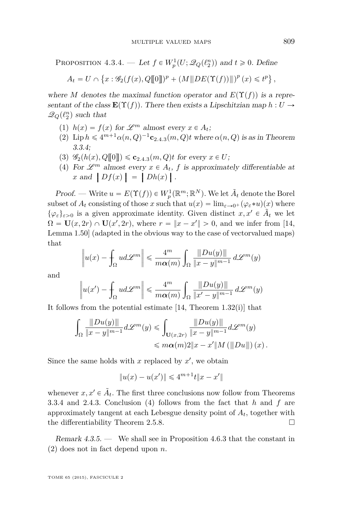<span id="page-47-0"></span>PROPOSITION 4.3.4. — Let  $f \in W_p^1(U; \mathcal{Q}_Q(\ell_2^n))$  and  $t \geq 0$ . Define

$$
A_t = U \cap \left\{ x : \mathscr{G}_2(f(x), Q[\![0]\!])^p + (M[\![D E(\Upsilon(f))\!])^p(x) \leq t^p \right\},
$$

where *M* denotes the maximal function operator and  $E(\Upsilon(f))$  is a representant of the class  $\mathbf{E}(\Upsilon(f))$ . There then exists a Lipschitzian map  $h : U \to$  $\mathscr{Q}_Q(\ell_2^n)$  such that

- (1)  $h(x) = f(x)$  for  $\mathscr{L}^m$  almost every  $x \in A_t$ ;
- ([2](#page-15-0)) Lip  $h \leq 4^{m+1} \alpha(n, Q)^{-1}$ **c**<sub>2*.*4*.*3</sub> $(m, Q)$ *t* where  $\alpha(n, Q)$  is as in Theorem [3.3.4;](#page-34-0)
- $(3)$   $\mathscr{G}_2(h(x), Q[\![0]\!]) \leq c_{2,4,3}(m, Q)t$  $\mathscr{G}_2(h(x), Q[\![0]\!]) \leq c_{2,4,3}(m, Q)t$  $\mathscr{G}_2(h(x), Q[\![0]\!]) \leq c_{2,4,3}(m, Q)t$  for every  $x \in U$ ;
- (4) For  $\mathscr{L}^m$  almost every  $x \in A_t$ ,  $f$  is approximately differentiable at *x* and  $\left|Df(x)\right| = \left|Dh(x)\right|$ .

*Proof.* — Write  $u = E(\Upsilon(f)) \in W_p^1(\mathbb{R}^m; \mathbb{R}^N)$ . We let  $\tilde{A}_t$  denote the Borel subset of  $A_t$  consisting of those *x* such that  $u(x) = \lim_{\varepsilon \to 0^+} (\varphi_{\varepsilon} * u)(x)$  where  $\{\varphi_{\varepsilon}\}_{\varepsilon>0}$  is a given approximate identity. Given distinct  $x, x' \in \tilde{A}_t$  we let  $\Omega = \mathbf{U}(x, 2r) \cap \mathbf{U}(x', 2r)$ , where  $r = ||x - x'|| > 0$ , and we infer from [\[14,](#page-71-0) Lemma 1.50] (adapted in the obvious way to the case of vectorvalued maps) that › ›

$$
\left\|u(x) - \int_{\Omega} u d\mathscr{L}^{m}\right\| \leq \frac{4^{m}}{m\alpha(m)} \int_{\Omega} \frac{\|Du(y)\|}{\|x-y\|^{m-1}} d\mathscr{L}^{m}(y)
$$

and

$$
\left\| u(x') - \int_{\Omega} u d\mathcal{L}^m \right\| \leq \frac{4^m}{m\alpha(m)} \int_{\Omega} \frac{\|Du(y)\|}{\|x'-y\|^{m-1}} d\mathcal{L}^m(y)
$$

It follows from the potential estimate [\[14,](#page-71-0) Theorem 1.32(i)] that

$$
\int_{\Omega} \frac{\|Du(y)\|}{\|x-y\|^{m-1}} d\mathscr{L}^m(y) \leqslant \int_{\mathbf{U}(x,2r)} \frac{\|Du(y)\|}{\|x-y\|^{m-1}} d\mathscr{L}^m(y) \leqslant m\alpha(m)2\|x-x'\|M\left(\|Du\|\right)(x).
$$

Since the same holds with  $x$  replaced by  $x'$ , we obtain

$$
||u(x) - u(x')|| \leq 4^{m+1}t||x - x'||
$$

whenever  $x, x' \in \tilde{A}_t$ . The first three conclusions now follow from Theorems [3.3.4](#page-34-0) and [2.4.3.](#page-15-0) Conclusion (4) follows from the fact that *h* and *f* are approximately tangent at each Lebesgue density point of *At*, together with the differentiability Theorem [2.5.8.](#page-24-0)  $\Box$ 

Remark  $4.3.5.$  — We shall see in Proposition [4.6.3](#page-61-0) that the constant in (2) does not in fact depend upon *n*.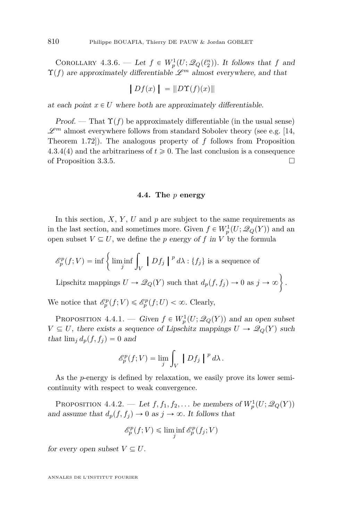<span id="page-48-0"></span>COROLLARY 4.3.6. — Let  $f \in W_p^1(U; \mathcal{Q}_Q(\ell_2^n))$ . It follows that  $f$  and  $\Upsilon(f)$  are approximately differentiable  $\mathscr{L}^m$  almost everywhere, and that

$$
|Df(x)| = ||D\Upsilon(f)(x)||
$$

at each point  $x \in U$  where both are approximately differentiable.

Proof. — That  $\Upsilon(f)$  be approximately differentiable (in the usual sense)  $\mathscr{L}^m$  almost everywhere follows from standard Sobolev theory (see e.g. [\[14,](#page-71-0) Theorem 1.72]). The analogous property of *f* follows from Proposition [4.3.4\(](#page-47-0)4) and the arbitrariness of  $t \geq 0$ . The last conclusion is a consequence of Proposition [3.3.5.](#page-35-0)

#### **4.4. The** *p* **energy**

In this section,  $X$ ,  $Y$ ,  $U$  and  $p$  are subject to the same requirements as in the last section, and sometimes more. Given  $f \in W_p^1(U; \mathcal{Q}_Q(Y))$  and an open subset  $V \subseteq U$ , we define the *p* energy of *f* in *V* by the formula

$$
\mathcal{E}_p^p(f;V) = \inf \left\{ \liminf_j \int_V \left[ \int Df_j \right] \right\}^p d\lambda : \{f_j\} \text{ is a sequence of }
$$

Lipschitz mappings  $U \to \mathcal{Q}_Q(Y)$  such that  $d_p(f, f_j) \to 0$  as  $j \to \infty$ .

We notice that  $\mathcal{E}_p^p(f; V) \leq \mathcal{E}_p^p(f; U) < \infty$ . Clearly,

PROPOSITION 4.4.1. — Given  $f \in W_p^1(U; \mathcal{Q}_Q(Y))$  and an open subset  $V \subseteq U$ , there exists a sequence of Lipschitz mappings  $U \to \mathcal{Q}_Q(Y)$  such that  $\lim_i d_p(f, f_i) = 0$  and

$$
\mathscr{E}_p^p(f;V) = \lim_j \int_V |Df_j|^{p} d\lambda.
$$

As the *p*-energy is defined by relaxation, we easily prove its lower semicontinuity with respect to weak convergence.

PROPOSITION 4.4.2. — Let  $f, f_1, f_2, \ldots$  be members of  $W_p^1(U; \mathscr{Q}_Q(Y))$ and assume that  $d_p(f, f_j) \to 0$  as  $j \to \infty$ . It follows that

$$
\mathcal{E}_p^p(f;V) \le \liminf_j \mathcal{E}_p^p(f_j;V)
$$

for every open subset  $V \subseteq U$ .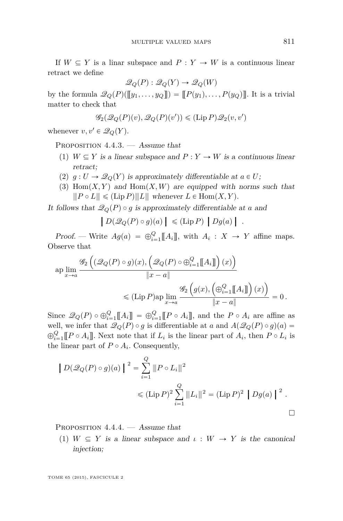<span id="page-49-0"></span>If  $W \subseteq Y$  is a linar subspace and  $P: Y \to W$  is a continuous linear retract we define

$$
\mathcal{Q}_Q(P) : \mathcal{Q}_Q(Y) \to \mathcal{Q}_Q(W)
$$

by the formula  $\mathscr{Q}_Q(P)(\llbracket y_1, \ldots, y_Q \rrbracket) = \llbracket P(y_1), \ldots, P(y_Q) \rrbracket$ . It is a trivial matter to check that

$$
\mathscr{G}_2(\mathscr{Q}_Q(P)(v), \mathscr{Q}_Q(P)(v')) \leq (\text{Lip } P)\mathscr{Q}_2(v, v')
$$

whenever  $v, v' \in \mathcal{Q}_Q(Y)$ .

PROPOSITION  $4.4.3.$  — Assume that

- (1)  $W \subseteq Y$  is a linear subspace and  $P: Y \to W$  is a continuous linear retract;
- (2)  $g: U \to \mathcal{Q}_Q(Y)$  is approximately differentiable at  $a \in U$ ;
- (3)  $Hom(X, Y)$  and  $Hom(X, W)$  are equipped with norms such that  $\|P \circ L\| \leq (Lip\,P)\|L\|$  whenever  $L \in Hom(X, Y)$ .

It follows that  $\mathcal{Q}_Q(P) \circ g$  is approximately differentiable at *a* and

$$
|D(\mathscr{Q}_Q(P) \circ g)(a)| \leq (\text{Lip } P) |Dg(a)|.
$$

Proof. — Write  $Ag(a) = \bigoplus_{i=1}^{Q} [A_i]$ , with  $A_i : X \to Y$  affine maps. Observe that ´

$$
\operatorname{ap} \lim_{x \to a} \frac{\mathscr{G}_2((\mathscr{Q}_Q(P) \circ g)(x), (\mathscr{Q}_Q(P) \circ \bigoplus_{i=1}^Q [A_i]])(x))}{\|x - a\|} \leq (\operatorname{Lip} P) \operatorname{ap} \lim_{x \to a} \frac{\mathscr{G}_2((g(x), (\bigoplus_{i=1}^Q [A_i]])(x))}{\|x - a\|}) = 0.
$$

Since  $\mathscr{Q}_Q(P) \circ \bigoplus_{i=1}^Q [\![A_i]\!] = \bigoplus_{i=1}^Q [\![P \circ A_i]\!]$ , and the  $P \circ A_i$  are affine as well, we infer that  $\mathcal{Q}_Q(P) \circ g$  is differentiable at *a* and  $A(\mathcal{Q}_Q(P) \circ g)(a) =$  $\bigoplus_{i=1}^{Q} [P \circ A_i]$ . Next note that if  $L_i$  is the linear part of  $A_i$ , then  $P \circ L_i$  is the linear part of  $P \circ A_i$ . Consequently,

$$
\|D(\mathcal{Q}_Q(P) \circ g)(a)\|^2 = \sum_{i=1}^Q \|P \circ L_i\|^2
$$
  
\$\leq (\text{Lip } P)^2 \sum\_{i=1}^Q \|L\_i\|^2 = (\text{Lip } P)^2 |Dg(a)|^2 .

PROPOSITION  $4.4.4.$  — Assume that

(1)  $W \subseteq Y$  is a linear subspace and  $\iota : W \to Y$  is the canonical injection;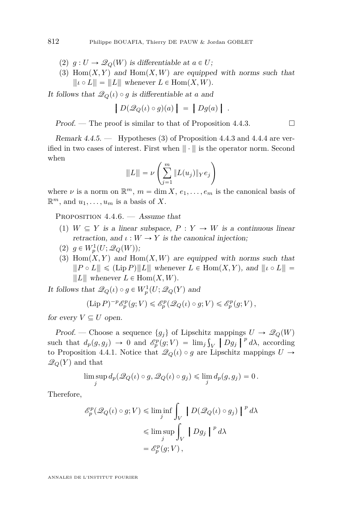- $(2)$   $g: U \to \mathcal{Q}_Q(W)$  is differentiable at  $a \in U$ ;
- (3)  $Hom(X, Y)$  and  $Hom(X, W)$  are equipped with norms such that  $\parallel$   $\parallel$   $\downarrow$   $\circ$   $L \parallel$  =  $\parallel$   $L \parallel$  whenever  $L \in$  Hom $(X, W)$ .

It follows that  $\mathcal{Q}_Q(\iota) \circ g$  is differentiable at *a* and

$$
|D(\mathscr{Q}_Q(\iota)\circ g)(a)| = |Dg(a)|.
$$

Proof. — The proof is similar to that of Proposition [4.4.3.](#page-49-0)

Remark  $4.4.5.$  — Hypotheses  $(3)$  of Proposition  $4.4.3$  and  $4.4.4$  are verified in two cases of interest. First when  $\|\cdot\|$  is the operator norm. Second when  $\left($ *m* 

$$
|||L|| = \nu \left( \sum_{j=1}^{m} ||L(u_j)||_Y e_j \right)
$$

where  $\nu$  is a norm on  $\mathbb{R}^m$ ,  $m = \dim X$ ,  $e_1, \ldots, e_m$  is the canonical basis of  $\mathbb{R}^m$ , and  $u_1, \ldots, u_m$  is a basis of *X*.

PROPOSITION  $4.4.6.$  — Assume that

- (1)  $W \subseteq Y$  is a linear subspace,  $P: Y \to W$  is a continuous linear retraction, and  $\iota : W \to Y$  is the canonical injection;
- $(2)$   $g \in W_p^1(U; \mathscr{Q}_Q(W));$
- (3)  $Hom(X, Y)$  and  $Hom(X, W)$  are equipped with norms such that  $\|P \circ L\| \leq (Lip P)\|L\|$  whenever  $L \in Hom(X, Y)$ , and  $\| \iota \circ L\| =$  $\parallel L \parallel$  whenever  $L \in$  Hom $(X, W)$ .

It follows that  $\mathscr{Q}_Q(\iota) \circ g \in W_p^1(U; \mathscr{Q}_Q(Y))$  and

$$
(\mathrm{Lip} \, P)^{-p} \mathscr{E}_p^p(g; V) \leq \mathscr{E}_p^p(\mathscr{Q}_Q(\iota) \circ g; V) \leq \mathscr{E}_p^p(g; V) \,,
$$

for every  $V \subseteq U$  open.

Proof. — Choose a sequence  $\{g_j\}$  of Lipschitz mappings  $U \to \mathcal{Q}_Q(W)$ such that  $d_p(g, g_j) \to 0$  and  $\mathscr{E}_p^p(g; V) = \lim_j \int_V |Dg_j|^{p} d\lambda$ , according<br>to Proposition 4.4.1. Notice that  $\mathscr{D}_p(t) \circ q$  are Uncobity mappings  $U$ . to Proposition [4.4.1.](#page-48-0) Notice that  $\mathcal{Q}_Q(\iota) \circ g$  are Lipschitz mappings  $U \to$  $\mathcal{Q}_Q(Y)$  and that

$$
\limsup_j d_p(\mathscr{Q}_Q(\iota)\circ g,\mathscr{Q}_Q(\iota)\circ g_j) \leq \lim_j d_p(g,g_j) = 0.
$$

Therefore,

$$
\mathscr{E}_p^p(\mathscr{Q}_Q(\iota)\circ g; V) \le \liminf_j \int_V \left[ D(\mathscr{Q}_Q(\iota)\circ g_j) \right]^p d\lambda
$$
  

$$
\le \limsup_j \int_V \left[ Dg_j \right]^p d\lambda
$$
  

$$
= \mathscr{E}_p^p(g; V),
$$

<span id="page-50-0"></span>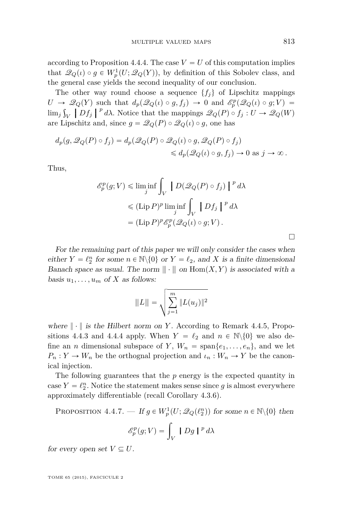<span id="page-51-0"></span>according to Proposition [4.4.4.](#page-49-0) The case  $V = U$  of this computation implies that  $\mathscr{Q}_Q(\iota) \circ g \in W_p^1(U; \mathscr{Q}_Q(Y))$ , by definition of this Sobolev class, and the general case yields the second inequality of our conclusion.

The other way round choose a sequence  $\{f_i\}$  of Lipschitz mappings  $U \to \mathcal{Q}_Q(Y)$  such that  $d_p(\mathcal{Q}_Q(\iota) \circ g, f_j) \to 0$  and  $\mathcal{E}_p^p(\mathcal{Q}_Q(\iota) \circ g; V) =$  $\lim_{j} \int_{V} |Df_j|^{p} d\lambda$ . Notice that the mappings  $\mathscr{Q}_Q(P) \circ f_j : U \to \mathscr{Q}_Q(W)$ <br>are Linschitz and since  $g = \mathscr{Q}_Q(P) \circ \mathscr{Q}_Q(\lambda) \circ g$  appalance are Lipschitz and, since  $g = \mathcal{Q}_Q(P) \circ \mathcal{Q}_Q(\iota) \circ g$ , one has

$$
d_p(g, \mathcal{Q}_Q(P) \circ f_j) = d_p(\mathcal{Q}_Q(P) \circ \mathcal{Q}_Q(\iota) \circ g, \mathcal{Q}_Q(P) \circ f_j)
$$
  
\$\leqslant d\_p(\mathcal{Q}\_Q(\iota) \circ g, f\_j) \to 0\$ as  $j \to \infty$ .

Thus,

$$
\mathscr{E}_p^p(g; V) \le \liminf_j \int_V \left\{ D(\mathscr{Q}_Q(P) \circ f_j) \right\}^p d\lambda
$$
  

$$
\le (\text{Lip } P)^p \liminf_j \int_V \left\{ Df_j \right\}^p d\lambda
$$
  

$$
= (\text{Lip } P)^p \mathscr{E}_p^p(\mathscr{Q}_Q(\iota) \circ g; V).
$$

For the remaining part of this paper we will only consider the cases when either  $Y = \ell_2^n$  for some  $n \in \mathbb{N} \setminus \{0\}$  or  $Y = \ell_2$ , and *X* is a finite dimensional Banach space as usual. The norm  $\| \cdot \|$  on  $\text{Hom}(X, Y)$  is associated with a basis  $u_1, \ldots, u_m$  of *X* as follows:

$$
|||L||| = \sqrt{\sum_{j=1}^{m} ||L(u_j)||^2}
$$

where  $\|\cdot\|$  is the Hilbert norm on *Y*. According to Remark [4.4.5,](#page-50-0) Propo-sitions [4.4.3](#page-49-0) and [4.4.4](#page-49-0) apply. When  $Y = \ell_2$  and  $n \in \mathbb{N}\backslash\{0\}$  we also define an *n* dimensional subspace of *Y*,  $W_n = \text{span}\{e_1, \ldots, e_n\}$ , and we let  $P_n: Y \to W_n$  be the orthognal projection and  $\iota_n: W_n \to Y$  be the canonical injection.

The following guarantees that the *p* energy is the expected quantity in case  $Y = \ell_2^n$ . Notice the statement makes sense since *g* is almost everywhere approximately differentiable (recall Corollary [4.3.6\)](#page-48-0).

PROPOSITION  $4.4.7.$  — If  $g \in W_p^1(U; \mathcal{Q}_Q(\ell_2^n))$  for some  $n \in \mathbb{N} \setminus \{0\}$  then

$$
\mathscr{E}_p^p(g; V) = \int_V \mid Dg \mid^p d\lambda
$$

for every open set  $V \subseteq U$ .

TOME 65 (2015), FASCICULE 2

 $\Box$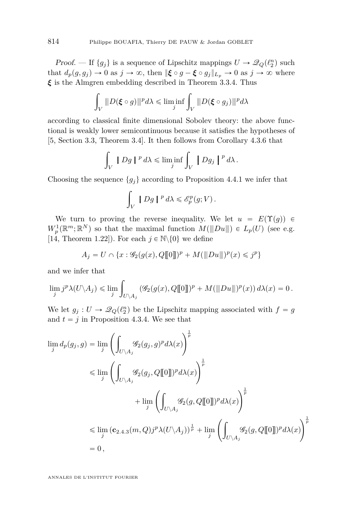*Proof.* — If  $\{g_j\}$  is a sequence of Lipschitz mappings  $U \to \mathcal{Q}_Q(\ell_2^n)$  such that  $d_p(g, g_i) \to 0$  as  $j \to \infty$ , then  $\|\boldsymbol{\xi} \circ g - \boldsymbol{\xi} \circ g_j\|_{L_p} \to 0$  as  $j \to \infty$  where *ξ* is the Almgren embedding described in Theorem [3.3.4.](#page-34-0) Thus

$$
\int_V ||D(\boldsymbol{\xi} \circ g)||^p d\lambda \leqslant \liminf_j \int_V ||D(\boldsymbol{\xi} \circ g_j)||^p d\lambda
$$

according to classical finite dimensional Sobolev theory: the above functional is weakly lower semicontinuous because it satisfies the hypotheses of [\[5,](#page-70-0) Section 3.3, Theorem 3.4]. It then follows from Corollary [4.3.6](#page-48-0) that

$$
\int_V |Dg|^{p} d\lambda \leq \liminf_{j} \int_V |Dg_j|^{p} d\lambda.
$$

Choosing the sequence  $\{g_i\}$  according to Proposition [4.4.1](#page-48-0) we infer that

$$
\int_V |Dg|^{p} d\lambda \leqslant \mathscr{E}_p^p(g; V).
$$

We turn to proving the reverse inequality. We let  $u = E(\Upsilon(g)) \in$  $W_p^1(\mathbb{R}^m;\mathbb{R}^N)$  so that the maximal function  $M(\|Du\|) \in L_p(U)$  (see e.g. [\[14,](#page-71-0) Theorem 1.22]). For each  $j \in \mathbb{N} \backslash \{0\}$  we define

$$
A_j = U \cap \{x : \mathscr{G}_2(g(x), Q[\![0]\!])^p + M(\|Du\|)^p(x) \leq j^p\}
$$

and we infer that

$$
\lim_j j^p \lambda(U \setminus A_j) \leq \lim_j \int_{U \setminus A_j} (\mathscr{G}_2(g(x), Q[\![0]\!])^p + M(\|Du\|)^p(x)) d\lambda(x) = 0.
$$

We let  $g_j: U \to \mathcal{Q}_Q(\ell_2^n)$  be the Lipschitz mapping associated with  $f = g$ and  $t = j$  in Proposition [4.3.4.](#page-47-0) We see that

$$
\begin{split} \lim_j d_p(g_j,g) &= \lim_j \left( \int_{U \backslash A_j} \mathscr{G}_2(g_j,g)^p d\lambda(x) \right)^{\frac{1}{p}} \\ &\leqslant \lim_j \left( \int_{U \backslash A_j} \mathscr{G}_2(g_j,Q[\![0]\!])^p d\lambda(x) \right)^{\frac{1}{p}} \\ &\quad + \lim_j \left( \int_{U \backslash A_j} \mathscr{G}_2(g,Q[\![0]\!])^p d\lambda(x) \right)^{\frac{1}{p}} \\ &\leqslant \lim_j \left( \mathbf{c}_{2.4.3}(m,Q)j^p \lambda(U \backslash A_j) \right)^{\frac{1}{p}} + \lim_j \left( \int_{U \backslash A_j} \mathscr{G}_2(g,Q[\![0]\!])^p d\lambda(x) \right)^{\frac{1}{p}} \\ &= 0 \,, \end{split}
$$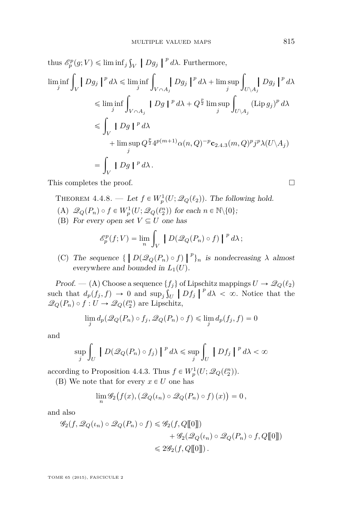<span id="page-53-0"></span>thus  $\mathscr{E}_p^p(g; V) \leq \liminf_j$ ş  $\int_V$  |  $Dg_j$  |  $^p d\lambda$ . Furthermore,

$$
\liminf_{j} \int_{V} Dg_{j} \mid^{p} d\lambda \leq \liminf_{j} \int_{V \cap A_{j}} Dg_{j} \mid^{p} d\lambda + \limsup_{j} \int_{U \setminus A_{j}} Dg_{j} \mid^{p} d\lambda
$$
  
\n
$$
\leq \liminf_{j} \int_{V \cap A_{j}} |Dg|^{p} d\lambda + Q^{\frac{p}{2}} \limsup_{j} \int_{U \setminus A_{j}} (\text{Lip } g_{j})^{p} d\lambda
$$
  
\n
$$
\leq \int_{V} |Dg|^{p} d\lambda + \limsup_{j} Q^{\frac{p}{2}} 4^{p(m+1)} \alpha(n, Q)^{-p} c_{2,4,3}(m, Q)^{p} j^{p} \lambda(U \setminus A_{j})
$$
  
\n
$$
= \int_{V} |Dg|^{p} d\lambda.
$$

This completes the proof.

THEOREM  $4.4.8.$  — Let  $f \in W_p^1(U; \mathcal{Q}_Q(\ell_2))$ . The following hold.

- (A)  $\mathscr{Q}_Q(P_n) \circ f \in W_p^1(U; \mathscr{Q}_Q(\ell_2^n))$  for each  $n \in \mathbb{N} \setminus \{0\};$
- (B) For every open set  $V \subseteq U$  one has

$$
\mathscr{E}_p^p(f;V) = \lim_n \int_V \left[ D(\mathscr{Q}_Q(P_n) \circ f) \right]^p d\lambda;
$$

(C) The sequence  $\{ [D(\mathcal{Q}_Q(P_n) \circ f)]^p \}_n$  is nondecreasing  $\lambda$  almost experimence and bounded in  $I_n(U)$ everywhere and bounded in  $L_1(U)$ .

Proof. — (A) Choose a sequence  $\{f_j\}$  of Lipschitz mappings  $U \to \mathcal{Q}_Q(\ell_2)$ such that  $d_p(f_j, f) \to 0$  and  $\sup_j \int_U |Df_j||^p d\lambda < \infty$ . Notice that the  $\mathscr{Q}_Q(P_n) \circ f : U \to \mathscr{Q}_Q(\ell_2^n)$  are Lipschitz,

$$
\lim_{j} d_p(\mathcal{Q}_Q(P_n) \circ f_j, \mathcal{Q}_Q(P_n) \circ f) \le \lim_{j} d_p(f_j, f) = 0
$$

and

$$
\sup_{j} \int_{U} \left| D(\mathcal{Q}_{Q}(P_{n}) \circ f_{j}) \right|^{p} d\lambda \leq \sup_{j} \int_{U} \left| Df_{j} \right|^{p} d\lambda < \infty
$$

according to Proposition [4.4.3.](#page-49-0) Thus  $f \in W_p^1(U; \mathcal{Q}_Q(\ell_2^n))$ .

(B) We note that for every  $x \in U$  one has

$$
\lim_{n} \mathscr{G}_{2}\big(f(x),\left(\mathscr{Q}_{Q}(\iota_{n})\circ\mathscr{Q}_{Q}(P_{n})\circ f\right)(x)\big)=0\,,
$$

and also

$$
\mathcal{G}_2(f, \mathcal{Q}_Q(\iota_n) \circ \mathcal{Q}_Q(P_n) \circ f) \leq \mathcal{G}_2(f, Q[\![0]\!])
$$
  
+ 
$$
\mathcal{G}_2(\mathcal{Q}_Q(\iota_n) \circ \mathcal{Q}_Q(P_n) \circ f, Q[\![0]\!])
$$
  

$$
\leq 2\mathcal{G}_2(f, Q[\![0]\!]).
$$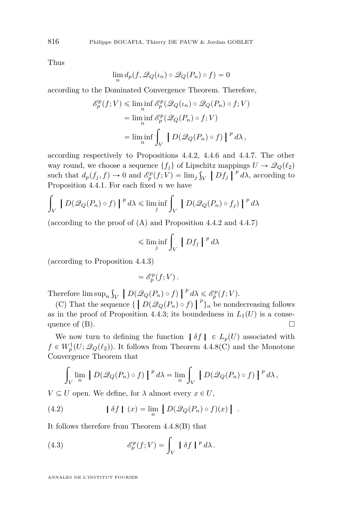Thus

$$
\lim_{n} d_p(f, \mathscr{Q}_Q(\iota_n) \circ \mathscr{Q}_Q(P_n) \circ f) = 0
$$

according to the Dominated Convergence Theorem. Therefore,

$$
\mathcal{E}_p^p(f;V) \le \liminf_n \mathcal{E}_p^p(\mathcal{Q}_Q(\iota_n) \circ \mathcal{Q}_Q(P_n) \circ f; V)
$$
  
= 
$$
\liminf_n \mathcal{E}_p^p(\mathcal{Q}_Q(P_n) \circ f; V)
$$
  
= 
$$
\liminf_n \int_V \left[ D(\mathcal{Q}_Q(P_n) \circ f) \right]^p d\lambda,
$$

according respectively to Propositions [4.4.2,](#page-48-0) [4.4.6](#page-50-0) and [4.4.7.](#page-51-0) The other way round, we choose a sequence  $\{f_j\}$  of Lipschitz mappings  $U \to \mathcal{Q}_Q(\ell_2)$ such that  $d_p(f_j, f) \to 0$  and  $\mathscr{E}_p^p(f; V) = \lim_j \int_V |Df_j|^{p} d\lambda$ , according to Proposition [4.4.1.](#page-48-0) For each fixed *n* we have

$$
\int_{V} \left| D(\mathscr{Q}_Q(P_n) \circ f) \right|^{p} d\lambda \leq \liminf_{j} \int_{V} \left| D(\mathscr{Q}_Q(P_n) \circ f_j) \right|^{p} d\lambda
$$

(according to the proof of (A) and Proposition [4.4.2](#page-48-0) and [4.4.7\)](#page-51-0)

$$
\leqslant \liminf_{j} \int_{V} |Df_{j}|^{p} d\lambda
$$

(according to Proposition [4.4.3\)](#page-49-0)

$$
= \mathscr{E}_p^p(f;V) \, .
$$

Therefore lim sup*<sup>n</sup>* ş  $\mathcal{L}_V$  *p*  $\left[ D(\mathcal{Q}_Q(P_n) \circ f) \right]$ <sup>*p*</sup> *dλ*  $\leq \mathcal{E}_p^p(f;V)$ .

(C) That the sequence  $\{ [ D(\mathcal{Q}_Q(P_n) \circ f) ]^p \}_n$  be nondecreasing follows in the proof of Proposition 4.4.3; its houndedness in  $I_n(U)$  is a consequence as in the proof of Proposition [4.4.3;](#page-49-0) its boundedness in  $L_1(U)$  is a consequence of  $(B)$ .

We now turn to defining the function  $\delta f \in L_p(U)$  associated with  $f \in W_p^1(U; \mathcal{Q}_Q(\ell_2))$ . It follows from Theorem [4.4.8\(](#page-53-0)C) and the Monotone Convergence Theorem that

$$
\int_{V} \lim_{n} \left| D(\mathscr{Q}_Q(P_n) \circ f) \right|^{p} d\lambda = \lim_{n} \int_{V} \left| D(\mathscr{Q}_Q(P_n) \circ f) \right|^{p} d\lambda,
$$

 $V \subseteq U$  open. We define, for  $\lambda$  almost every  $x \in U$ ,

(4.2) 
$$
\left| \delta f \right| (x) = \lim_{n} \left| D \left( \mathcal{Q}_Q(P_n) \circ f \right) (x) \right| .
$$

It follows therefore from Theorem [4.4.8\(](#page-53-0)B) that

(4.3) 
$$
\mathscr{E}_p^p(f;V) = \int_V \mid \delta f \mid^p d\lambda.
$$

<span id="page-54-0"></span>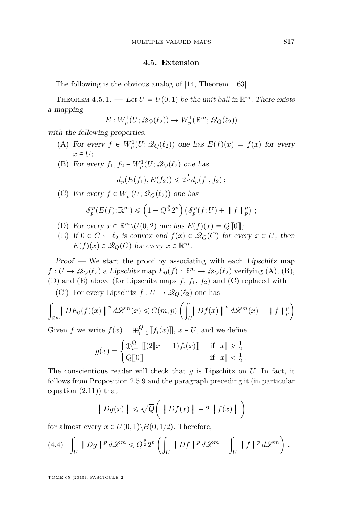#### **4.5. Extension**

<span id="page-55-0"></span>The following is the obvious analog of [\[14,](#page-71-0) Theorem 1.63].

THEOREM  $4.5.1.$   $-$  Let  $U = U(0, 1)$  be the unit ball in  $\mathbb{R}^m$ . There exists a mapping

$$
E: W^1_p(U; \mathscr{Q}_Q(\ell_2)) \to W^1_p(\mathbb{R}^m; \mathscr{Q}_Q(\ell_2))
$$

with the following properties.

- (A) For every  $f \in W_p^1(U; \mathcal{Q}_Q(\ell_2))$  one has  $E(f)(x) = f(x)$  for every  $x \in U$ ;
- (B) For every  $f_1, f_2 \in W_p^1(U; \mathcal{Q}_Q(\ell_2))$  one has

$$
d_p(E(f_1), E(f_2)) \leq 2^{\frac{1}{p}} d_p(f_1, f_2);
$$

(C) For every  $f \in W_p^1(U; \mathcal{Q}_Q(\ell_2))$  one has

$$
\mathscr{E}_p^p(E(f); \mathbb{R}^m) \leq (1 + Q^{\frac{p}{2}} 2^p) \left( \mathscr{E}_p^p(f; U) + \| f \|_p^p \right);
$$

- (D) For every  $x \in \mathbb{R}^m \setminus U(0, 2)$  one has  $E(f)(x) = Q[[0]]$ ;
- (E) If  $0 \in C \subseteq \ell_2$  is convex and  $f(x) \in \mathcal{Q}_Q(C)$  for every  $x \in U$ , then  $E(f)(x) \in \mathcal{Q}_Q(C)$  for every  $x \in \mathbb{R}^m$ .

Proof. — We start the proof by associating with each Lipschitz map  $f: U \to \mathscr{Q}_Q(\ell_2)$  a Lipschitz map  $E_0(f): \mathbb{R}^m \to \mathscr{Q}_Q(\ell_2)$  verifying (A), (B), (D) and  $(E)$  above (for Lipschitz maps  $f, f_1, f_2$ ) and  $(C)$  replaced with

(C') For every Lipschitz  $f: U \to \mathcal{Q}_Q(\ell_2)$  one has

$$
\int_{\mathbb{R}^m} |D E_0(f)(x)|^p d\mathcal{L}^m(x) \leq C(m, p) \left( \int_U |D f(x)|^p d\mathcal{L}^m(x) + \|f\|_p^p \right)
$$

Given *f* we write  $f(x) = \bigoplus_{i=1}^{Q} [[f_i(x)]]$ ,  $x \in U$ , and we define<br>  $g(x) = \begin{cases} \bigoplus_{i=1}^{Q} [[2||x||-1) f_i(x)]] & \text{if } ||x|| \geq \frac{1}{2} \\ 0.0575 & \text{if } ||x|| > 1 \end{cases}$ 

$$
g(x) = \begin{cases} \bigoplus_{i=1}^{Q} [[2||x||-1) f_i(x)]] & \text{if } ||x|| \geq \frac{1}{2} \\ Q[[0]] & \text{if } ||x|| < \frac{1}{2} \end{cases}
$$

*.*

The conscientious reader will check that *g* is Lipschitz on *U*. In fact, it follows from Proposition [2.5.9](#page-27-0) and the paragraph preceding it (in particular equation [\(2.11\)](#page-27-0)) that

$$
|Dg(x)| \leq \sqrt{Q} \left( |Df(x)| + 2 |f(x)| \right)
$$

for almost every  $x \in U(0,1) \setminus B(0,1/2)$ . Therefore,

(4.4) 
$$
\int_{U} |Dg|^{p} d\mathcal{L}^{m} \leq Q^{\frac{p}{2}} 2^{p} \left( \int_{U} |Df|^{p} d\mathcal{L}^{m} + \int_{U} |f|^{p} d\mathcal{L}^{m} \right).
$$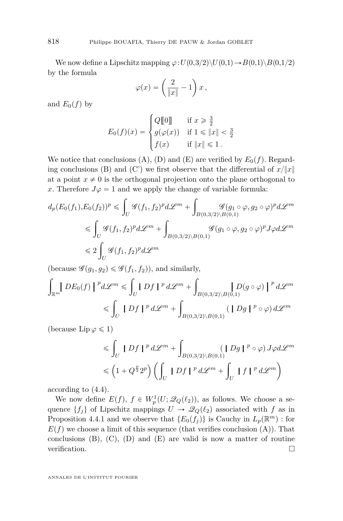We now define a Lipschitz mapping  $\varphi: U(0,3/2) \setminus U(0,1) \rightarrow B(0,1) \setminus B(0,1/2)$ by the formula

$$
\varphi(x) = \left(\frac{2}{\|x\|} - 1\right)x\,,
$$

and  $E_0(f)$  by

$$
E_0(f)(x) = \begin{cases} Q[\![0]\!] & \text{if } x \geq \frac{3}{2} \\ g(\varphi(x)) & \text{if } 1 \leq |x| < \frac{3}{2} \\ f(x) & \text{if } \|x\| \leq 1 \end{cases}
$$

We notice that conclusions (A), (D) and (E) are verified by  $E_0(f)$ . Regarding conclusions (B) and (C') we first observe that the differential of  $x/\|x\|$ at a point  $x \neq 0$  is the orthogonal projection onto the plane orthogonal to *x*. Therefore  $J\varphi = 1$  and we apply the change of variable formula:

$$
d_p(E_0(f_1), E_0(f_2))^p \le \int_U \mathcal{G}(f_1, f_2)^p d\mathcal{L}^m + \int_{B(0, 3/2) \backslash B(0, 1)} \mathcal{G}(g_1 \circ \varphi, g_2 \circ \varphi)^p d\mathcal{L}^m
$$
  

$$
\le \int_U \mathcal{G}(f_1, f_2)^p d\mathcal{L}^m + \int_{B(0, 3/2) \backslash B(0, 1)} \mathcal{G}(g_1 \circ \varphi, g_2 \circ \varphi)^p J \varphi d\mathcal{L}^m
$$
  

$$
\le 2 \int_U \mathcal{G}(f_1, f_2)^p d\mathcal{L}^m
$$

(because  $\mathscr{G}(g_1, g_2) \leq \mathscr{G}(f_1, f_2)$ ), and similarly,

$$
\int_{\mathbb{R}^m} |D E_0(f)|^p d\mathcal{L}^m \leq \int_U |D f|^p d\mathcal{L}^m + \int_{B(0,3/2) \backslash B(0,1)} |D (g \circ \varphi)|^p d\mathcal{L}^m
$$
  

$$
\leq \int_U |D f|^p d\mathcal{L}^m + \int_{B(0,3/2) \backslash B(0,1)} (|D g|^{p} \circ \varphi) d\mathcal{L}^m
$$

(because  $\text{Lip}\,\varphi\leqslant 1$ )

$$
\leqslant \int_{U} |Df|^{p} d\mathcal{L}^{m} + \int_{B(0,3/2)\backslash B(0,1)} (|Dg|^{p} \circ \varphi) J\varphi d\mathcal{L}^{m}
$$
  

$$
\leqslant (1 + Q^{\frac{p}{2}} 2^{p}) \left( \int_{U} |Df|^{p} d\mathcal{L}^{m} + \int_{U} |f|^{p} d\mathcal{L}^{m} \right)
$$

according to [\(4.4\)](#page-55-0).

We now define  $E(f)$ ,  $f \in W_p^1(U; \mathcal{Q}_Q(\ell_2))$ , as follows. We choose a sequence  $\{f_j\}$  of Lipschitz mappings  $U \to \mathcal{Q}_Q(\ell_2)$  associated with *f* as in Proposition [4.4.1](#page-48-0) and we observe that  $\{E_0(f_j)\}\$ is Cauchy in  $L_p(\mathbb{R}^m)$ : for  $E(f)$  we choose a limit of this sequence (that verifies conclusion  $(A)$ ). That conclusions  $(B)$ ,  $(C)$ ,  $(D)$  and  $(E)$  are valid is now a matter of routine verification.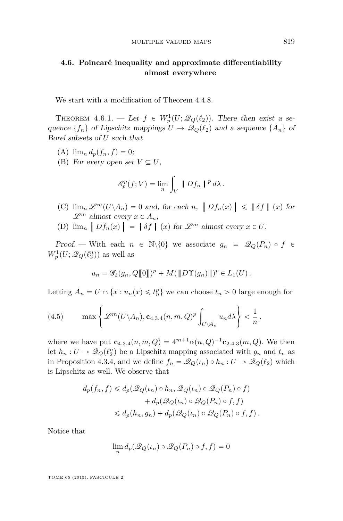# <span id="page-57-0"></span>**4.6. Poincaré inequality and approximate differentiability almost everywhere**

We start with a modification of Theorem [4.4.8.](#page-53-0)

THEOREM  $4.6.1.$  – Let  $f \in W_p^1(U; \mathcal{Q}_Q(\ell_2))$ . There then exist a sequence  $\{f_n\}$  of Lipschitz mappings  $U \to \mathcal{Q}_Q(\ell_2)$  and a sequence  $\{A_n\}$  of Borel subsets of *U* such that

- (A)  $\lim_{n} d_{n}(f_{n}, f) = 0;$
- (B) For every open set  $V \subseteq U$ ,

$$
\mathscr{E}_p^p(f;V) = \lim_n \int_V |Df_n|^{p} d\lambda.
$$

- (C)  $\lim_{m \to \infty} \mathcal{L}^m(U \setminus A_n) = 0$  and, for each *n*,  $\left|Df_n(x)\right| \leq \left|\delta f\right|$  (*x*) for  $\mathscr{L}^m$  almost every  $x \in A_n$ ;
- (D)  $\lim_{n} |Df_n(x)| = |\delta f| (x) \text{ for } \mathcal{L}^m \text{ almost every } x \in U.$

Proof. — With each  $n \in \mathbb{N}\backslash\{0\}$  we associate  $g_n = \mathcal{Q}_Q(P_n) \circ f \in$  $W_p^1(U; \mathscr{Q}_Q(\ell_2^n))$  as well as

$$
u_n = \mathscr{G}_2(g_n, Q[\![0]\!])^p + M(\|D\Upsilon(g_n)\|)^p \in L_1(U).
$$

Letting  $A_n = U \cap \{x : u_n(x) \leq t_n^p\}$  we can choose  $t_n > 0$  large enough for

(4.5) 
$$
\max \left\{ \mathscr{L}^m(U \setminus A_n), \mathbf{c}_{4.3.4}(n,m,Q)^p \int_{U \setminus A_n} u_n d\lambda \right\} < \frac{1}{n},
$$

where we have put  $\mathbf{c}_{4,3,4}(n,m,Q) = 4^{m+1} \alpha(n,Q)^{-1} \mathbf{c}_{2,4,3}(m,Q)$  $\mathbf{c}_{4,3,4}(n,m,Q) = 4^{m+1} \alpha(n,Q)^{-1} \mathbf{c}_{2,4,3}(m,Q)$  $\mathbf{c}_{4,3,4}(n,m,Q) = 4^{m+1} \alpha(n,Q)^{-1} \mathbf{c}_{2,4,3}(m,Q)$  $\mathbf{c}_{4,3,4}(n,m,Q) = 4^{m+1} \alpha(n,Q)^{-1} \mathbf{c}_{2,4,3}(m,Q)$  $\mathbf{c}_{4,3,4}(n,m,Q) = 4^{m+1} \alpha(n,Q)^{-1} \mathbf{c}_{2,4,3}(m,Q)$ . We then let  $h_n: U \to \mathcal{Q}_Q(\ell_2^n)$  be a Lipschitz mapping associated with  $g_n$  and  $t_n$  as in Proposition [4.3.4,](#page-47-0) and we define  $f_n = \mathcal{Q}_Q(\iota_n) \circ h_n : U \to \mathcal{Q}_Q(\ell_2)$  which is Lipschitz as well. We observe that

$$
d_p(f_n, f) \le d_p(\mathcal{Q}_Q(\iota_n) \circ h_n, \mathcal{Q}_Q(\iota_n) \circ \mathcal{Q}_Q(P_n) \circ f)
$$
  
+ 
$$
d_p(\mathcal{Q}_Q(\iota_n) \circ \mathcal{Q}_Q(P_n) \circ f, f)
$$
  

$$
\le d_p(h_n, g_n) + d_p(\mathcal{Q}_Q(\iota_n) \circ \mathcal{Q}_Q(P_n) \circ f, f).
$$

Notice that

$$
\lim_{n} d_{p}(\mathscr{Q}_{Q}(\iota_{n}) \circ \mathscr{Q}_{Q}(P_{n}) \circ f, f) = 0
$$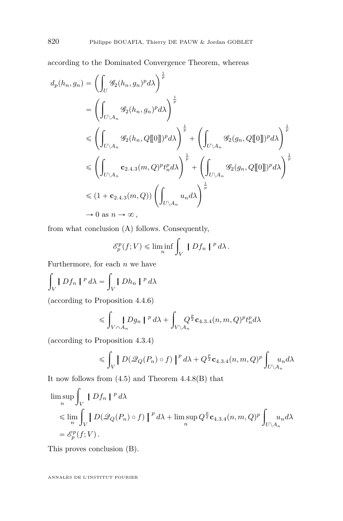according to the Dominated Convergence Theorem, whereas

$$
d_p(h_n, g_n) = \left(\int_U \mathcal{G}_2(h_n, g_n)^p d\lambda\right)^{\frac{1}{p}}
$$
  
\n
$$
= \left(\int_{U \backslash A_n} \mathcal{G}_2(h_n, g_n)^p d\lambda\right)^{\frac{1}{p}}
$$
  
\n
$$
\leq \left(\int_{U \backslash A_n} \mathcal{G}_2(h_n, Q[\![0]\!])^p d\lambda\right)^{\frac{1}{p}} + \left(\int_{U \backslash A_n} \mathcal{G}_2(g_n, Q[\![0]\!])^p d\lambda\right)^{\frac{1}{p}}
$$
  
\n
$$
\leq \left(\int_{U \backslash A_n} \mathbf{c}_{2.4.3}(m, Q)^p t_n^p d\lambda\right)^{\frac{1}{p}} + \left(\int_{U \backslash A_n} \mathcal{G}_2(g_n, Q[\![0]\!])^p d\lambda\right)^{\frac{1}{p}}
$$
  
\n
$$
\leq (1 + \mathbf{c}_{2.4.3}(m, Q)) \left(\int_{U \backslash A_n} u_n d\lambda\right)^{\frac{1}{p}}
$$
  
\n
$$
\to 0 \text{ as } n \to \infty,
$$

from what conclusion (A) follows. Consequently,

$$
\mathscr{E}_p^p(f;V) \le \liminf_n \int_V |Df_n|^{p} d\lambda.
$$

Furthermore, for each  $n$  we have

$$
\int_V |Df_n|^{p} d\lambda = \int_V |Dh_n|^{p} d\lambda
$$

(according to Proposition [4.4.6\)](#page-50-0)

$$
\leqslant \int_{V\cap A_n} Dg_n\mid^p d\lambda + \int_{V\backslash A_n} Q^{\frac{p}{2}} \mathbf{c}_{4.3.4}(n,m,Q)^p t_n^p d\lambda
$$

(according to Proposition [4.3.4\)](#page-47-0) ż

$$
\leqslant \int_V \left| D(\mathscr{Q}_Q(P_n) \circ f) \right|^p d\lambda + Q^{\frac{p}{2}} \mathbf{c}_{4,3.4}(n,m,Q)^p \int_{U \backslash A_n} u_n d\lambda
$$

It now follows from  $(4.5)$  and Theorem  $4.4.8(B)$  $4.4.8(B)$  that

$$
\limsup_{n} \int_{V} |Df_{n}|^{p} d\lambda
$$
\n
$$
\leq \lim_{n} \int_{V} |D(\mathcal{Q}_{Q}(P_{n}) \circ f)|^{p} d\lambda + \limsup_{n} Q^{\frac{p}{2}} \mathbf{c}_{4,3,4}(n, m, Q)^{p} \int_{U \backslash A_{n}} u_{n} d\lambda
$$
\n
$$
= \mathcal{E}_{p}^{p}(f; V).
$$

This proves conclusion (B).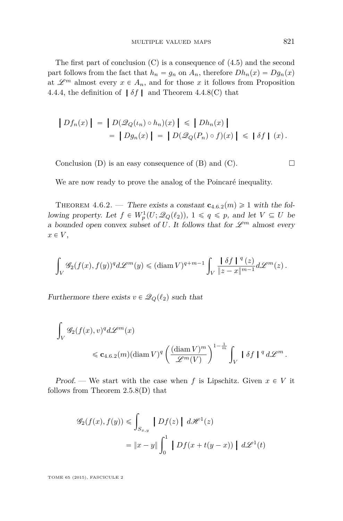<span id="page-59-0"></span>The first part of conclusion (C) is a consequence of [\(4.5\)](#page-57-0) and the second part follows from the fact that  $h_n = g_n$  on  $A_n$ , therefore  $Dh_n(x) = Dg_n(x)$ at  $\mathscr{L}^m$  almost every  $x \in A_n$ , and for those x it follows from Proposition [4.4.4,](#page-49-0) the definition of  $\delta f$  and Theorem [4.4.8\(](#page-53-0)C) that

$$
\left|Df_n(x)\right| = \left|D(\mathcal{Q}_Q(\iota_n) \circ h_n)(x)\right| \leq \left|Dh_n(x)\right|
$$
  
= 
$$
\left|Dg_n(x)\right| = \left|D(\mathcal{Q}_Q(P_n) \circ f)(x)\right| \leq \left|\delta f\right| (x).
$$

Conclusion (D) is an easy consequence of (B) and (C).  $\Box$ 

We are now ready to prove the analog of the Poincaré inequality.

THEOREM 4.6.2. — There exists a constant  $\mathbf{c}_{4.6.2}(m) \geq 1$  with the following property. Let  $f \in W_p^1(U; \mathcal{Q}_Q(\ell_2))$ ,  $1 \leq q \leq p$ , and let  $V \subseteq U$  be a bounded open convex subset of U. It follows that for  $\mathscr{L}^m$  almost every  $x \in V$ ,

$$
\int_V \mathscr{G}_2(f(x), f(y))^q d\mathscr{L}^m(y) \leq (\textnormal{diam}\, V)^{q+m-1} \int_V \frac{\|\delta f\|^{q}(z)}{\|z-x\|^{m-1}} d\mathscr{L}^m(z) .
$$

Furthermore there exists  $v \in \mathcal{Q}_Q(\ell_2)$  such that

$$
\int_{V} \mathcal{G}_2(f(x), v)^q d\mathcal{L}^m(x)
$$
  
\$\leqslant \mathbf{c}\_{4.6.2}(m)(\text{diam } V)^q \left( \frac{(\text{diam } V)^m}{\mathcal{L}^m(V)} \right)^{1-\frac{1}{m}} \int\_{V} |\delta f|^{q} d\mathcal{L}^m.

Proof. — We start with the case when f is Lipschitz. Given  $x \in V$  it follows from Theorem [2.5.8\(](#page-24-0)D) that

$$
\mathcal{G}_2(f(x), f(y)) \le \int_{S_{x,y}} |Df(z)| d\mathcal{H}^1(z)
$$
  
=  $||x - y|| \int_0^1 |Df(x + t(y - x))| d\mathcal{L}^1(t)$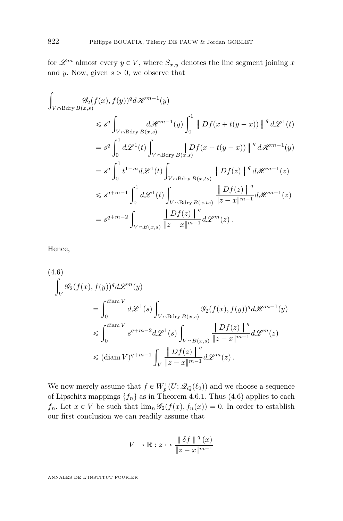<span id="page-60-0"></span>for  $\mathscr{L}^m$  almost every  $y \in V$ , where  $S_{x,y}$  denotes the line segment joining x and *y*. Now, given  $s > 0$ , we observe that

$$
\int_{V \cap B \text{dry } B(x,s)} g_2(f(x), f(y))^q d\mathcal{H}^{m-1}(y)
$$
\n
$$
\leq s^q \int_{V \cap B \text{dry } B(x,s)} d\mathcal{H}^{m-1}(y) \int_0^1 |Df(x+t(y-x))|^{q} d\mathcal{L}^{1}(t)
$$
\n
$$
= s^q \int_0^1 d\mathcal{L}^{1}(t) \int_{V \cap B \text{dry } B(x,s)} |Df(x+t(y-x))|^{q} d\mathcal{H}^{m-1}(y)
$$
\n
$$
= s^q \int_0^1 t^{1-m} d\mathcal{L}^{1}(t) \int_{V \cap B \text{dry } B(x,ts)} |Df(z)|^{q} d\mathcal{H}^{m-1}(z)
$$
\n
$$
\leq s^{q+m-1} \int_0^1 d\mathcal{L}^{1}(t) \int_{V \cap B \text{dry } B(x,ts)} \frac{|Df(z)|^{q}}{|z-x|^{m-1}} d\mathcal{H}^{m-1}(z)
$$
\n
$$
= s^{q+m-2} \int_{V \cap B(x,s)} \frac{|Df(z)|^{q}}{|z-x|^{m-1}} d\mathcal{L}^{m}(z).
$$

Hence,

$$
(4.6)
$$
\n
$$
\int_{V} \mathcal{G}_2(f(x), f(y))^q d\mathcal{L}^m(y)
$$
\n
$$
= \int_0^{\text{diam } V} d\mathcal{L}^1(s) \int_{V \cap \text{Bdry } B(x,s)} \mathcal{G}_2(f(x), f(y))^q d\mathcal{H}^{m-1}(y)
$$
\n
$$
\leqslant \int_0^{\text{diam } V} s^{q+m-2} d\mathcal{L}^1(s) \int_{V \cap B(x,s)} \frac{\left|Df(z)\right|^q}{\left|z-x\right|^{m-1}} d\mathcal{L}^m(z)
$$
\n
$$
\leqslant (\text{diam } V)^{q+m-1} \int_V \frac{\left|Df(z)\right|^q}{\left|z-x\right|^{m-1}} d\mathcal{L}^m(z).
$$

We now merely assume that  $f \in W_p^1(U; \mathcal{Q}_Q(\ell_2))$  and we choose a sequence of Lipschitz mappings  $\{f_n\}$  as in Theorem [4.6.1.](#page-57-0) Thus (4.6) applies to each  $f_n$ . Let  $x \in V$  be such that  $\lim_n \mathscr{G}_2(f(x), f_n(x)) = 0$ . In order to establish our first conclusion we can readily assume that

$$
V \to \mathbb{R}: z \mapsto \frac{\mid \delta f \mid {}^q(x) \mid}{\Vert z - x \Vert^{m-1}}
$$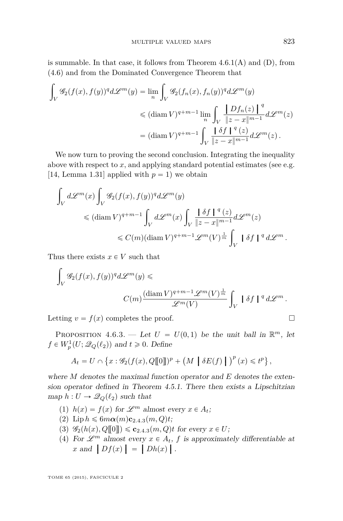<span id="page-61-0"></span>is summable. In that case, it follows from Theorem  $4.6.1(A)$  $4.6.1(A)$  and  $(D)$ , from [\(4.6\)](#page-60-0) and from the Dominated Convergence Theorem that

$$
\int_{V} \mathscr{G}_2(f(x), f(y))^q d\mathscr{L}^m(y) = \lim_{n} \int_{V} \mathscr{G}_2(f_n(x), f_n(y))^q d\mathscr{L}^m(y)
$$
  

$$
\leq (\operatorname{diam} V)^{q+m-1} \lim_{n} \int_{V} \frac{\left| Df_n(z) \right|^q}{\|z - x\|^{m-1}} d\mathscr{L}^m(z)
$$
  

$$
= (\operatorname{diam} V)^{q+m-1} \int_{V} \frac{\left| \delta f \right|^q (z)}{\|z - x\|^{m-1}} d\mathscr{L}^m(z).
$$

We now turn to proving the second conclusion. Integrating the inequality above with respect to *x*, and applying standard potential estimates (see e.g. [\[14,](#page-71-0) Lemma 1.31] applied with  $p = 1$ ) we obtain

$$
\begin{aligned} \int_V d\mathscr{L}^m(x) \int_V \mathscr{G}_2(f(x),f(y))^q d\mathscr{L}^m(y) \\ &\leqslant (\mathop{\mathrm{diam}}\nolimits V)^{q+m-1} \int_V d\mathscr{L}^m(x) \int_V \frac{\mid \delta f \mid^q(z)}{\Vert z-x\Vert^{m-1}} d\mathscr{L}^m(z) \\ &\leqslant C(m) (\mathop{\mathrm{diam}}\nolimits V)^{q+m-1} \mathscr{L}^m(V)^{\frac{1}{m}} \int_V \mid \delta f \mid^q d\mathscr{L}^m \, . \end{aligned}
$$

Thus there exists  $x \in V$  such that

$$
\int_{V} \mathscr{G}_2(f(x), f(y))^q d\mathscr{L}^m(y) \leq
$$
  

$$
C(m) \frac{(\text{diam } V)^{q+m-1} \mathscr{L}^m(V)^{\frac{1}{m}}}{\mathscr{L}^m(V)} \int_{V} |\delta f|^{q} d\mathscr{L}^m.
$$

Letting  $v = f(x)$  completes the proof.

PROPOSITION 4.6.3. — Let  $U = U(0,1)$  be the unit ball in  $\mathbb{R}^m$ , let  $f \in W_p^1(U; \mathcal{Q}_Q(\ell_2))$  and  $t \geq 0$ . Define

$$
A_t = U \cap \left\{ x : \mathscr{G}_2(f(x), Q[\![0]\!])^p + \left( M \mid \delta E(f) \mid \right)^p(x) \leq t^p \right\},\
$$

where *M* denotes the maximal function operator and *E* denotes the extension operator defined in Theorem [4.5.1.](#page-55-0) There then exists a Lipschitzian map  $h: U \to \mathcal{Q}_Q(\ell_2)$  such that

- (1)  $h(x) = f(x)$  for  $\mathscr{L}^m$  almost every  $x \in A_t$ ;
- $(2)$  $(2)$  $(2)$  Lip  $h \leq 6m\alpha(m)c_{2.4.3}(m, Q)t;$
- $(3)$   $\mathscr{G}_2(h(x), Q[\![0]\!]) \leqslant c_{2.4.3}(m, Q)t$  $\mathscr{G}_2(h(x), Q[\![0]\!]) \leqslant c_{2.4.3}(m, Q)t$  $\mathscr{G}_2(h(x), Q[\![0]\!]) \leqslant c_{2.4.3}(m, Q)t$  for every  $x \in U$ ;
- (4) For  $\mathscr{L}^m$  almost every  $x \in A_t$ ,  $f$  is approximately differentiable at *x* and  $\left[ Df(x) \right] = \left[ Dh(x) \right]$ .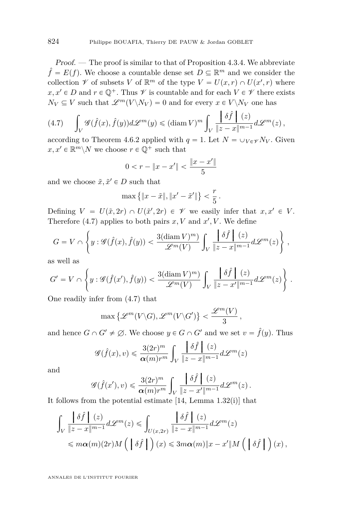Proof. — The proof is similar to that of Proposition [4.3.4.](#page-47-0) We abbreviate  $\hat{f} = E(f)$ . We choose a countable dense set  $D \subseteq \mathbb{R}^m$  and we consider the collection  $\mathscr V$  of subsets *V* of  $\mathbb R^m$  of the type  $V = U(x,r) \cap U(x',r)$  where  $x, x' \in D$  and  $r \in \mathbb{Q}^+$ . Thus  $\mathscr V$  is countable and for each  $V \in \mathscr V$  there exists  $N_V \subseteq V$  such that  $\mathscr{L}^m(V \backslash N_V) = 0$  and for every  $x \in V \backslash N_V$  one has

$$
(4.7)\qquad \int_V \mathscr{G}(\hat{f}(x),\hat{f}(y))d\mathscr{L}^m(y) \leq (\textnormal{diam}\, V)^m \int_V \frac{\left|\delta\hat{f}\right|\ (z)}{\|z-x\|^{m-1}}d\mathscr{L}^m(z)\,,
$$

according to Theorem [4.6.2](#page-59-0) applied with  $q = 1$ . Let  $N = \bigcup_{V \in \mathcal{V}} N_V$ . Given  $x, x' \in \mathbb{R}^m \backslash N$  we choose  $r \in \mathbb{Q}^+$  such that

$$
0 < r - \|x - x'\| < \frac{\|x - x'\|}{5}
$$

and we choose  $\tilde{x}, \tilde{x}' \in D$  such that

$$
\max \left\{ \|x - \tilde{x}\|, \|x' - \tilde{x}'\|\right\} < \frac{r}{5} \, .
$$

Defining  $V = U(\tilde{x}, 2r) \cap U(\tilde{x}', 2r) \in \mathcal{V}$  we easily infer that  $x, x' \in V$ . Therefore  $(4.7)$  applies to both pairs  $x, V$  and  $x', V$ . We define #  $\mathbf{r}$ 

$$
G = V \cap \left\{ y : \mathscr{G}(\hat{f}(x), \hat{f}(y)) < \frac{3(\text{diam } V)^m)}{\mathscr{L}^m(V)} \int_V \frac{\left| \delta \hat{f} \right| (z)}{\|z - x\|^{m-1}} d\mathscr{L}^m(z) \right\},
$$

as well as

$$
G'=V \cap \left\{y: \mathscr{G}(\hat{f}(x'),\hat{f}(y)) < \frac{3(\operatorname{diam} V)^m)}{\mathscr{L}^m(V)} \int_V \frac{\left|\delta \hat{f}\right| \ (z)}{\|z-x'\|^{m-1}} d\mathscr{L}^m(z)\right\}\,.
$$

One readily infer from (4.7) that

$$
\max \left\{ \mathscr{L}^m(V\backslash G), \mathscr{L}^m(V\backslash G') \right\} < \frac{\mathscr{L}^m(V)}{3}
$$

*,*

and hence  $G \cap G' \neq \emptyset$ . We choose  $y \in G \cap G'$  and we set  $v = \hat{f}(y)$ . Thus

$$
\mathcal{G}(\hat{f}(x), v) \leq \frac{3(2r)^m}{\alpha(m)r^m} \int_V \frac{\left|\delta \hat{f}\right| (z)}{\|z - x\|^{m-1}} d\mathcal{L}^m(z)
$$

and

$$
\mathscr{G}(\hat{f}(x'),v) \leqslant \frac{3(2r)^m}{\alpha(m)r^m} \int_V \frac{\left|\delta \hat{f}\right| (z)}{\left|z - x'\right|^{m-1}} d\mathscr{L}^m(z).
$$

It follows from the potential estimate [\[14,](#page-71-0) Lemma 1.32(i)] that

$$
\int_{V} \frac{\left|\delta\hat{f}\right|(z)}{\|z-x\|^{m-1}} d\mathcal{L}^m(z) \le \int_{U(x,2r)} \frac{\left|\delta\hat{f}\right|(z)}{\|z-x\|^{m-1}} d\mathcal{L}^m(z)
$$
\n
$$
\le m\alpha(m)(2r)M\left(\left|\delta\hat{f}\right|\right)(x) \le 3m\alpha(m)\|x-x'\|M\left(\left|\delta\hat{f}\right|\right)(x),
$$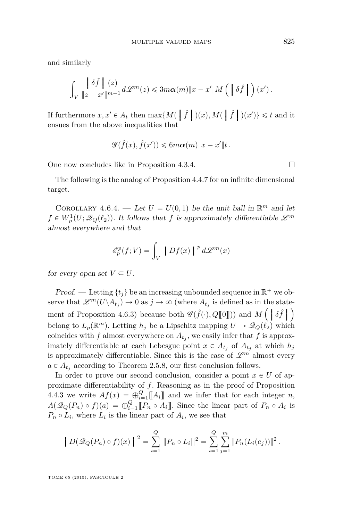<span id="page-63-0"></span>and similarly

$$
\int_V\frac{\left\|\delta\hat f\right\|(z)}{\|z-x'\|^{m-1}}d\mathscr{L}^m(z)\leqslant 3m\alpha(m)\|x-x'\|M\left(\;\left\|\delta\hat f\right\|\right)(x')\,.
$$

If furthermore  $x, x' \in A_t$  then  $\max\{M(\mid \hat{f} \mid)(x), M(\mid \hat{f} \mid)(x')\} \leq t$  and it ensues from the above inequalities that ensues from the above inequalities that

$$
\mathscr{G}(\hat{f}(x),\hat{f}(x')) \leq 6m\alpha(m)\|x-x'\|t\,.
$$

One now concludes like in Proposition [4.3.4.](#page-47-0)

The following is the analog of Proposition [4.4.7](#page-51-0) for an infinite dimensional target.

COROLLARY 4.6.4. — Let  $U = U(0,1)$  be the unit ball in  $\mathbb{R}^m$  and let  $f \in W_p^1(U; \mathcal{Q}_Q(\ell_2))$ . It follows that *f* is approximately differentiable  $\mathscr{L}^m$ almost everywhere and that

$$
\mathcal{E}_p^p(f;V) = \int_V |Df(x)|^p d\mathcal{L}^m(x)
$$

for every open set  $V \subseteq U$ .

Proof. — Letting  $\{t_j\}$  be an increasing unbounded sequence in  $\mathbb{R}^+$  we observe that  $\mathscr{L}^m(U \backslash A_{t_j}) \to 0$  as  $j \to \infty$  (where  $A_{t_j}$  is defined as in the state-ment of Proposition [4.6.3\)](#page-61-0) because both  $\mathscr{G}(\hat{f}(\cdot), Q[\![0]\!])$  and  $M\left(\begin{array}{c} \delta \hat{f} \end{array}\right]$ belong to  $L_p(\mathbb{R}^m)$ . Letting  $h_j$  be a Lipschitz mapping  $U \to \mathscr{Q}_Q(\ell_2)$  which coincides with  $f$  almost everywhere on  $A_{t_j}$ , we easily infer that  $f$  is approximately differentiable at each Lebesgue point  $x \in A_{t_i}$  of  $A_{t_i}$  at which  $h_j$ is approximately differentiable. Since this is the case of  $\mathscr{L}^m$  almost every  $a \in A_{t_j}$  according to Theorem [2.5.8,](#page-24-0) our first conclusion follows.

In order to prove our second conclusion, consider a point  $x \in U$  of approximate differentiability of *f*. Reasoning as in the proof of Proposition [4.4.3](#page-49-0) we write  $Af(x) = \bigoplus_{i=1}^{Q} [A_i]$  and we infer that for each integer *n*,  $A(\mathscr{Q}_Q(P_n) \circ f)(a) = \bigoplus_{i=1}^Q [P_n \circ A_i]]$ . Since the linear part of  $P_n \circ A_i$  is  $P_n \circ L_i$ , where  $L_i$  is the linear part of  $A_i$ , we see that

$$
\left\| D(\mathscr{Q}_Q(P_n) \circ f)(x) \right\|^2 = \sum_{i=1}^Q \|P_n \circ L_i\|^2 = \sum_{i=1}^Q \sum_{j=1}^m \|P_n(L_i(e_j))\|^2.
$$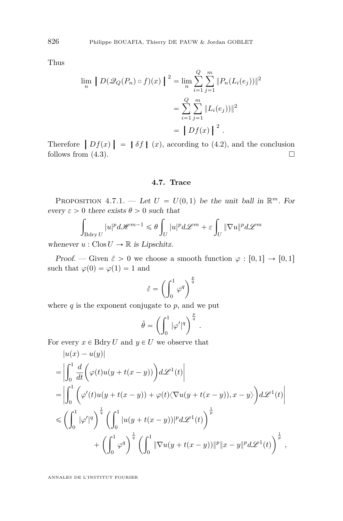<span id="page-64-0"></span>Thus

$$
\lim_{n} |D(\mathcal{Q}_{Q}(P_{n}) \circ f)(x)|^{2} = \lim_{n} \sum_{i=1}^{Q} \sum_{j=1}^{m} ||P_{n}(L_{i}(e_{j}))||^{2}
$$

$$
= \sum_{i=1}^{Q} \sum_{j=1}^{m} ||L_{i}(e_{j}))||^{2}
$$

$$
= |Df(x)|^{2}.
$$

Therefore  $\left|Df(x)\right| = \left|\delta f\right| (x)$ , according to [\(4.2\)](#page-54-0), and the conclusion follows from (4.3) follows from  $(4.3)$ .

### **4.7. Trace**

PROPOSITION 4.7.1. — Let  $U = U(0,1)$  be the unit ball in  $\mathbb{R}^m$ . For  $every \varepsilon > 0$  there exists  $\theta > 0$  such that

$$
\int_{\text{Bdry }U} |u|^p d\mathscr{H}^{m-1} \leqslant \theta \int_U |u|^p d\mathscr{L}^m + \varepsilon \int_U \|\nabla u\|^p d\mathscr{L}^m
$$

whenever  $u : \text{Clos } U \to \mathbb{R}$  is Lipschitz.

Proof. — Given  $\hat{\varepsilon} > 0$  we choose a smooth function  $\varphi : [0,1] \to [0,1]$ such that  $\varphi(0) = \varphi(1) = 1$  and

$$
\hat{\varepsilon} = \left(\int_0^1 \varphi^q\right)^{\frac{p}{q}}
$$

where  $q$  is the exponent conjugate to  $p$ , and we put

$$
\hat{\theta} = \left( \int_0^1 |\varphi'|^q \right)^{\frac{p}{q}}.
$$

For every  $x \in B\text{dry } U$  and  $y \in U$  we observe that

$$
|u(x) - u(y)|
$$
  
\n
$$
= \left| \int_0^1 \frac{d}{dt} \left( \varphi(t)u(y + t(x - y)) \right) d\mathcal{L}^1(t) \right|
$$
  
\n
$$
= \left| \int_0^1 \left( \varphi'(t)u(y + t(x - y)) + \varphi(t) \langle \nabla u(y + t(x - y)), x - y \rangle \right) d\mathcal{L}^1(t) \right|
$$
  
\n
$$
\leq \left( \int_0^1 |\varphi'|^q \right)^{\frac{1}{q}} \left( \int_0^1 |u(y + t(x - y))|^p d\mathcal{L}^1(t) \right)^{\frac{1}{p}}
$$
  
\n
$$
+ \left( \int_0^1 \varphi^q \right)^{\frac{1}{q}} \left( \int_0^1 \|\nabla u(y + t(x - y))\|^p \|x - y\|^p d\mathcal{L}^1(t) \right)^{\frac{1}{p}},
$$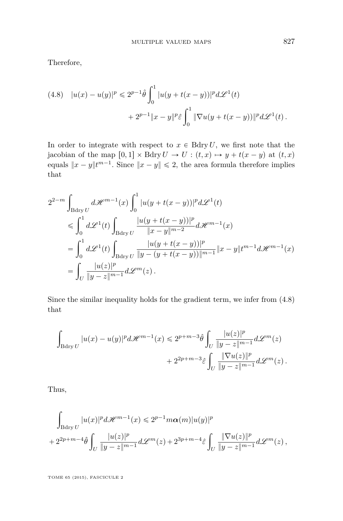Therefore,

(4.8) 
$$
|u(x) - u(y)|^p \le 2^{p-1} \hat{\theta} \int_0^1 |u(y + t(x - y))|^p d\mathcal{L}^1(t)
$$
  
  $+ 2^{p-1} ||x - y||^p \hat{\epsilon} \int_0^1 ||\nabla u(y + t(x - y))||^p d\mathcal{L}^1(t).$ 

In order to integrate with respect to  $x \in B\text{dry } U$ , we first note that the jacobian of the map  $[0,1] \times$  Bdry  $U \rightarrow U$ :  $(t, x) \mapsto y + t(x - y)$  at  $(t, x)$ equals  $||x - y||^{tm-1}$ . Since  $||x - y|| \le 2$ , the area formula therefore implies that

$$
2^{2-m} \int_{\text{Bdry } U} d\mathcal{H}^{m-1}(x) \int_0^1 |u(y+t(x-y))|^p d\mathcal{L}^1(t)
$$
  
\n
$$
\leq \int_0^1 d\mathcal{L}^1(t) \int_{\text{Bdry } U} \frac{|u(y+t(x-y))|^p}{\|x-y\|^{m-2}} d\mathcal{H}^{m-1}(x)
$$
  
\n
$$
= \int_0^1 d\mathcal{L}^1(t) \int_{\text{Bdry } U} \frac{|u(y+t(x-y))|^p}{\|y-(y+t(x-y))\|^{m-1}} \|x-y\| t^{m-1} d\mathcal{H}^{m-1}(x)
$$
  
\n
$$
= \int_U \frac{|u(z)|^p}{\|y-z\|^{m-1}} d\mathcal{L}^m(z).
$$

Since the similar inequality holds for the gradient term, we infer from (4.8) that

$$
\int_{\text{Bdry }U} |u(x)-u(y)|^p d\mathscr{H}^{m-1}(x) \leq 2^{p+m-3} \hat{\theta} \int_U \frac{|u(z)|^p}{\|y-z\|^{m-1}} d\mathscr{L}^m(z) + 2^{2p+m-3} \hat{\varepsilon} \int_U \frac{\|\nabla u(z)\|^p}{\|y-z\|^{m-1}} d\mathscr{L}^m(z).
$$

Thus,

$$
\int_{\text{Bdry }U} |u(x)|^p d\mathcal{H}^{m-1}(x) \leq 2^{p-1} m\alpha(m) |u(y)|^p
$$
  
+ 
$$
2^{2p+m-4} \hat{\theta} \int_U \frac{|u(z)|^p}{\|y-z\|^{m-1}} d\mathcal{L}^m(z) + 2^{3p+m-4} \hat{\varepsilon} \int_U \frac{\|\nabla u(z)\|^p}{\|y-z\|^{m-1}} d\mathcal{L}^m(z) ,
$$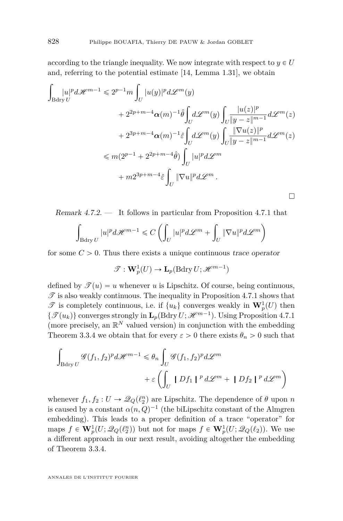according to the triangle inequality. We now integrate with respect to  $y \in U$ and, referring to the potential estimate [\[14,](#page-71-0) Lemma 1.31], we obtain

$$
\int_{\text{Bdry }U} |u|^p d\mathcal{H}^{m-1} \leqslant 2^{p-1} m \int_U |u(y)|^p d\mathcal{L}^m(y) \n+ 2^{2p+m-4} \alpha(m)^{-1} \hat{\theta} \int_U d\mathcal{L}^m(y) \int_U \frac{|u(z)|^p}{|y-z|^{m-1}} d\mathcal{L}^m(z) \n+ 2^{3p+m-4} \alpha(m)^{-1} \hat{\varepsilon} \int_U d\mathcal{L}^m(y) \int_U \frac{\|\nabla u(z)\|^p}{\|y-z\|^{m-1}} d\mathcal{L}^m(z) \n\leqslant m(2^{p-1} + 2^{2p+m-4} \hat{\theta}) \int_U |u|^p d\mathcal{L}^m \n+ m2^{3p+m-4} \hat{\varepsilon} \int_U \|\nabla u\|^p d\mathcal{L}^m.
$$

Remark 4.7.2. — It follows in particular from Proposition [4.7.1](#page-64-0) that

$$
\int_{{\rm Bdry}\, U} |u|^p d\mathscr{H}^{m-1}\leqslant C\left(\int_U |u|^p d\mathscr{L}^m+\int_U \|\nabla u\|^p d\mathscr{L}^m\right)
$$

for some  $C > 0$ . Thus there exists a unique continuous trace operator

$$
\mathscr{T}: \mathbf{W}^1_p(U) \to \mathbf{L}_p(\mathrm{Bdry}\,U; \mathscr{H}^{m-1})
$$

defined by  $\mathscr{T}(u) = u$  whenever *u* is Lipschitz. Of course, being continuous,  $\mathscr T$  is also weakly continuous. The inequality in Proposition [4.7.1](#page-64-0) shows that  $\mathscr{T}$  is completely continuous, i.e. if  $\{u_k\}$  converges weakly in  $\mathbf{W}_p^1(U)$  then  $\{\mathcal{F}(u_k)\}$  converges strongly in  $\mathbf{L}_p(\text{Bdry } U; \mathcal{H}^{m-1})$ . Using Proposition [4.7.1](#page-64-0) (more precisely, an  $\mathbb{R}^N$  valued version) in conjunction with the embedding Theorem [3.3.4](#page-34-0) we obtain that for every  $\varepsilon > 0$  there exists  $\theta_n > 0$  such that

$$
\int_{\text{Bdry }U} \mathcal{G}(f_1, f_2)^p d\mathcal{H}^{m-1} \leq \theta_n \int_U \mathcal{G}(f_1, f_2)^p d\mathcal{L}^m
$$

$$
+ \varepsilon \left( \int_U |Df_1|^p d\mathcal{L}^m + |Df_2|^p d\mathcal{L}^m \right)
$$

whenever  $f_1, f_2: U \to \mathcal{Q}_Q(\ell_2^n)$  are Lipschitz. The dependence of  $\theta$  upon  $n$ is caused by a constant  $\alpha(n, Q)^{-1}$  (the biLipschitz constant of the Almgren embedding). This leads to a proper definition of a trace "operator" for maps  $f \in \mathbf{W}_p^1(U; \mathscr{Q}_Q(\ell_2^n))$  but not for maps  $f \in \mathbf{W}_p^1(U; \mathscr{Q}_Q(\ell_2))$ . We use a different approach in our next result, avoiding altogether the embedding of Theorem [3.3.4.](#page-34-0)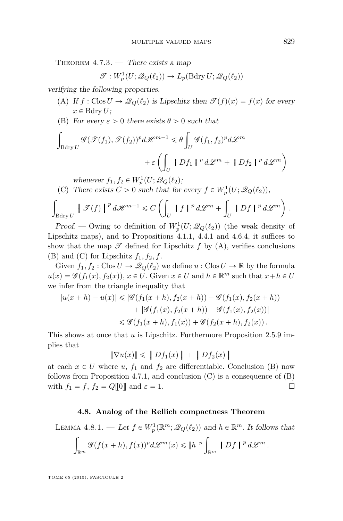<span id="page-67-0"></span>THEOREM  $4.7.3.$  — There exists a map

$$
\mathcal{T}: W_p^1(U; \mathscr{Q}_Q(\ell_2)) \to L_p(\text{Bdry }U; \mathscr{Q}_Q(\ell_2))
$$

verifying the following properties.

- (A) If  $f : \text{Clos } U \to \mathcal{Q}_Q(\ell_2)$  is Lipschitz then  $\mathcal{T}(f)(x) = f(x)$  for every  $x \in$  Bdry *U*;
- (B) For every  $\varepsilon > 0$  there exists  $\theta > 0$  such that

$$
\int_{B\mathrm{dry}\,U} \mathcal{G}(\mathcal{F}(f_1), \mathcal{F}(f_2))^p d\mathcal{H}^{m-1} \leq \theta \int_U \mathcal{G}(f_1, f_2)^p d\mathcal{L}^m
$$

$$
+ \varepsilon \left( \int_U |Df_1|^p d\mathcal{L}^m + |Df_2|^p d\mathcal{L}^m \right)
$$

whenever  $f_1, f_2 \in W_p^1(U; \mathscr{Q}_Q(\ell_2))$ ;

(C) There exists 
$$
C > 0
$$
 such that for every  $f \in W_p^1(U; \mathcal{Q}_Q(\ell_2)),$ 

$$
\int_{\text{Bdry }U} \left| \mathcal{F}(f) \right|^p d\mathcal{H}^{m-1} \leq C \left( \int_U |f|^{p} d\mathcal{L}^{m} + \int_U |Df|^{p} d\mathcal{L}^{m} \right).
$$

Proof. — Owing to definition of  $W_p^1(U; \mathscr{Q}_Q(\ell_2))$  (the weak density of Lipschitz maps), and to Propositions [4.1.1,](#page-40-0) [4.4.1](#page-48-0) and [4.6.4,](#page-63-0) it suffices to show that the map  $\mathscr T$  defined for Lipschitz  $f$  by  $(A)$ , verifies conclusions (B) and (C) for Lipschitz  $f_1, f_2, f$ .

Given  $f_1, f_2 : \text{Clos } U \to \mathcal{Q}_Q(\ell_2)$  we define  $u : \text{Clos } U \to \mathbb{R}$  by the formula  $u(x) = \mathscr{G}(f_1(x), f_2(x)), x \in U$ . Given  $x \in U$  and  $h \in \mathbb{R}^m$  such that  $x + h \in U$ we infer from the triangle inequality that

$$
|u(x+h) - u(x)| \leq |\mathcal{G}(f_1(x+h), f_2(x+h)) - \mathcal{G}(f_1(x), f_2(x+h))|
$$
  
+ 
$$
|\mathcal{G}(f_1(x), f_2(x+h)) - \mathcal{G}(f_1(x), f_2(x))|
$$
  

$$
\leq \mathcal{G}(f_1(x+h), f_1(x)) + \mathcal{G}(f_2(x+h), f_2(x)).
$$

This shows at once that *u* is Lipschitz. Furthermore Proposition [2.5.9](#page-27-0) implies that

$$
\|\nabla u(x)\| \leqslant \left\|Df_1(x)\right\| + \left\|Df_2(x)\right\|
$$

at each  $x \in U$  where  $u, f_1$  and  $f_2$  are differentiable. Conclusion (B) now follows from Proposition [4.7.1,](#page-64-0) and conclusion  $(C)$  is a consequence of  $(B)$ with  $f_1 = f$ ,  $f_2 = Q[[0]]$  and  $\varepsilon = 1$ .

### **4.8. Analog of the Rellich compactness Theorem**

LEMMA 4.8.1. — Let  $f \in W_p^1(\mathbb{R}^m; \mathcal{Q}_Q(\ell_2))$  and  $h \in \mathbb{R}^m$ . It follows that

$$
\int_{\mathbb{R}^m} \mathscr{G}(f(x+h), f(x))^p d\mathscr{L}^m(x) \leqslant \|h\|^p \int_{\mathbb{R}^m} \|Df\|^p d\mathscr{L}^m.
$$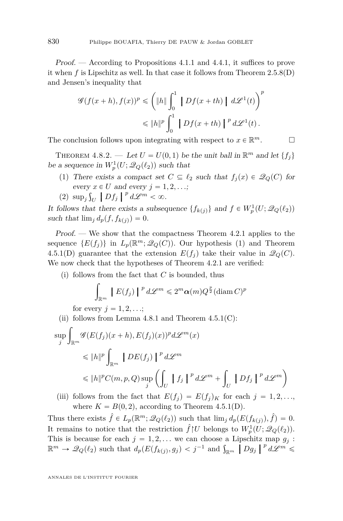<span id="page-68-0"></span>Proof. — According to Propositions [4.1.1](#page-40-0) and [4.4.1,](#page-48-0) it suffices to prove it when *f* is Lipschitz as well. In that case it follows from Theorem [2.5.8\(](#page-24-0)D) and Jensen's inequality that

$$
\mathscr{G}(f(x+h), f(x))^p \leq \left(\|h\|\int_0^1 \|Df(x+th)\| \, d\mathscr{L}^1(t)\right)^p
$$
  

$$
\leq \|h\|^p \int_0^1 \|Df(x+th)\|^p \, d\mathscr{L}^1(t).
$$

The conclusion follows upon integrating with respect to  $x \in \mathbb{R}^m$ .

THEOREM 4.8.2. — Let  $U = U(0, 1)$  be the unit ball in  $\mathbb{R}^m$  and let  $\{f_j\}$ be a sequence in  $W_p^1(U; \mathcal{Q}_Q(\ell_2))$  such that

- (1) There exists a compact set  $C \subseteq \ell_2$  such that  $f_j(x) \in \mathcal{Q}_Q(C)$  for every  $x \in U$  and every  $j = 1, 2, \ldots;$  $\frac{1}{2}$
- (2) sup*<sup>j</sup>*  $U \left[ Df_j \right]$ <sup>*p*</sup>  $d\mathscr{L}^m < \infty$ .

It follows that there exists a subsequence  $\{f_{k(j)}\}$  and  $f \in W_p^1(U; \mathcal{Q}_Q(\ell_2))$ such that  $\lim_{j} d_p(f, f_{k(j)}) = 0$ .

Proof. — We show that the compactness Theorem [4.2.1](#page-40-0) applies to the sequence  $\{E(f_j)\}\$ in  $L_p(\mathbb{R}^m;\mathcal{Q}_Q(C))$ . Our hypothesis (1) and Theorem [4.5.1\(](#page-55-0)D) guarantee that the extension  $E(f_j)$  take their value in  $\mathcal{Q}_Q(C)$ . We now check that the hypotheses of Theorem [4.2.1](#page-40-0) are verified:

(i) follows from the fact that  $C$  is bounded, thus

$$
\int_{\mathbb{R}^m} |E(f_j)|^p d\mathcal{L}^m \leq 2^m \alpha(m) Q^{\frac{p}{2}} (\text{diam } C)^p
$$

for every  $j = 1, 2, ...;$ 

- (ii) follows from Lemma  $4.8.1$  and Theorem  $4.5.1(C)$  $4.5.1(C)$ :  $\sup_j \int_{\mathbb{R}^m} \mathscr{G}(E(f_j)(x+h), E(f_j)(x))^p d\mathscr{L}^m(x)$  $\leqslant$   $||h||^p$ za za politika za politika za politika za politika za politika za politika za politika za politika za politika<br>Politika  $\left[DE(f_j)\right]^{p}d\mathcal{L}^m$  $\leqslant$   $\|h\|^{p}C(m, p, Q)$  sup ˆż  $\int_U$   $\left| \int f_j \right| \right|^p d\mathcal{L}^m +$ za za politika za politika za politika za politika za politika za politika za politika za politika za politika<br>Politika  $\int_U$   $\left|Df_j\right|^{p} d\mathcal{L}^m$
- (iii) follows from the fact that  $E(f_i) = E(f_i)_K$  for each  $j = 1, 2, \ldots$ , where  $K = B(0, 2)$ , according to Theorem [4.5.1\(](#page-55-0)D).

Thus there exists  $\hat{f} \in L_p(\mathbb{R}^m; \mathcal{Q}_Q(\ell_2))$  such that  $\lim_j d_p(E(f_{k(j)}), \hat{f}) = 0$ . It remains to notice that the restriction  $\hat{f} \setminus U$  belongs to  $W_p^1(U; \mathscr{Q}_Q(\ell_2)).$ This is because for each  $j = 1, 2, \ldots$  we can choose a Lipschitz map  $g_j$ : This is because for each  $j = 1, 2, ...$  we can choose a Lipschitz map  $g_j$ :<br>  $\mathbb{R}^m \to \mathcal{Q}_Q(\ell_2)$  such that  $d_p(E(f_{k(j)}, g_j) < j^{-1}$  and  $\int_{\mathbb{R}^m} |Dg_j| \cdot p \cdot d\mathcal{L}^m \leq$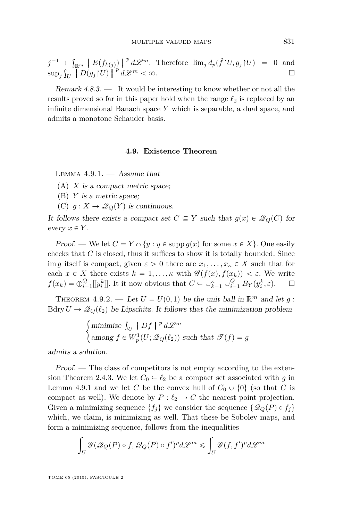$$
j^{-1} + \int_{\mathbb{R}^m} \left| E(f_{k(j)}) \right|^p d\mathcal{L}^m. \text{ Therefore } \lim_j d_p(\hat{f}|U, g_j|U) = 0 \text{ and }
$$
  
\n
$$
\sup_j \int_U \left| D(g_j|U) \right|^p d\mathcal{L}^m < \infty.
$$

Remark  $4.8.3.$  — It would be interesting to know whether or not all the results proved so far in this paper hold when the range  $\ell_2$  is replaced by an infinite dimensional Banach space *Y* which is separable, a dual space, and admits a monotone Schauder basis.

#### **4.9. Existence Theorem**

LEMMA  $4.9.1.$   $-$  Assume that

(A) *X* is a compact metric space;

- (B) *Y* is a metric space;
- (C)  $g: X \to \mathcal{Q}_Q(Y)$  is continuous.

It follows there exists a compact set  $C \subseteq Y$  such that  $g(x) \in \mathcal{Q}_Q(C)$  for every  $x \in Y$ .

Proof. — We let  $C = Y \cap \{y : y \in \text{supp } g(x) \text{ for some } x \in X\}$ . One easily checks that *C* is closed, thus it suffices to show it is totally bounded. Since im *g* itself is compact, given  $\varepsilon > 0$  there are  $x_1, \ldots, x_k \in X$  such that for each  $x \in X$  there exists  $k = 1, \ldots, \kappa$  with  $\mathscr{G}(f(x), f(x_k)) < \varepsilon$ . We write  $f(x_k) = \bigoplus_{i=1}^Q [y_i^k]$ . It it now obvious that  $C \subseteq \bigcup_{k=1}^{\kappa} \bigcup_{i=1}^Q B_Y(y_i^k, \varepsilon)$ .  $\square$ 

THEOREM 4.9.2. — Let  $U = U(0, 1)$  be the unit ball in  $\mathbb{R}^m$  and let  $g$ : Bdry  $U \to \mathcal{Q}_Q(\ell_2)$  be Lipschitz. It follows that the minimization problem #

$$
\begin{cases}\n\text{minimize } \int_U \mid Df \mid^p d\mathcal{L}^m \\
\text{among } f \in W^1_p(U; \mathcal{Q}_Q(\ell_2)) \text{ such that } \mathcal{T}(f) = g\n\end{cases}
$$

admits a solution.

Proof. — The class of competitors is not empty according to the exten-sion Theorem [2.4.3.](#page-15-0) We let  $C_0 \subseteq \ell_2$  be a compact set associated with *g* in Lemma 4.9.1 and we let *C* be the convex hull of  $C_0 \cup \{0\}$  (so that *C* is compact as well). We denote by  $P : \ell_2 \to C$  the nearest point projection. Given a minimizing sequence  $\{f_i\}$  we consider the sequence  $\{\mathscr{Q}_Q(P) \circ f_i\}$ which, we claim, is minimizing as well. That these be Sobolev maps, and form a minimizing sequence, follows from the inequalities

$$
\int_U \mathscr{G}(\mathscr{Q}_Q(P) \circ f, \mathscr{Q}_Q(P) \circ f')^p d\mathscr{L}^m \leqslant \int_U \mathscr{G}(f, f')^p d\mathscr{L}^m
$$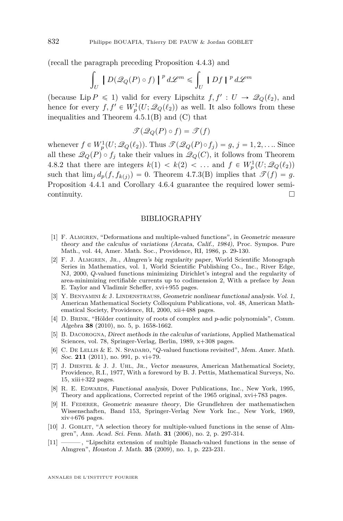(recall the paragraph preceding Proposition [4.4.3\)](#page-49-0) and ż ż

$$
\int_{U} |D(\mathscr{Q}_Q(P) \circ f)|^p d\mathscr{L}^m \leq \int_{U} |Df|^p d\mathscr{L}^m
$$

(because Lip  $P \leq 1$ ) valid for every Lipschitz  $f, f' : U \to \mathcal{Q}_Q(\ell_2)$ , and hence for every  $f, f' \in W_p^1(U; \mathcal{Q}_Q(\ell_2))$  as well. It also follows from these inequalities and Theorem [4.5.1\(](#page-55-0)B) and (C) that

$$
\mathscr{T}(\mathscr{Q}_Q(P) \circ f) = \mathscr{T}(f)
$$

whenever  $f \in W_p^1(U; \mathcal{Q}_Q(\ell_2))$ . Thus  $\mathcal{T}(\mathcal{Q}_Q(P) \circ f_j) = g, j = 1, 2, \dots$  Since all these  $\mathcal{Q}_Q(P) \circ f_j$  take their values in  $\mathcal{Q}_Q(C)$ , it follows from Theorem [4.8.2](#page-68-0) that there are integers  $k(1) < k(2) < \dots$  and  $f \in W_p^1(U; \mathcal{Q}_Q(\ell_2))$ such that  $\lim_{j} d_p(f, f_{k(j)}) = 0$ . Theorem [4.7.3\(](#page-67-0)B) implies that  $\mathscr{T}(f) = g$ . Proposition [4.4.1](#page-48-0) and Corollary [4.6.4](#page-63-0) guarantee the required lower semi- $\Box$ continuity.

#### BIBLIOGRAPHY

- [1] F. Almgren, "Deformations and multiple-valued functions", in Geometric measure theory and the calculus of variations (Arcata, Calif., 1984), Proc. Sympos. Pure Math., vol. 44, Amer. Math. Soc., Providence, RI, 1986, p. 29-130.
- [2] F. J. Almgren, Jr., Almgren's big regularity paper, World Scientific Monograph Series in Mathematics, vol. 1, World Scientific Publishing Co., Inc., River Edge, NJ, 2000, *Q*-valued functions minimizing Dirichlet's integral and the regularity of area-minimizing rectifiable currents up to codimension 2, With a preface by Jean E. Taylor and Vladimir Scheffer, xvi+955 pages.
- [3] Y. BENYAMINI & J. LINDENSTRAUSS, Geometric nonlinear functional analysis. Vol. 1, American Mathematical Society Colloquium Publications, vol. 48, American Mathematical Society, Providence, RI, 2000, xii+488 pages.
- [4] D. Brink, "Hölder continuity of roots of complex and *p*-adic polynomials", Comm. Algebra **38** (2010), no. 5, p. 1658-1662.
- [5] B. Dacorogna, Direct methods in the calculus of variations, Applied Mathematical Sciences, vol. 78, Springer-Verlag, Berlin, 1989, x+308 pages.
- [6] C. De Lellis & E. N. Spadaro, "*Q*-valued functions revisited", Mem. Amer. Math. Soc. **211** (2011), no. 991, p. vi+79.
- [7] J. Diestel & J. J. Uhl, Jr., Vector measures, American Mathematical Society, Providence, R.I., 1977, With a foreword by B. J. Pettis, Mathematical Surveys, No. 15, xiii $+322$  pages.
- [8] R. E. EDWARDS, Functional analysis, Dover Publications, Inc., New York, 1995, Theory and applications, Corrected reprint of the 1965 original, xvi+783 pages.
- [9] H. Federer, Geometric measure theory, Die Grundlehren der mathematischen Wissenschaften, Band 153, Springer-Verlag New York Inc., New York, 1969, xiv+676 pages.
- [10] J. GOBLET, "A selection theory for multiple-valued functions in the sense of Almgren", Ann. Acad. Sci. Fenn. Math. **31** (2006), no. 2, p. 297-314.
- [11] ——— , "Lipschitz extension of multiple Banach-valued functions in the sense of Almgren", Houston J. Math. **35** (2009), no. 1, p. 223-231.

<span id="page-70-0"></span>